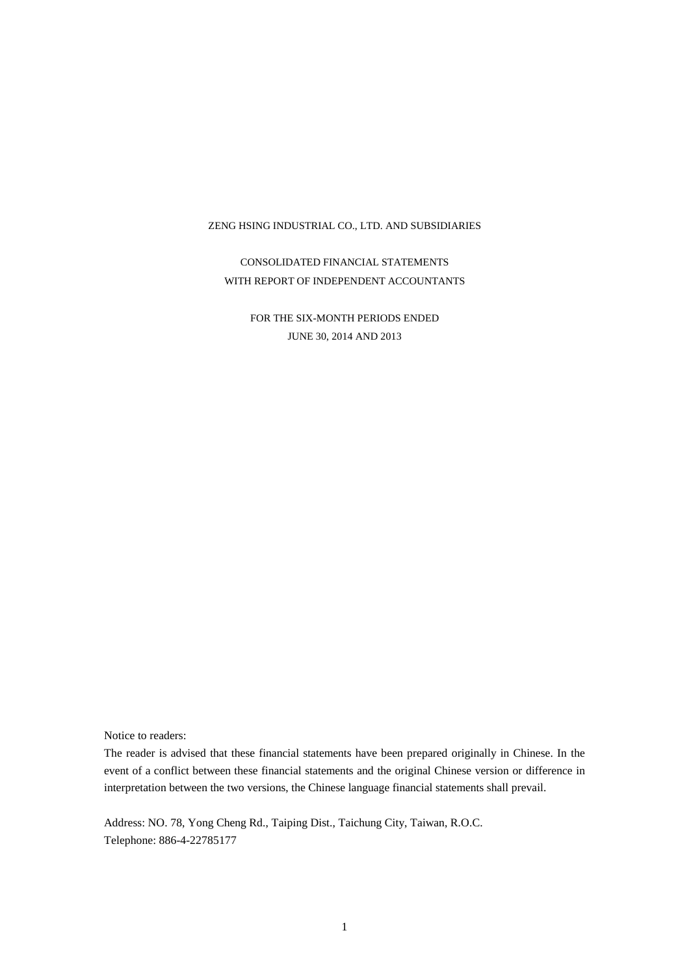CONSOLIDATED FINANCIAL STATEMENTS WITH REPORT OF INDEPENDENT ACCOUNTANTS

> FOR THE SIX-MONTH PERIODS ENDED JUNE 30, 2014 AND 2013

Notice to readers:

The reader is advised that these financial statements have been prepared originally in Chinese. In the event of a conflict between these financial statements and the original Chinese version or difference in interpretation between the two versions, the Chinese language financial statements shall prevail.

Address: NO. 78, Yong Cheng Rd., Taiping Dist., Taichung City, Taiwan, R.O.C. Telephone: 886-4-22785177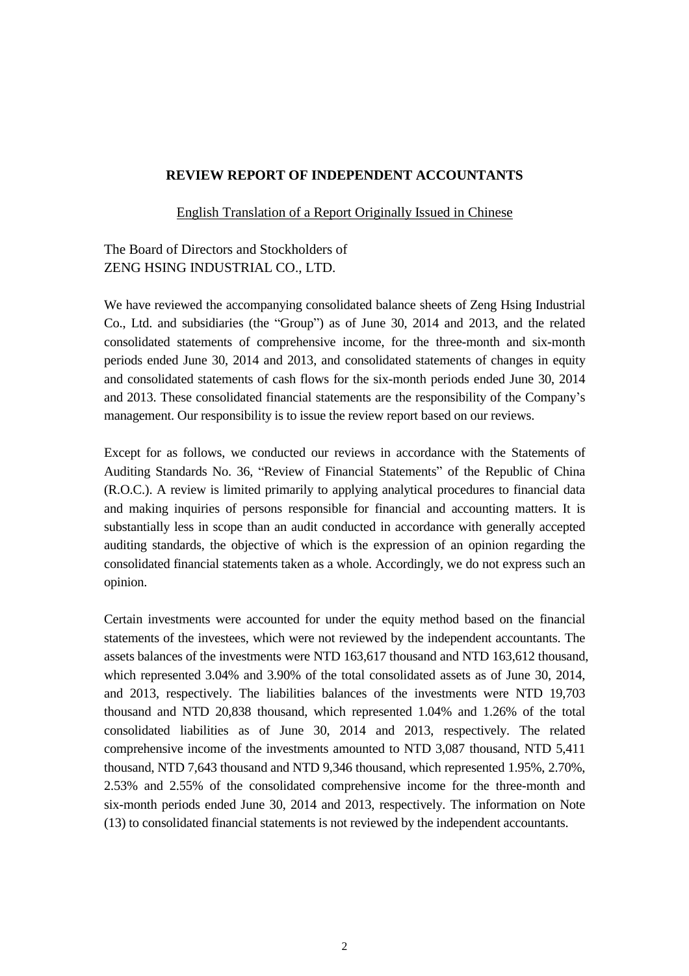#### **REVIEW REPORT OF INDEPENDENT ACCOUNTANTS**

English Translation of a Report Originally Issued in Chinese

## The Board of Directors and Stockholders of ZENG HSING INDUSTRIAL CO., LTD.

We have reviewed the accompanying consolidated balance sheets of Zeng Hsing Industrial Co., Ltd. and subsidiaries (the "Group") as of June 30, 2014 and 2013, and the related consolidated statements of comprehensive income, for the three-month and six-month periods ended June 30, 2014 and 2013, and consolidated statements of changes in equity and consolidated statements of cash flows for the six-month periods ended June 30, 2014 and 2013. These consolidated financial statements are the responsibility of the Company's management. Our responsibility is to issue the review report based on our reviews.

Except for as follows, we conducted our reviews in accordance with the Statements of Auditing Standards No. 36, "Review of Financial Statements" of the Republic of China (R.O.C.). A review is limited primarily to applying analytical procedures to financial data and making inquiries of persons responsible for financial and accounting matters. It is substantially less in scope than an audit conducted in accordance with generally accepted auditing standards, the objective of which is the expression of an opinion regarding the consolidated financial statements taken as a whole. Accordingly, we do not express such an opinion.

Certain investments were accounted for under the equity method based on the financial statements of the investees, which were not reviewed by the independent accountants. The assets balances of the investments were NTD 163,617 thousand and NTD 163,612 thousand, which represented 3.04% and 3.90% of the total consolidated assets as of June 30, 2014, and 2013, respectively. The liabilities balances of the investments were NTD 19,703 thousand and NTD 20,838 thousand, which represented 1.04% and 1.26% of the total consolidated liabilities as of June 30, 2014 and 2013, respectively. The related comprehensive income of the investments amounted to NTD 3,087 thousand, NTD 5,411 thousand, NTD 7,643 thousand and NTD 9,346 thousand, which represented 1.95%, 2.70%, 2.53% and 2.55% of the consolidated comprehensive income for the three-month and six-month periods ended June 30, 2014 and 2013, respectively. The information on Note (13) to consolidated financial statements is not reviewed by the independent accountants.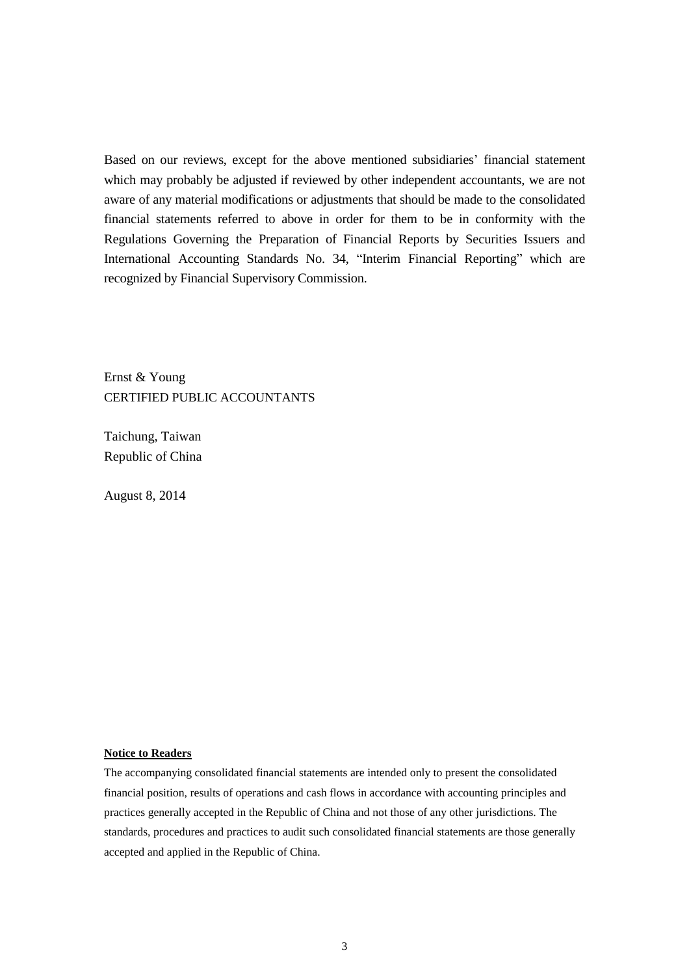Based on our reviews, except for the above mentioned subsidiaries' financial statement which may probably be adjusted if reviewed by other independent accountants, we are not aware of any material modifications or adjustments that should be made to the consolidated financial statements referred to above in order for them to be in conformity with the Regulations Governing the Preparation of Financial Reports by Securities Issuers and International Accounting Standards No. 34, "Interim Financial Reporting" which are recognized by Financial Supervisory Commission.

Ernst & Young CERTIFIED PUBLIC ACCOUNTANTS

Taichung, Taiwan Republic of China

August 8, 2014

#### **Notice to Readers**

The accompanying consolidated financial statements are intended only to present the consolidated financial position, results of operations and cash flows in accordance with accounting principles and practices generally accepted in the Republic of China and not those of any other jurisdictions. The standards, procedures and practices to audit such consolidated financial statements are those generally accepted and applied in the Republic of China.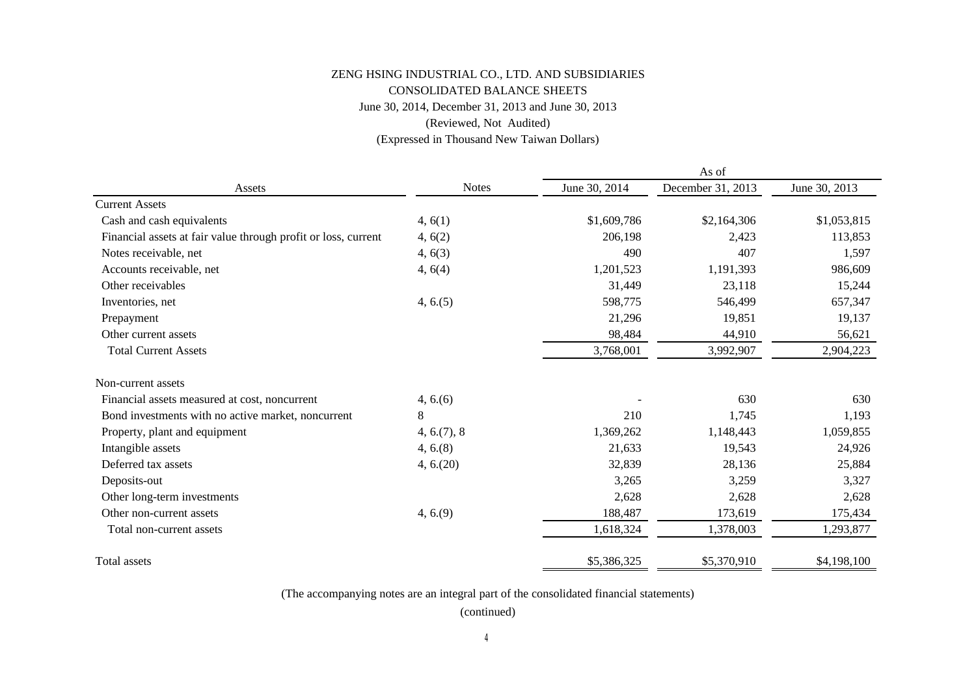### June 30, 2014, December 31, 2013 and June 30, 2013 CONSOLIDATED BALANCE SHEETS ZENG HSING INDUSTRIAL CO., LTD. AND SUBSIDIARIES (Reviewed, Not Audited)

(Expressed in Thousand New Taiwan Dollars)

|                                                                |              | As of         |                   |               |  |  |
|----------------------------------------------------------------|--------------|---------------|-------------------|---------------|--|--|
| Assets                                                         | <b>Notes</b> | June 30, 2014 | December 31, 2013 | June 30, 2013 |  |  |
| <b>Current Assets</b>                                          |              |               |                   |               |  |  |
| Cash and cash equivalents                                      | 4, 6(1)      | \$1,609,786   | \$2,164,306       | \$1,053,815   |  |  |
| Financial assets at fair value through profit or loss, current | 4, 6(2)      | 206,198       | 2,423             | 113,853       |  |  |
| Notes receivable, net                                          | 4, 6(3)      | 490           | 407               | 1,597         |  |  |
| Accounts receivable, net                                       | 4, 6(4)      | 1,201,523     | 1,191,393         | 986,609       |  |  |
| Other receivables                                              |              | 31,449        | 23,118            | 15,244        |  |  |
| Inventories, net                                               | 4, 6. (5)    | 598,775       | 546,499           | 657,347       |  |  |
| Prepayment                                                     |              | 21,296        | 19,851            | 19,137        |  |  |
| Other current assets                                           |              | 98,484        | 44,910            | 56,621        |  |  |
| <b>Total Current Assets</b>                                    |              | 3,768,001     | 3,992,907         | 2,904,223     |  |  |
| Non-current assets                                             |              |               |                   |               |  |  |
| Financial assets measured at cost, noncurrent                  | 4, 6.6       |               | 630               | 630           |  |  |
| Bond investments with no active market, noncurrent             | 8            | 210           | 1,745             | 1,193         |  |  |
| Property, plant and equipment                                  | 4, 6. (7), 8 | 1,369,262     | 1,148,443         | 1,059,855     |  |  |
| Intangible assets                                              | $4, 6.$ (8)  | 21,633        | 19,543            | 24,926        |  |  |
| Deferred tax assets                                            | 4, 6. (20)   | 32,839        | 28,136            | 25,884        |  |  |
| Deposits-out                                                   |              | 3,265         | 3,259             | 3,327         |  |  |
| Other long-term investments                                    |              | 2,628         | 2,628             | 2,628         |  |  |
| Other non-current assets                                       | 4, 6.9       | 188,487       | 173,619           | 175,434       |  |  |
| Total non-current assets                                       |              | 1,618,324     | 1,378,003         | 1,293,877     |  |  |
| Total assets                                                   |              | \$5,386,325   | \$5,370,910       | \$4,198,100   |  |  |

(The accompanying notes are an integral part of the consolidated financial statements)

(continued)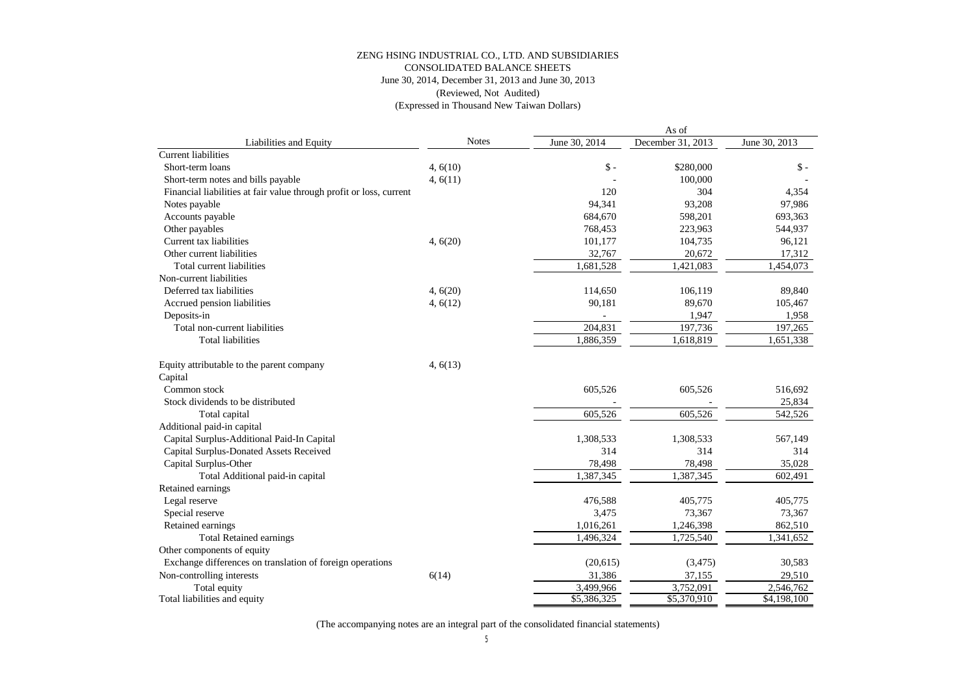#### June 30, 2014, December 31, 2013 and June 30, 2013 CONSOLIDATED BALANCE SHEETS ZENG HSING INDUSTRIAL CO., LTD. AND SUBSIDIARIES (Reviewed, Not Audited)

(Expressed in Thousand New Taiwan Dollars)

|                                                                     |              | As of                   |                   |                        |
|---------------------------------------------------------------------|--------------|-------------------------|-------------------|------------------------|
| Liabilities and Equity                                              | <b>Notes</b> | June 30, 2014           | December 31, 2013 | June 30, 2013          |
| <b>Current liabilities</b>                                          |              |                         |                   |                        |
| Short-term loans                                                    | 4,6(10)      | $\mathsf{\$}$ -         | \$280,000         | $S -$                  |
| Short-term notes and bills payable                                  | 4, 6(11)     |                         | 100,000           |                        |
| Financial liabilities at fair value through profit or loss, current |              | 120                     | 304               | 4,354                  |
| Notes payable                                                       |              | 94.341                  | 93.208            | 97,986                 |
| Accounts payable                                                    |              | 684,670                 | 598,201           | 693,363                |
| Other payables                                                      |              | 768,453                 | 223,963           | 544,937                |
| Current tax liabilities                                             | 4, 6(20)     | 101,177                 | 104,735           | 96,121                 |
| Other current liabilities                                           |              | 32,767                  | 20,672            | 17,312                 |
| Total current liabilities                                           |              | 1,681,528               | 1,421,083         | 1,454,073              |
| Non-current liabilities                                             |              |                         |                   |                        |
| Deferred tax liabilities                                            | 4, 6(20)     | 114,650                 | 106,119           | 89,840                 |
| Accrued pension liabilities                                         | 4, 6(12)     | 90,181                  | 89,670            | 105,467                |
| Deposits-in                                                         |              |                         | 1,947             | 1,958                  |
| Total non-current liabilities                                       |              | 204,831                 | 197,736           | 197,265                |
| <b>Total liabilities</b>                                            |              | 1,886,359               | 1,618,819         | $\overline{1,651,338}$ |
| Equity attributable to the parent company                           | 4, 6(13)     |                         |                   |                        |
| Capital                                                             |              |                         |                   |                        |
| Common stock                                                        |              | 605,526                 | 605,526           | 516,692                |
| Stock dividends to be distributed                                   |              |                         |                   | 25,834                 |
| Total capital                                                       |              | 605,526                 | 605,526           | 542,526                |
| Additional paid-in capital                                          |              |                         |                   |                        |
| Capital Surplus-Additional Paid-In Capital                          |              | 1,308,533               | 1,308,533         | 567,149                |
| Capital Surplus-Donated Assets Received                             |              | 314                     | 314               | 314                    |
| Capital Surplus-Other                                               |              | 78,498                  | 78,498            | 35,028                 |
| Total Additional paid-in capital                                    |              | 1,387,345               | 1,387,345         | 602,491                |
| Retained earnings                                                   |              |                         |                   |                        |
| Legal reserve                                                       |              | 476,588                 | 405,775           | 405,775                |
| Special reserve                                                     |              | 3,475                   | 73,367            | 73,367                 |
| Retained earnings                                                   |              | 1,016,261               | 1,246,398         | 862,510                |
| <b>Total Retained earnings</b>                                      |              | 1.496.324               | 1,725,540         | 1,341,652              |
| Other components of equity                                          |              |                         |                   |                        |
| Exchange differences on translation of foreign operations           |              | (20,615)                | (3, 475)          | 30,583                 |
| Non-controlling interests                                           | 6(14)        | 31,386                  | 37,155            | 29,510                 |
| Total equity                                                        |              | 3,499,966               | 3,752,091         | 2,546,762              |
| Total liabilities and equity                                        |              | $\overline{$5,386,325}$ | \$5,370,910       | \$4,198,100            |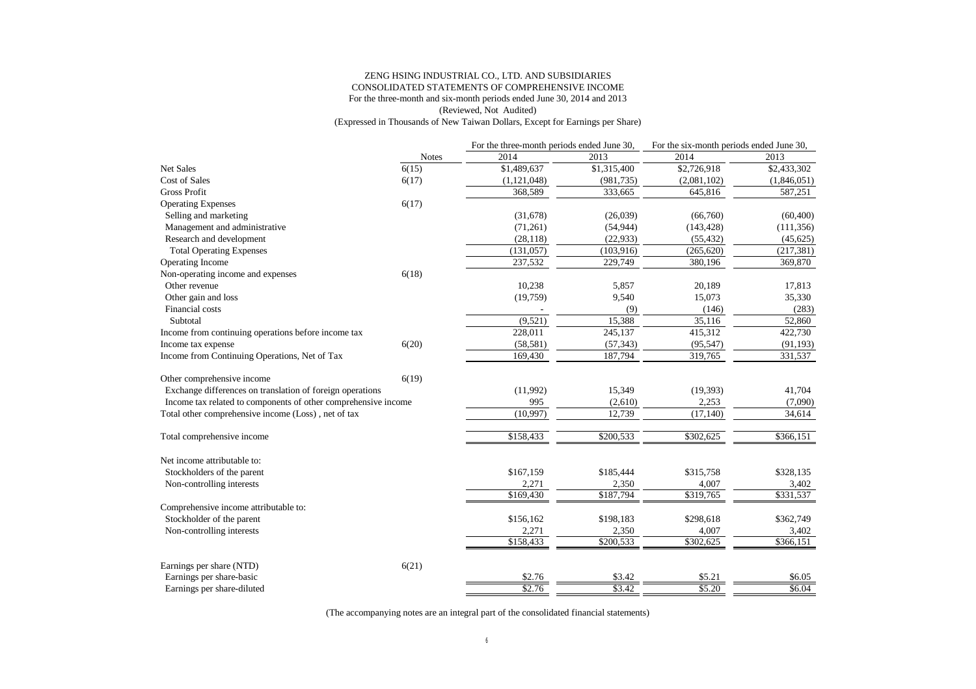#### ZENG HSING INDUSTRIAL CO., LTD. AND SUBSIDIARIES CONSOLIDATED STATEMENTS OF COMPREHENSIVE INCOME For the three-month and six-month periods ended June 30, 2014 and 2013 (Reviewed, Not Audited) (Expressed in Thousands of New Taiwan Dollars, Except for Earnings per Share)

| 2014<br>2013<br>2014<br>2013<br><b>Notes</b><br>6(15)<br>\$1,489,637<br>$$1,31\overline{5,400}$<br>\$2,726,918<br>\$2,433,302<br><b>Cost of Sales</b><br>6(17)<br>(1,121,048)<br>(981, 735)<br>(2,081,102)<br>(1,846,051)<br><b>Gross Profit</b><br>368,589<br>333,665<br>645,816<br>587,251<br>6(17)<br><b>Operating Expenses</b><br>Selling and marketing<br>(31,678)<br>(26,039)<br>(66,760)<br>(60, 400)<br>Management and administrative<br>(71,261)<br>(54, 944)<br>(143, 428)<br>(111, 356)<br>Research and development<br>(28, 118)<br>(22, 933)<br>(55, 432)<br>(45, 625)<br>(131, 057)<br>(103, 916)<br>(265, 620)<br>(217, 381)<br><b>Total Operating Expenses</b><br>237,532<br>229,749<br>369,870<br>Operating Income<br>380,196<br>Non-operating income and expenses<br>6(18)<br>Other revenue<br>10,238<br>20,189<br>17,813<br>5,857<br>Other gain and loss<br>(19,759)<br>9,540<br>15,073<br>35,330<br>Financial costs<br>(9)<br>(146)<br>(283)<br>(9,521)<br>15,388<br>Subtotal<br>35.116<br>52,860<br>228,011<br>245,137<br>415,312<br>422,730<br>Income from continuing operations before income tax<br>Income tax expense<br>6(20)<br>(58, 581)<br>(57, 343)<br>(95, 547)<br>(91, 193)<br>Income from Continuing Operations, Net of Tax<br>169,430<br>187,794<br>331,537<br>319,765<br>6(19)<br>Other comprehensive income<br>Exchange differences on translation of foreign operations<br>(11,992)<br>15,349<br>(19, 393)<br>41,704<br>Income tax related to components of other comprehensive income<br>995<br>2,253<br>(2,610)<br>(7,090)<br>Total other comprehensive income (Loss), net of tax<br>(10,997)<br>12,739<br>(17, 140)<br>34,614<br>\$158,433<br>\$302,625<br>\$200,533<br>\$366,151<br>Total comprehensive income<br>Net income attributable to:<br>\$167,159<br>\$315,758<br>\$328,135<br>Stockholders of the parent<br>\$185,444<br>Non-controlling interests<br>2,271<br>2,350<br>4,007<br>3,402<br>\$169,430<br>\$187,794<br>\$319,765<br>$\overline{$}331,537$<br>Comprehensive income attributable to:<br>Stockholder of the parent<br>\$298,618<br>\$362,749<br>\$156,162<br>\$198,183<br>Non-controlling interests<br>2,271<br>2,350<br>4,007<br>3,402<br>$\overline{$}3158,433$<br>\$200,533<br>\$302,625<br>\$366,151<br>Earnings per share (NTD)<br>6(21)<br>Earnings per share-basic<br>\$2.76<br>\$3.42<br>\$5.21<br>\$6.05<br>\$2.76<br>\$3.42<br>\$5.20<br>\$6.04<br>Earnings per share-diluted |                  | For the three-month periods ended June 30, | For the six-month periods ended June 30, |  |
|-----------------------------------------------------------------------------------------------------------------------------------------------------------------------------------------------------------------------------------------------------------------------------------------------------------------------------------------------------------------------------------------------------------------------------------------------------------------------------------------------------------------------------------------------------------------------------------------------------------------------------------------------------------------------------------------------------------------------------------------------------------------------------------------------------------------------------------------------------------------------------------------------------------------------------------------------------------------------------------------------------------------------------------------------------------------------------------------------------------------------------------------------------------------------------------------------------------------------------------------------------------------------------------------------------------------------------------------------------------------------------------------------------------------------------------------------------------------------------------------------------------------------------------------------------------------------------------------------------------------------------------------------------------------------------------------------------------------------------------------------------------------------------------------------------------------------------------------------------------------------------------------------------------------------------------------------------------------------------------------------------------------------------------------------------------------------------------------------------------------------------------------------------------------------------------------------------------------------------------------------------------------------------------------------------------------------------------------------------------------------------------------------------------------------------------------------------|------------------|--------------------------------------------|------------------------------------------|--|
|                                                                                                                                                                                                                                                                                                                                                                                                                                                                                                                                                                                                                                                                                                                                                                                                                                                                                                                                                                                                                                                                                                                                                                                                                                                                                                                                                                                                                                                                                                                                                                                                                                                                                                                                                                                                                                                                                                                                                                                                                                                                                                                                                                                                                                                                                                                                                                                                                                                     |                  |                                            |                                          |  |
|                                                                                                                                                                                                                                                                                                                                                                                                                                                                                                                                                                                                                                                                                                                                                                                                                                                                                                                                                                                                                                                                                                                                                                                                                                                                                                                                                                                                                                                                                                                                                                                                                                                                                                                                                                                                                                                                                                                                                                                                                                                                                                                                                                                                                                                                                                                                                                                                                                                     | <b>Net Sales</b> |                                            |                                          |  |
|                                                                                                                                                                                                                                                                                                                                                                                                                                                                                                                                                                                                                                                                                                                                                                                                                                                                                                                                                                                                                                                                                                                                                                                                                                                                                                                                                                                                                                                                                                                                                                                                                                                                                                                                                                                                                                                                                                                                                                                                                                                                                                                                                                                                                                                                                                                                                                                                                                                     |                  |                                            |                                          |  |
|                                                                                                                                                                                                                                                                                                                                                                                                                                                                                                                                                                                                                                                                                                                                                                                                                                                                                                                                                                                                                                                                                                                                                                                                                                                                                                                                                                                                                                                                                                                                                                                                                                                                                                                                                                                                                                                                                                                                                                                                                                                                                                                                                                                                                                                                                                                                                                                                                                                     |                  |                                            |                                          |  |
|                                                                                                                                                                                                                                                                                                                                                                                                                                                                                                                                                                                                                                                                                                                                                                                                                                                                                                                                                                                                                                                                                                                                                                                                                                                                                                                                                                                                                                                                                                                                                                                                                                                                                                                                                                                                                                                                                                                                                                                                                                                                                                                                                                                                                                                                                                                                                                                                                                                     |                  |                                            |                                          |  |
|                                                                                                                                                                                                                                                                                                                                                                                                                                                                                                                                                                                                                                                                                                                                                                                                                                                                                                                                                                                                                                                                                                                                                                                                                                                                                                                                                                                                                                                                                                                                                                                                                                                                                                                                                                                                                                                                                                                                                                                                                                                                                                                                                                                                                                                                                                                                                                                                                                                     |                  |                                            |                                          |  |
|                                                                                                                                                                                                                                                                                                                                                                                                                                                                                                                                                                                                                                                                                                                                                                                                                                                                                                                                                                                                                                                                                                                                                                                                                                                                                                                                                                                                                                                                                                                                                                                                                                                                                                                                                                                                                                                                                                                                                                                                                                                                                                                                                                                                                                                                                                                                                                                                                                                     |                  |                                            |                                          |  |
|                                                                                                                                                                                                                                                                                                                                                                                                                                                                                                                                                                                                                                                                                                                                                                                                                                                                                                                                                                                                                                                                                                                                                                                                                                                                                                                                                                                                                                                                                                                                                                                                                                                                                                                                                                                                                                                                                                                                                                                                                                                                                                                                                                                                                                                                                                                                                                                                                                                     |                  |                                            |                                          |  |
|                                                                                                                                                                                                                                                                                                                                                                                                                                                                                                                                                                                                                                                                                                                                                                                                                                                                                                                                                                                                                                                                                                                                                                                                                                                                                                                                                                                                                                                                                                                                                                                                                                                                                                                                                                                                                                                                                                                                                                                                                                                                                                                                                                                                                                                                                                                                                                                                                                                     |                  |                                            |                                          |  |
|                                                                                                                                                                                                                                                                                                                                                                                                                                                                                                                                                                                                                                                                                                                                                                                                                                                                                                                                                                                                                                                                                                                                                                                                                                                                                                                                                                                                                                                                                                                                                                                                                                                                                                                                                                                                                                                                                                                                                                                                                                                                                                                                                                                                                                                                                                                                                                                                                                                     |                  |                                            |                                          |  |
|                                                                                                                                                                                                                                                                                                                                                                                                                                                                                                                                                                                                                                                                                                                                                                                                                                                                                                                                                                                                                                                                                                                                                                                                                                                                                                                                                                                                                                                                                                                                                                                                                                                                                                                                                                                                                                                                                                                                                                                                                                                                                                                                                                                                                                                                                                                                                                                                                                                     |                  |                                            |                                          |  |
|                                                                                                                                                                                                                                                                                                                                                                                                                                                                                                                                                                                                                                                                                                                                                                                                                                                                                                                                                                                                                                                                                                                                                                                                                                                                                                                                                                                                                                                                                                                                                                                                                                                                                                                                                                                                                                                                                                                                                                                                                                                                                                                                                                                                                                                                                                                                                                                                                                                     |                  |                                            |                                          |  |
|                                                                                                                                                                                                                                                                                                                                                                                                                                                                                                                                                                                                                                                                                                                                                                                                                                                                                                                                                                                                                                                                                                                                                                                                                                                                                                                                                                                                                                                                                                                                                                                                                                                                                                                                                                                                                                                                                                                                                                                                                                                                                                                                                                                                                                                                                                                                                                                                                                                     |                  |                                            |                                          |  |
|                                                                                                                                                                                                                                                                                                                                                                                                                                                                                                                                                                                                                                                                                                                                                                                                                                                                                                                                                                                                                                                                                                                                                                                                                                                                                                                                                                                                                                                                                                                                                                                                                                                                                                                                                                                                                                                                                                                                                                                                                                                                                                                                                                                                                                                                                                                                                                                                                                                     |                  |                                            |                                          |  |
|                                                                                                                                                                                                                                                                                                                                                                                                                                                                                                                                                                                                                                                                                                                                                                                                                                                                                                                                                                                                                                                                                                                                                                                                                                                                                                                                                                                                                                                                                                                                                                                                                                                                                                                                                                                                                                                                                                                                                                                                                                                                                                                                                                                                                                                                                                                                                                                                                                                     |                  |                                            |                                          |  |
|                                                                                                                                                                                                                                                                                                                                                                                                                                                                                                                                                                                                                                                                                                                                                                                                                                                                                                                                                                                                                                                                                                                                                                                                                                                                                                                                                                                                                                                                                                                                                                                                                                                                                                                                                                                                                                                                                                                                                                                                                                                                                                                                                                                                                                                                                                                                                                                                                                                     |                  |                                            |                                          |  |
|                                                                                                                                                                                                                                                                                                                                                                                                                                                                                                                                                                                                                                                                                                                                                                                                                                                                                                                                                                                                                                                                                                                                                                                                                                                                                                                                                                                                                                                                                                                                                                                                                                                                                                                                                                                                                                                                                                                                                                                                                                                                                                                                                                                                                                                                                                                                                                                                                                                     |                  |                                            |                                          |  |
|                                                                                                                                                                                                                                                                                                                                                                                                                                                                                                                                                                                                                                                                                                                                                                                                                                                                                                                                                                                                                                                                                                                                                                                                                                                                                                                                                                                                                                                                                                                                                                                                                                                                                                                                                                                                                                                                                                                                                                                                                                                                                                                                                                                                                                                                                                                                                                                                                                                     |                  |                                            |                                          |  |
|                                                                                                                                                                                                                                                                                                                                                                                                                                                                                                                                                                                                                                                                                                                                                                                                                                                                                                                                                                                                                                                                                                                                                                                                                                                                                                                                                                                                                                                                                                                                                                                                                                                                                                                                                                                                                                                                                                                                                                                                                                                                                                                                                                                                                                                                                                                                                                                                                                                     |                  |                                            |                                          |  |
|                                                                                                                                                                                                                                                                                                                                                                                                                                                                                                                                                                                                                                                                                                                                                                                                                                                                                                                                                                                                                                                                                                                                                                                                                                                                                                                                                                                                                                                                                                                                                                                                                                                                                                                                                                                                                                                                                                                                                                                                                                                                                                                                                                                                                                                                                                                                                                                                                                                     |                  |                                            |                                          |  |
|                                                                                                                                                                                                                                                                                                                                                                                                                                                                                                                                                                                                                                                                                                                                                                                                                                                                                                                                                                                                                                                                                                                                                                                                                                                                                                                                                                                                                                                                                                                                                                                                                                                                                                                                                                                                                                                                                                                                                                                                                                                                                                                                                                                                                                                                                                                                                                                                                                                     |                  |                                            |                                          |  |
|                                                                                                                                                                                                                                                                                                                                                                                                                                                                                                                                                                                                                                                                                                                                                                                                                                                                                                                                                                                                                                                                                                                                                                                                                                                                                                                                                                                                                                                                                                                                                                                                                                                                                                                                                                                                                                                                                                                                                                                                                                                                                                                                                                                                                                                                                                                                                                                                                                                     |                  |                                            |                                          |  |
|                                                                                                                                                                                                                                                                                                                                                                                                                                                                                                                                                                                                                                                                                                                                                                                                                                                                                                                                                                                                                                                                                                                                                                                                                                                                                                                                                                                                                                                                                                                                                                                                                                                                                                                                                                                                                                                                                                                                                                                                                                                                                                                                                                                                                                                                                                                                                                                                                                                     |                  |                                            |                                          |  |
|                                                                                                                                                                                                                                                                                                                                                                                                                                                                                                                                                                                                                                                                                                                                                                                                                                                                                                                                                                                                                                                                                                                                                                                                                                                                                                                                                                                                                                                                                                                                                                                                                                                                                                                                                                                                                                                                                                                                                                                                                                                                                                                                                                                                                                                                                                                                                                                                                                                     |                  |                                            |                                          |  |
|                                                                                                                                                                                                                                                                                                                                                                                                                                                                                                                                                                                                                                                                                                                                                                                                                                                                                                                                                                                                                                                                                                                                                                                                                                                                                                                                                                                                                                                                                                                                                                                                                                                                                                                                                                                                                                                                                                                                                                                                                                                                                                                                                                                                                                                                                                                                                                                                                                                     |                  |                                            |                                          |  |
|                                                                                                                                                                                                                                                                                                                                                                                                                                                                                                                                                                                                                                                                                                                                                                                                                                                                                                                                                                                                                                                                                                                                                                                                                                                                                                                                                                                                                                                                                                                                                                                                                                                                                                                                                                                                                                                                                                                                                                                                                                                                                                                                                                                                                                                                                                                                                                                                                                                     |                  |                                            |                                          |  |
|                                                                                                                                                                                                                                                                                                                                                                                                                                                                                                                                                                                                                                                                                                                                                                                                                                                                                                                                                                                                                                                                                                                                                                                                                                                                                                                                                                                                                                                                                                                                                                                                                                                                                                                                                                                                                                                                                                                                                                                                                                                                                                                                                                                                                                                                                                                                                                                                                                                     |                  |                                            |                                          |  |
|                                                                                                                                                                                                                                                                                                                                                                                                                                                                                                                                                                                                                                                                                                                                                                                                                                                                                                                                                                                                                                                                                                                                                                                                                                                                                                                                                                                                                                                                                                                                                                                                                                                                                                                                                                                                                                                                                                                                                                                                                                                                                                                                                                                                                                                                                                                                                                                                                                                     |                  |                                            |                                          |  |
|                                                                                                                                                                                                                                                                                                                                                                                                                                                                                                                                                                                                                                                                                                                                                                                                                                                                                                                                                                                                                                                                                                                                                                                                                                                                                                                                                                                                                                                                                                                                                                                                                                                                                                                                                                                                                                                                                                                                                                                                                                                                                                                                                                                                                                                                                                                                                                                                                                                     |                  |                                            |                                          |  |
|                                                                                                                                                                                                                                                                                                                                                                                                                                                                                                                                                                                                                                                                                                                                                                                                                                                                                                                                                                                                                                                                                                                                                                                                                                                                                                                                                                                                                                                                                                                                                                                                                                                                                                                                                                                                                                                                                                                                                                                                                                                                                                                                                                                                                                                                                                                                                                                                                                                     |                  |                                            |                                          |  |
|                                                                                                                                                                                                                                                                                                                                                                                                                                                                                                                                                                                                                                                                                                                                                                                                                                                                                                                                                                                                                                                                                                                                                                                                                                                                                                                                                                                                                                                                                                                                                                                                                                                                                                                                                                                                                                                                                                                                                                                                                                                                                                                                                                                                                                                                                                                                                                                                                                                     |                  |                                            |                                          |  |
|                                                                                                                                                                                                                                                                                                                                                                                                                                                                                                                                                                                                                                                                                                                                                                                                                                                                                                                                                                                                                                                                                                                                                                                                                                                                                                                                                                                                                                                                                                                                                                                                                                                                                                                                                                                                                                                                                                                                                                                                                                                                                                                                                                                                                                                                                                                                                                                                                                                     |                  |                                            |                                          |  |
|                                                                                                                                                                                                                                                                                                                                                                                                                                                                                                                                                                                                                                                                                                                                                                                                                                                                                                                                                                                                                                                                                                                                                                                                                                                                                                                                                                                                                                                                                                                                                                                                                                                                                                                                                                                                                                                                                                                                                                                                                                                                                                                                                                                                                                                                                                                                                                                                                                                     |                  |                                            |                                          |  |
|                                                                                                                                                                                                                                                                                                                                                                                                                                                                                                                                                                                                                                                                                                                                                                                                                                                                                                                                                                                                                                                                                                                                                                                                                                                                                                                                                                                                                                                                                                                                                                                                                                                                                                                                                                                                                                                                                                                                                                                                                                                                                                                                                                                                                                                                                                                                                                                                                                                     |                  |                                            |                                          |  |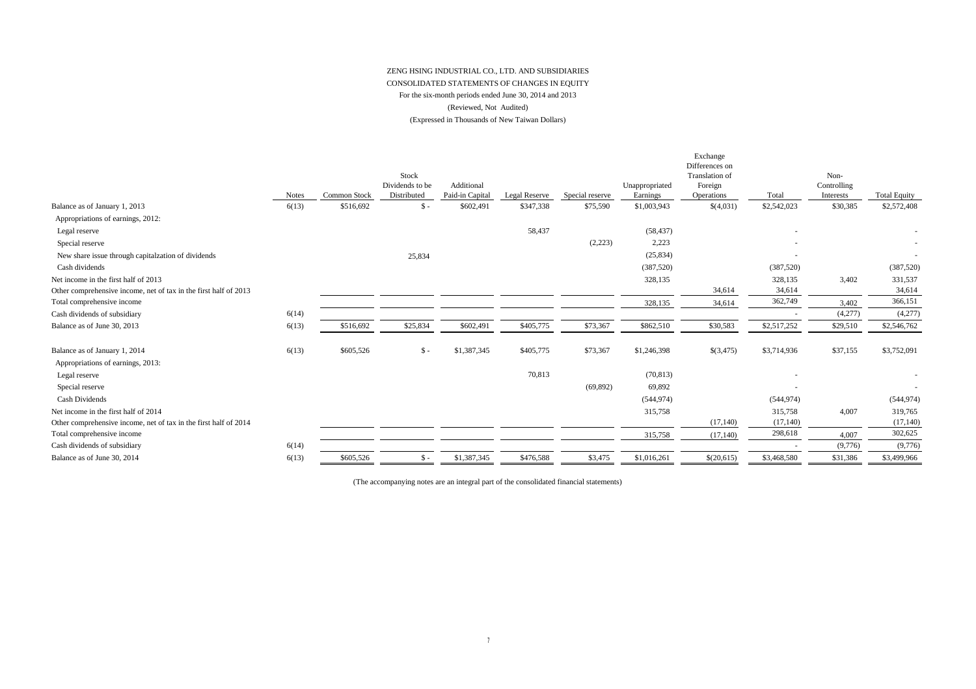#### (Reviewed, Not Audited) (Expressed in Thousands of New Taiwan Dollars) ZENG HSING INDUSTRIAL CO., LTD. AND SUBSIDIARIES CONSOLIDATED STATEMENTS OF CHANGES IN EQUITY For the six-month periods ended June 30, 2014 and 2013

| \$516,692<br>\$347,338<br>\$1,003,943<br>\$(4,031)<br>\$2,542,023<br>\$30,385<br>6(13)<br>\$602,491<br>\$75,590<br>Balance as of January 1, 2013<br>\$ -<br>Appropriations of earnings, 2012:<br>58,437<br>(58, 437)<br>Legal reserve<br>(2,223)<br>Special reserve<br>2,223<br>New share issue through capitalzation of dividends<br>(25, 834)<br>25,834<br>(387, 520)<br>(387, 520)<br>Cash dividends<br>328,135<br>328,135<br>3,402<br>Net income in the first half of 2013<br>34,614<br>34,614<br>Other comprehensive income, net of tax in the first half of 2013<br>362,749<br>Total comprehensive income<br>3,402<br>328,135<br>34,614<br>Cash dividends of subsidiary<br>(4,277)<br>6(14)<br>\$405,775<br>\$73,367<br>\$30,583<br>Balance as of June 30, 2013<br>\$516,692<br>\$25,834<br>\$602,491<br>\$862,510<br>\$2,517,252<br>6(13)<br>\$29,510<br>\$405,775<br>\$37,155<br>6(13)<br>\$605,526<br>\$1,387,345<br>\$73,367<br>\$1,246,398<br>\$(3,475)<br>\$3,714,936<br>Balance as of January 1, 2014<br>$S -$<br>Appropriations of earnings, 2013:<br>70,813<br>(70, 813)<br>Legal reserve<br>Special reserve<br>69,892<br>(69, 892)<br>Cash Dividends<br>(544, 974)<br>(544, 974)<br>315,758<br>315,758<br>4,007<br>Net income in the first half of 2014<br>(17, 140)<br>(17, 140)<br>Other comprehensive income, net of tax in the first half of 2014<br>298,618<br>Total comprehensive income<br>315,758<br>(17, 140)<br>4,007<br>6(14)<br>(9,776)<br>Cash dividends of subsidiary<br>\$1,387,345<br>\$476,588<br>\$3,475<br>\$1,016,261<br>\$(20,615)<br>\$3,468,580<br>\$605,526<br>\$31,386<br>6(13)<br>$S -$<br>Balance as of June 30, 2014 | <b>Notes</b> | Common Stock | Stock<br>Dividends to be<br>Distributed | Additional<br>Paid-in Capital | Legal Reserve | Special reserve | Unappropriated<br>Earnings | Exchange<br>Differences on<br><b>Translation</b> of<br>Foreign<br><b>Operations</b> | Total | Non-<br>Controlling<br>Interests | <b>Total Equity</b> |
|------------------------------------------------------------------------------------------------------------------------------------------------------------------------------------------------------------------------------------------------------------------------------------------------------------------------------------------------------------------------------------------------------------------------------------------------------------------------------------------------------------------------------------------------------------------------------------------------------------------------------------------------------------------------------------------------------------------------------------------------------------------------------------------------------------------------------------------------------------------------------------------------------------------------------------------------------------------------------------------------------------------------------------------------------------------------------------------------------------------------------------------------------------------------------------------------------------------------------------------------------------------------------------------------------------------------------------------------------------------------------------------------------------------------------------------------------------------------------------------------------------------------------------------------------------------------------------------------------------------------------------------------------------------|--------------|--------------|-----------------------------------------|-------------------------------|---------------|-----------------|----------------------------|-------------------------------------------------------------------------------------|-------|----------------------------------|---------------------|
|                                                                                                                                                                                                                                                                                                                                                                                                                                                                                                                                                                                                                                                                                                                                                                                                                                                                                                                                                                                                                                                                                                                                                                                                                                                                                                                                                                                                                                                                                                                                                                                                                                                                  |              |              |                                         |                               |               |                 |                            |                                                                                     |       |                                  | \$2,572,408         |
|                                                                                                                                                                                                                                                                                                                                                                                                                                                                                                                                                                                                                                                                                                                                                                                                                                                                                                                                                                                                                                                                                                                                                                                                                                                                                                                                                                                                                                                                                                                                                                                                                                                                  |              |              |                                         |                               |               |                 |                            |                                                                                     |       |                                  |                     |
|                                                                                                                                                                                                                                                                                                                                                                                                                                                                                                                                                                                                                                                                                                                                                                                                                                                                                                                                                                                                                                                                                                                                                                                                                                                                                                                                                                                                                                                                                                                                                                                                                                                                  |              |              |                                         |                               |               |                 |                            |                                                                                     |       |                                  |                     |
|                                                                                                                                                                                                                                                                                                                                                                                                                                                                                                                                                                                                                                                                                                                                                                                                                                                                                                                                                                                                                                                                                                                                                                                                                                                                                                                                                                                                                                                                                                                                                                                                                                                                  |              |              |                                         |                               |               |                 |                            |                                                                                     |       |                                  |                     |
|                                                                                                                                                                                                                                                                                                                                                                                                                                                                                                                                                                                                                                                                                                                                                                                                                                                                                                                                                                                                                                                                                                                                                                                                                                                                                                                                                                                                                                                                                                                                                                                                                                                                  |              |              |                                         |                               |               |                 |                            |                                                                                     |       |                                  | $\sim$              |
|                                                                                                                                                                                                                                                                                                                                                                                                                                                                                                                                                                                                                                                                                                                                                                                                                                                                                                                                                                                                                                                                                                                                                                                                                                                                                                                                                                                                                                                                                                                                                                                                                                                                  |              |              |                                         |                               |               |                 |                            |                                                                                     |       |                                  | (387, 520)          |
|                                                                                                                                                                                                                                                                                                                                                                                                                                                                                                                                                                                                                                                                                                                                                                                                                                                                                                                                                                                                                                                                                                                                                                                                                                                                                                                                                                                                                                                                                                                                                                                                                                                                  |              |              |                                         |                               |               |                 |                            |                                                                                     |       |                                  | 331,537             |
|                                                                                                                                                                                                                                                                                                                                                                                                                                                                                                                                                                                                                                                                                                                                                                                                                                                                                                                                                                                                                                                                                                                                                                                                                                                                                                                                                                                                                                                                                                                                                                                                                                                                  |              |              |                                         |                               |               |                 |                            |                                                                                     |       |                                  | 34,614              |
|                                                                                                                                                                                                                                                                                                                                                                                                                                                                                                                                                                                                                                                                                                                                                                                                                                                                                                                                                                                                                                                                                                                                                                                                                                                                                                                                                                                                                                                                                                                                                                                                                                                                  |              |              |                                         |                               |               |                 |                            |                                                                                     |       |                                  | 366,151             |
|                                                                                                                                                                                                                                                                                                                                                                                                                                                                                                                                                                                                                                                                                                                                                                                                                                                                                                                                                                                                                                                                                                                                                                                                                                                                                                                                                                                                                                                                                                                                                                                                                                                                  |              |              |                                         |                               |               |                 |                            |                                                                                     |       |                                  | (4,277)             |
|                                                                                                                                                                                                                                                                                                                                                                                                                                                                                                                                                                                                                                                                                                                                                                                                                                                                                                                                                                                                                                                                                                                                                                                                                                                                                                                                                                                                                                                                                                                                                                                                                                                                  |              |              |                                         |                               |               |                 |                            |                                                                                     |       |                                  | \$2,546,762         |
|                                                                                                                                                                                                                                                                                                                                                                                                                                                                                                                                                                                                                                                                                                                                                                                                                                                                                                                                                                                                                                                                                                                                                                                                                                                                                                                                                                                                                                                                                                                                                                                                                                                                  |              |              |                                         |                               |               |                 |                            |                                                                                     |       |                                  | \$3,752,091         |
|                                                                                                                                                                                                                                                                                                                                                                                                                                                                                                                                                                                                                                                                                                                                                                                                                                                                                                                                                                                                                                                                                                                                                                                                                                                                                                                                                                                                                                                                                                                                                                                                                                                                  |              |              |                                         |                               |               |                 |                            |                                                                                     |       |                                  | $\sim$              |
|                                                                                                                                                                                                                                                                                                                                                                                                                                                                                                                                                                                                                                                                                                                                                                                                                                                                                                                                                                                                                                                                                                                                                                                                                                                                                                                                                                                                                                                                                                                                                                                                                                                                  |              |              |                                         |                               |               |                 |                            |                                                                                     |       |                                  | $\sim$              |
|                                                                                                                                                                                                                                                                                                                                                                                                                                                                                                                                                                                                                                                                                                                                                                                                                                                                                                                                                                                                                                                                                                                                                                                                                                                                                                                                                                                                                                                                                                                                                                                                                                                                  |              |              |                                         |                               |               |                 |                            |                                                                                     |       |                                  | (544, 974)          |
|                                                                                                                                                                                                                                                                                                                                                                                                                                                                                                                                                                                                                                                                                                                                                                                                                                                                                                                                                                                                                                                                                                                                                                                                                                                                                                                                                                                                                                                                                                                                                                                                                                                                  |              |              |                                         |                               |               |                 |                            |                                                                                     |       |                                  | 319,765             |
|                                                                                                                                                                                                                                                                                                                                                                                                                                                                                                                                                                                                                                                                                                                                                                                                                                                                                                                                                                                                                                                                                                                                                                                                                                                                                                                                                                                                                                                                                                                                                                                                                                                                  |              |              |                                         |                               |               |                 |                            |                                                                                     |       |                                  | (17, 140)           |
|                                                                                                                                                                                                                                                                                                                                                                                                                                                                                                                                                                                                                                                                                                                                                                                                                                                                                                                                                                                                                                                                                                                                                                                                                                                                                                                                                                                                                                                                                                                                                                                                                                                                  |              |              |                                         |                               |               |                 |                            |                                                                                     |       |                                  | 302,625             |
|                                                                                                                                                                                                                                                                                                                                                                                                                                                                                                                                                                                                                                                                                                                                                                                                                                                                                                                                                                                                                                                                                                                                                                                                                                                                                                                                                                                                                                                                                                                                                                                                                                                                  |              |              |                                         |                               |               |                 |                            |                                                                                     |       |                                  | (9,776)             |
|                                                                                                                                                                                                                                                                                                                                                                                                                                                                                                                                                                                                                                                                                                                                                                                                                                                                                                                                                                                                                                                                                                                                                                                                                                                                                                                                                                                                                                                                                                                                                                                                                                                                  |              |              |                                         |                               |               |                 |                            |                                                                                     |       |                                  | \$3,499,966         |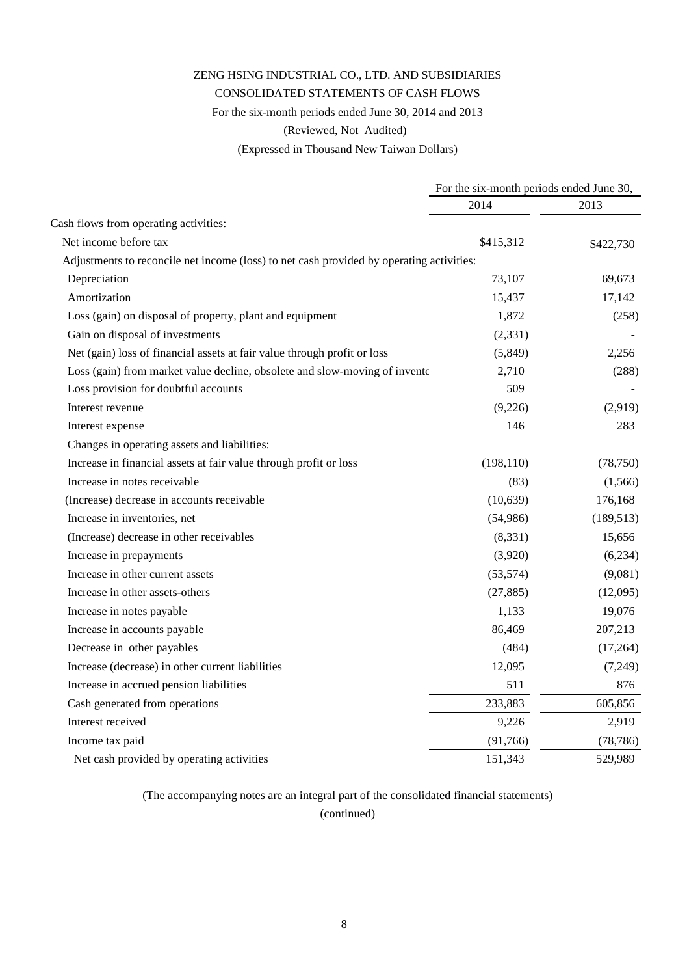#### CONSOLIDATED STATEMENTS OF CASH FLOWS

For the six-month periods ended June 30, 2014 and 2013

(Reviewed, Not Audited)

(Expressed in Thousand New Taiwan Dollars)

|                                                                                          | For the six-month periods ended June 30, |            |  |
|------------------------------------------------------------------------------------------|------------------------------------------|------------|--|
|                                                                                          | 2014                                     | 2013       |  |
| Cash flows from operating activities:                                                    |                                          |            |  |
| Net income before tax                                                                    | \$415,312                                | \$422,730  |  |
| Adjustments to reconcile net income (loss) to net cash provided by operating activities: |                                          |            |  |
| Depreciation                                                                             | 73,107                                   | 69,673     |  |
| Amortization                                                                             | 15,437                                   | 17,142     |  |
| Loss (gain) on disposal of property, plant and equipment                                 | 1,872                                    | (258)      |  |
| Gain on disposal of investments                                                          | (2, 331)                                 |            |  |
| Net (gain) loss of financial assets at fair value through profit or loss                 | (5,849)                                  | 2,256      |  |
| Loss (gain) from market value decline, obsolete and slow-moving of invento               | 2,710                                    | (288)      |  |
| Loss provision for doubtful accounts                                                     | 509                                      |            |  |
| Interest revenue                                                                         | (9,226)                                  | (2,919)    |  |
| Interest expense                                                                         | 146                                      | 283        |  |
| Changes in operating assets and liabilities:                                             |                                          |            |  |
| Increase in financial assets at fair value through profit or loss                        | (198, 110)                               | (78, 750)  |  |
| Increase in notes receivable                                                             | (83)                                     | (1, 566)   |  |
| (Increase) decrease in accounts receivable                                               | (10, 639)                                | 176,168    |  |
| Increase in inventories, net                                                             | (54,986)                                 | (189, 513) |  |
| (Increase) decrease in other receivables                                                 | (8,331)                                  | 15,656     |  |
| Increase in prepayments                                                                  | (3,920)                                  | (6,234)    |  |
| Increase in other current assets                                                         | (53, 574)                                | (9,081)    |  |
| Increase in other assets-others                                                          | (27, 885)                                | (12,095)   |  |
| Increase in notes payable                                                                | 1,133                                    | 19,076     |  |
| Increase in accounts payable                                                             | 86,469                                   | 207,213    |  |
| Decrease in other payables                                                               | (484)                                    | (17,264)   |  |
| Increase (decrease) in other current liabilities                                         | 12,095                                   | (7,249)    |  |
| Increase in accrued pension liabilities                                                  | 511                                      | 876        |  |
| Cash generated from operations                                                           | 233,883                                  | 605,856    |  |
| Interest received                                                                        | 9,226                                    | 2,919      |  |
| Income tax paid                                                                          | (91,766)                                 | (78, 786)  |  |
| Net cash provided by operating activities                                                | 151,343                                  | 529,989    |  |

(The accompanying notes are an integral part of the consolidated financial statements)

(continued)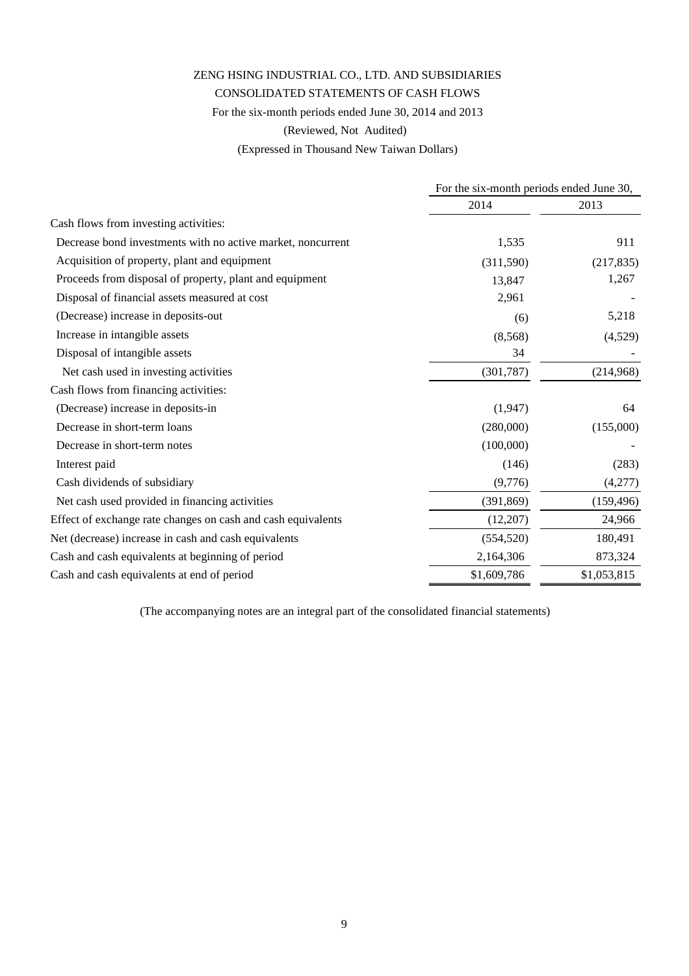### CONSOLIDATED STATEMENTS OF CASH FLOWS

For the six-month periods ended June 30, 2014 and 2013

(Reviewed, Not Audited)

(Expressed in Thousand New Taiwan Dollars)

|                                                              | For the six-month periods ended June 30, |             |
|--------------------------------------------------------------|------------------------------------------|-------------|
|                                                              | 2014                                     | 2013        |
| Cash flows from investing activities:                        |                                          |             |
| Decrease bond investments with no active market, noncurrent  | 1,535                                    | 911         |
| Acquisition of property, plant and equipment                 | (311,590)                                | (217, 835)  |
| Proceeds from disposal of property, plant and equipment      | 13,847                                   | 1,267       |
| Disposal of financial assets measured at cost                | 2,961                                    |             |
| (Decrease) increase in deposits-out                          | (6)                                      | 5,218       |
| Increase in intangible assets                                | (8,568)                                  | (4,529)     |
| Disposal of intangible assets                                | 34                                       |             |
| Net cash used in investing activities                        | (301, 787)                               | (214,968)   |
| Cash flows from financing activities:                        |                                          |             |
| (Decrease) increase in deposits-in                           | (1,947)                                  | 64          |
| Decrease in short-term loans                                 | (280,000)                                | (155,000)   |
| Decrease in short-term notes                                 | (100,000)                                |             |
| Interest paid                                                | (146)                                    | (283)       |
| Cash dividends of subsidiary                                 | (9,776)                                  | (4,277)     |
| Net cash used provided in financing activities               | (391, 869)                               | (159, 496)  |
| Effect of exchange rate changes on cash and cash equivalents | (12,207)                                 | 24,966      |
| Net (decrease) increase in cash and cash equivalents         | (554, 520)                               | 180,491     |
| Cash and cash equivalents at beginning of period             | 2,164,306                                | 873,324     |
| Cash and cash equivalents at end of period                   | \$1,609,786                              | \$1,053,815 |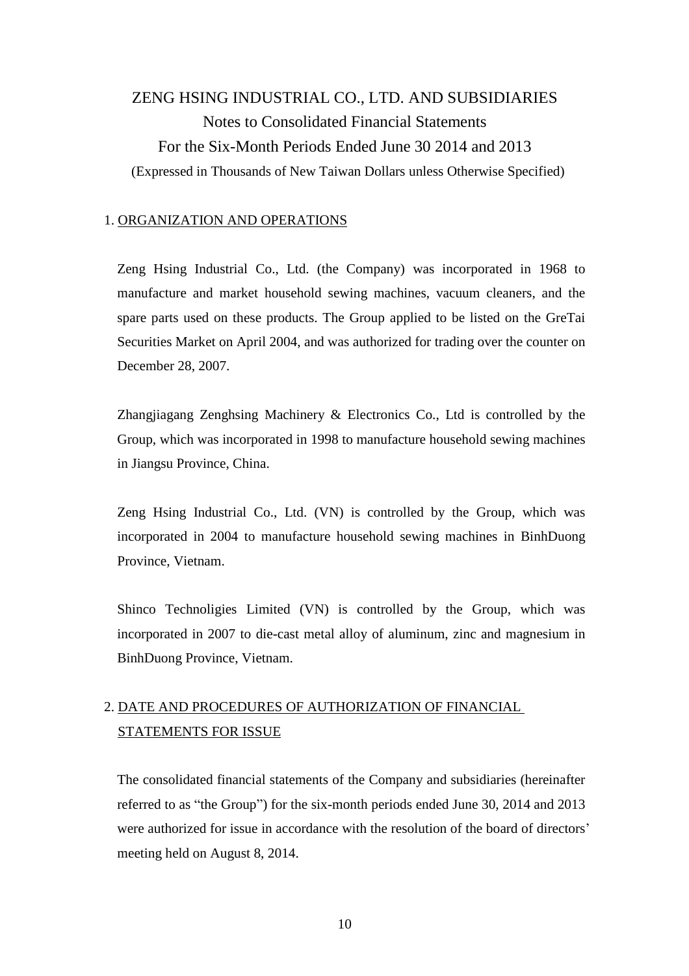# ZENG HSING INDUSTRIAL CO., LTD. AND SUBSIDIARIES Notes to Consolidated Financial Statements For the Six-Month Periods Ended June 30 2014 and 2013 (Expressed in Thousands of New Taiwan Dollars unless Otherwise Specified)

#### 1. ORGANIZATION AND OPERATIONS

Zeng Hsing Industrial Co., Ltd. (the Company) was incorporated in 1968 to manufacture and market household sewing machines, vacuum cleaners, and the spare parts used on these products. The Group applied to be listed on the GreTai Securities Market on April 2004, and was authorized for trading over the counter on December 28, 2007.

Zhangjiagang Zenghsing Machinery & Electronics Co., Ltd is controlled by the Group, which was incorporated in 1998 to manufacture household sewing machines in Jiangsu Province, China.

Zeng Hsing Industrial Co., Ltd. (VN) is controlled by the Group, which was incorporated in 2004 to manufacture household sewing machines in BinhDuong Province, Vietnam.

Shinco Technoligies Limited (VN) is controlled by the Group, which was incorporated in 2007 to die-cast metal alloy of aluminum, zinc and magnesium in BinhDuong Province, Vietnam.

# 2. DATE AND PROCEDURES OF AUTHORIZATION OF FINANCIAL STATEMENTS FOR ISSUE

The consolidated financial statements of the Company and subsidiaries (hereinafter referred to as "the Group") for the six-month periods ended June 30, 2014 and 2013 were authorized for issue in accordance with the resolution of the board of directors' meeting held on August 8, 2014.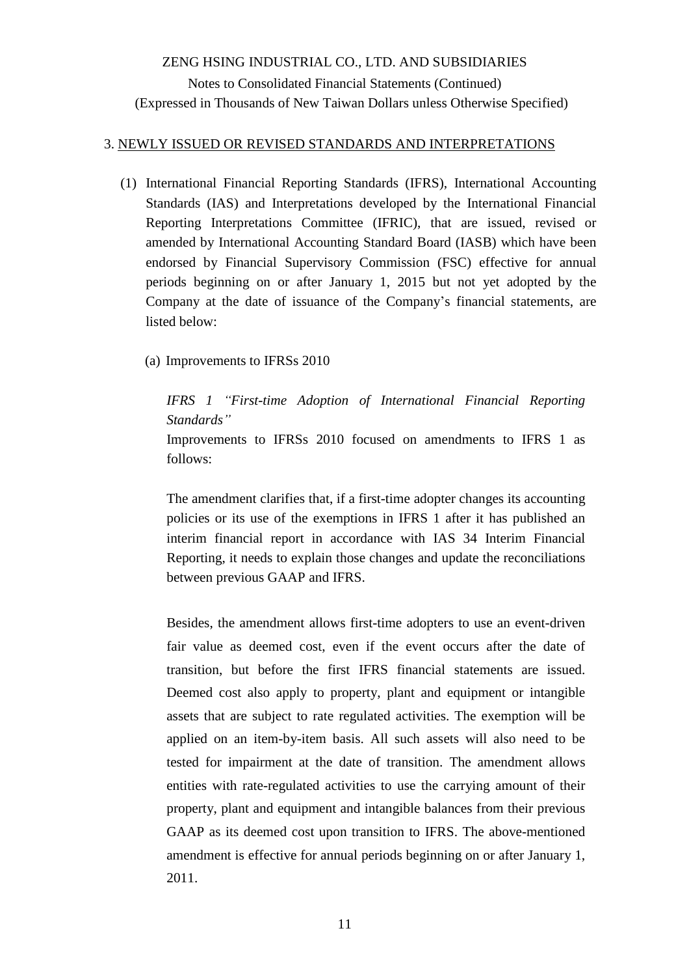### 3. NEWLY ISSUED OR REVISED STANDARDS AND INTERPRETATIONS

- (1) International Financial Reporting Standards (IFRS), International Accounting Standards (IAS) and Interpretations developed by the International Financial Reporting Interpretations Committee (IFRIC), that are issued, revised or amended by International Accounting Standard Board (IASB) which have been endorsed by Financial Supervisory Commission (FSC) effective for annual periods beginning on or after January 1, 2015 but not yet adopted by the Company at the date of issuance of the Company's financial statements, are listed below:
	- (a) Improvements to IFRSs 2010

## *IFRS 1 "First-time Adoption of International Financial Reporting Standards"*

Improvements to IFRSs 2010 focused on amendments to IFRS 1 as follows:

The amendment clarifies that, if a first-time adopter changes its accounting policies or its use of the exemptions in IFRS 1 after it has published an interim financial report in accordance with IAS 34 Interim Financial Reporting, it needs to explain those changes and update the reconciliations between previous GAAP and IFRS.

Besides, the amendment allows first-time adopters to use an event-driven fair value as deemed cost, even if the event occurs after the date of transition, but before the first IFRS financial statements are issued. Deemed cost also apply to property, plant and equipment or intangible assets that are subject to rate regulated activities. The exemption will be applied on an item-by-item basis. All such assets will also need to be tested for impairment at the date of transition. The amendment allows entities with rate-regulated activities to use the carrying amount of their property, plant and equipment and intangible balances from their previous GAAP as its deemed cost upon transition to IFRS. The above-mentioned amendment is effective for annual periods beginning on or after January 1, 2011.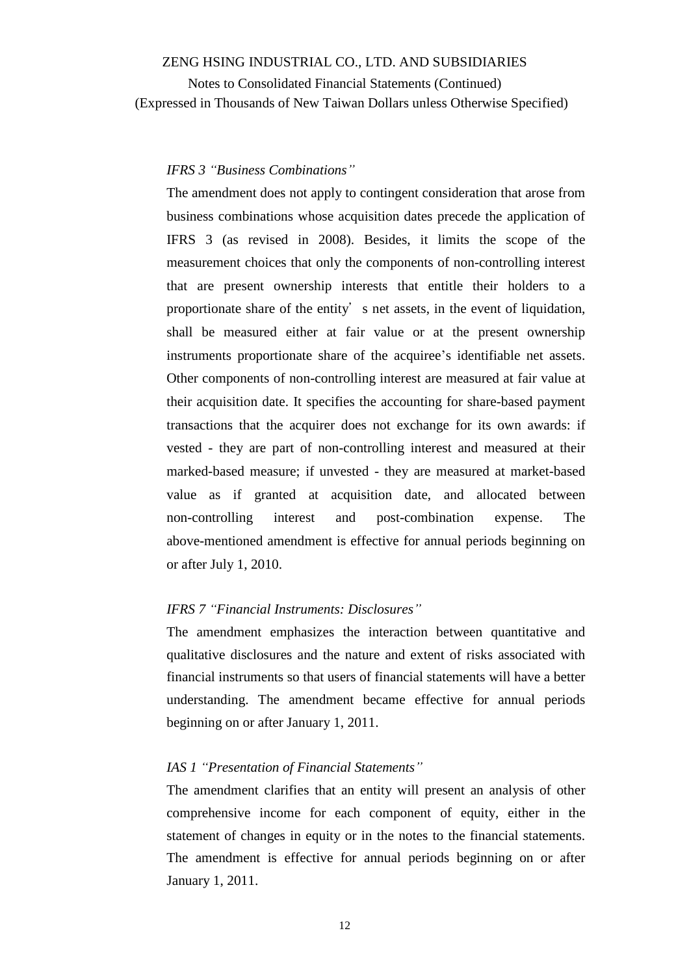Notes to Consolidated Financial Statements (Continued) (Expressed in Thousands of New Taiwan Dollars unless Otherwise Specified)

## *IFRS 3 "Business Combinations"*

The amendment does not apply to contingent consideration that arose from business combinations whose acquisition dates precede the application of IFRS 3 (as revised in 2008). Besides, it limits the scope of the measurement choices that only the components of non-controlling interest that are present ownership interests that entitle their holders to a proportionate share of the entity's net assets, in the event of liquidation, shall be measured either at fair value or at the present ownership instruments proportionate share of the acquiree's identifiable net assets. Other components of non-controlling interest are measured at fair value at their acquisition date. It specifies the accounting for share-based payment transactions that the acquirer does not exchange for its own awards: if vested - they are part of non-controlling interest and measured at their marked-based measure; if unvested - they are measured at market-based value as if granted at acquisition date, and allocated between non-controlling interest and post-combination expense. The above-mentioned amendment is effective for annual periods beginning on or after July 1, 2010.

#### *IFRS 7 "Financial Instruments: Disclosures"*

The amendment emphasizes the interaction between quantitative and qualitative disclosures and the nature and extent of risks associated with financial instruments so that users of financial statements will have a better understanding. The amendment became effective for annual periods beginning on or after January 1, 2011.

#### *IAS 1 "Presentation of Financial Statements"*

The amendment clarifies that an entity will present an analysis of other comprehensive income for each component of equity, either in the statement of changes in equity or in the notes to the financial statements. The amendment is effective for annual periods beginning on or after January 1, 2011.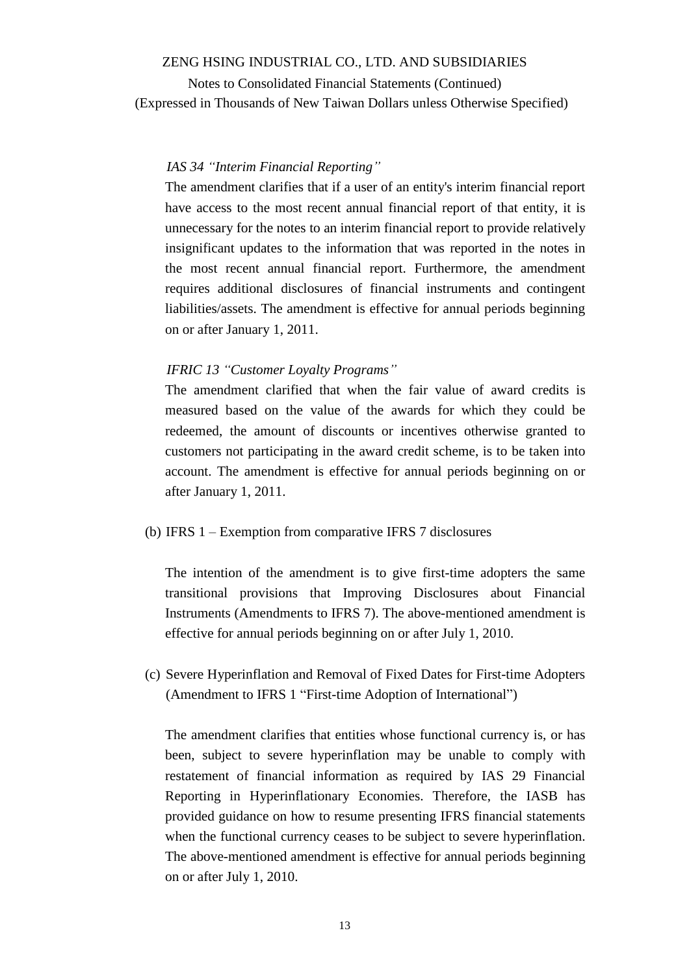Notes to Consolidated Financial Statements (Continued) (Expressed in Thousands of New Taiwan Dollars unless Otherwise Specified)

#### *IAS 34 "Interim Financial Reporting"*

The amendment clarifies that if a user of an entity's interim financial report have access to the most recent annual financial report of that entity, it is unnecessary for the notes to an interim financial report to provide relatively insignificant updates to the information that was reported in the notes in the most recent annual financial report. Furthermore, the amendment requires additional disclosures of financial instruments and contingent liabilities/assets. The amendment is effective for annual periods beginning on or after January 1, 2011.

#### *IFRIC 13 "Customer Loyalty Programs"*

The amendment clarified that when the fair value of award credits is measured based on the value of the awards for which they could be redeemed, the amount of discounts or incentives otherwise granted to customers not participating in the award credit scheme, is to be taken into account. The amendment is effective for annual periods beginning on or after January 1, 2011.

#### (b) IFRS 1 – Exemption from comparative IFRS 7 disclosures

The intention of the amendment is to give first-time adopters the same transitional provisions that Improving Disclosures about Financial Instruments (Amendments to IFRS 7). The above-mentioned amendment is effective for annual periods beginning on or after July 1, 2010.

(c) Severe Hyperinflation and Removal of Fixed Dates for First-time Adopters (Amendment to IFRS 1 "First-time Adoption of International")

The amendment clarifies that entities whose functional currency is, or has been, subject to severe hyperinflation may be unable to comply with restatement of financial information as required by IAS 29 Financial Reporting in Hyperinflationary Economies. Therefore, the IASB has provided guidance on how to resume presenting IFRS financial statements when the functional currency ceases to be subject to severe hyperinflation. The above-mentioned amendment is effective for annual periods beginning on or after July 1, 2010.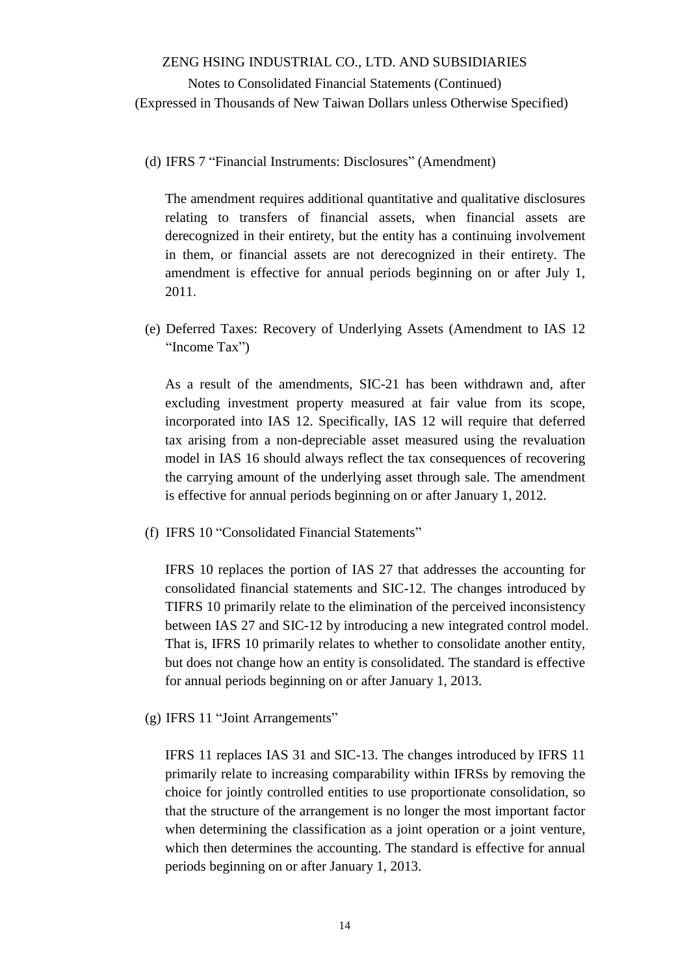Notes to Consolidated Financial Statements (Continued) (Expressed in Thousands of New Taiwan Dollars unless Otherwise Specified)

(d) IFRS 7 "Financial Instruments: Disclosures" (Amendment)

The amendment requires additional quantitative and qualitative disclosures relating to transfers of financial assets, when financial assets are derecognized in their entirety, but the entity has a continuing involvement in them, or financial assets are not derecognized in their entirety. The amendment is effective for annual periods beginning on or after July 1, 2011.

(e) Deferred Taxes: Recovery of Underlying Assets (Amendment to IAS 12 "Income Tax")

As a result of the amendments, SIC-21 has been withdrawn and, after excluding investment property measured at fair value from its scope, incorporated into IAS 12. Specifically, IAS 12 will require that deferred tax arising from a non-depreciable asset measured using the revaluation model in IAS 16 should always reflect the tax consequences of recovering the carrying amount of the underlying asset through sale. The amendment is effective for annual periods beginning on or after January 1, 2012.

(f) IFRS 10 "Consolidated Financial Statements"

IFRS 10 replaces the portion of IAS 27 that addresses the accounting for consolidated financial statements and SIC-12. The changes introduced by TIFRS 10 primarily relate to the elimination of the perceived inconsistency between IAS 27 and SIC-12 by introducing a new integrated control model. That is, IFRS 10 primarily relates to whether to consolidate another entity, but does not change how an entity is consolidated. The standard is effective for annual periods beginning on or after January 1, 2013.

(g) IFRS 11 "Joint Arrangements"

IFRS 11 replaces IAS 31 and SIC-13. The changes introduced by IFRS 11 primarily relate to increasing comparability within IFRSs by removing the choice for jointly controlled entities to use proportionate consolidation, so that the structure of the arrangement is no longer the most important factor when determining the classification as a joint operation or a joint venture, which then determines the accounting. The standard is effective for annual periods beginning on or after January 1, 2013.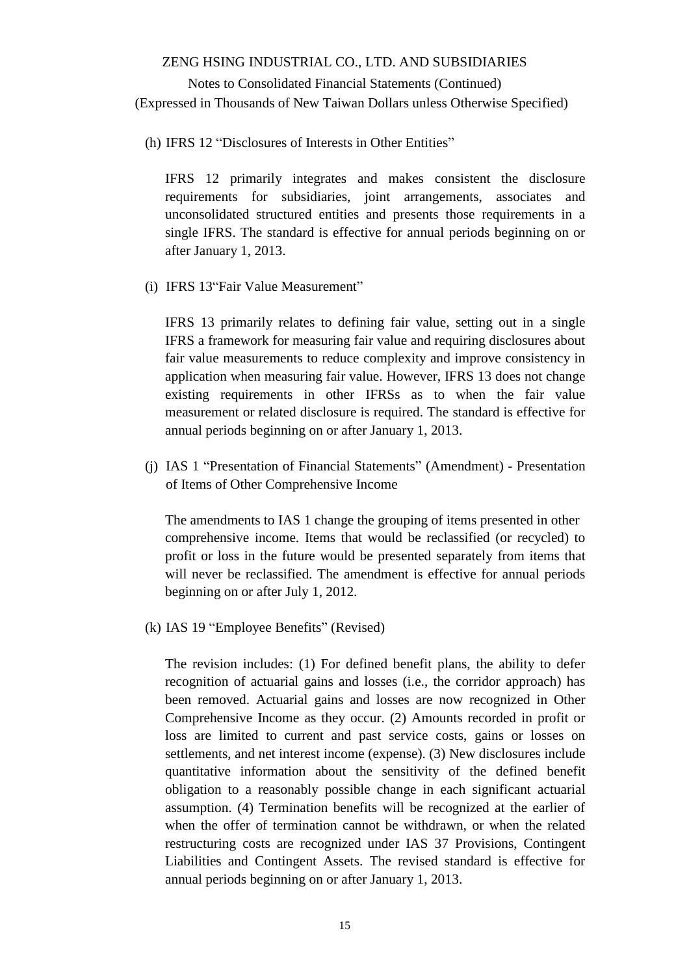## Notes to Consolidated Financial Statements (Continued) (Expressed in Thousands of New Taiwan Dollars unless Otherwise Specified)

(h) IFRS 12 "Disclosures of Interests in Other Entities"

IFRS 12 primarily integrates and makes consistent the disclosure requirements for subsidiaries, joint arrangements, associates and unconsolidated structured entities and presents those requirements in a single IFRS. The standard is effective for annual periods beginning on or after January 1, 2013.

(i) IFRS 13"Fair Value Measurement"

IFRS 13 primarily relates to defining fair value, setting out in a single IFRS a framework for measuring fair value and requiring disclosures about fair value measurements to reduce complexity and improve consistency in application when measuring fair value. However, IFRS 13 does not change existing requirements in other IFRSs as to when the fair value measurement or related disclosure is required. The standard is effective for annual periods beginning on or after January 1, 2013.

(j) IAS 1 "Presentation of Financial Statements" (Amendment) - Presentation of Items of Other Comprehensive Income

The amendments to IAS 1 change the grouping of items presented in other comprehensive income. Items that would be reclassified (or recycled) to profit or loss in the future would be presented separately from items that will never be reclassified. The amendment is effective for annual periods beginning on or after July 1, 2012.

(k) IAS 19 "Employee Benefits" (Revised)

The revision includes: (1) For defined benefit plans, the ability to defer recognition of actuarial gains and losses (i.e., the corridor approach) has been removed. Actuarial gains and losses are now recognized in Other Comprehensive Income as they occur. (2) Amounts recorded in profit or loss are limited to current and past service costs, gains or losses on settlements, and net interest income (expense). (3) New disclosures include quantitative information about the sensitivity of the defined benefit obligation to a reasonably possible change in each significant actuarial assumption. (4) Termination benefits will be recognized at the earlier of when the offer of termination cannot be withdrawn, or when the related restructuring costs are recognized under IAS 37 Provisions, Contingent Liabilities and Contingent Assets. The revised standard is effective for annual periods beginning on or after January 1, 2013.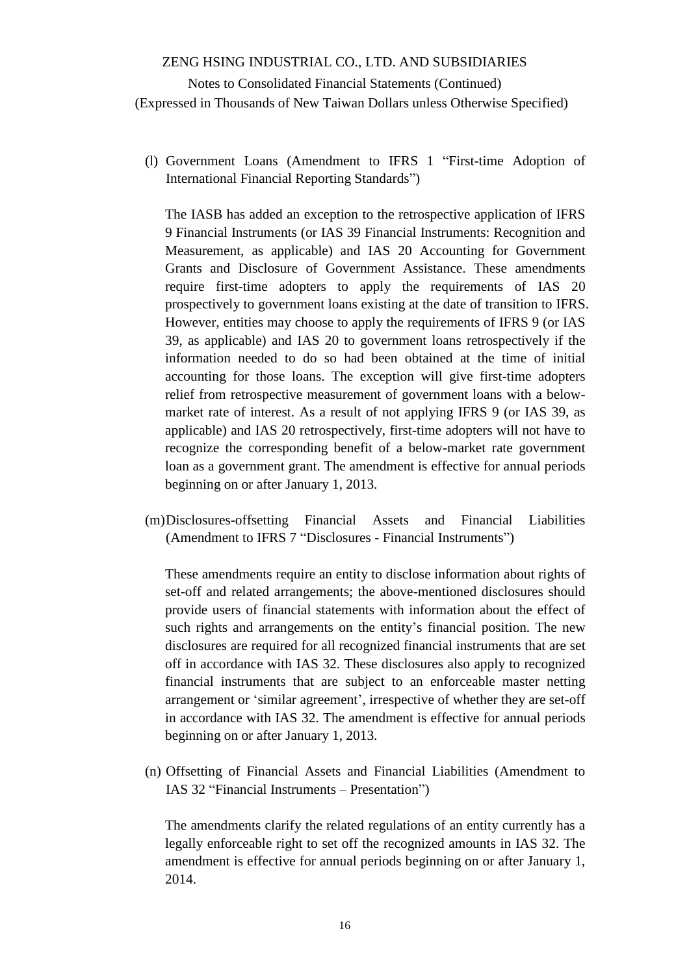(l) Government Loans (Amendment to IFRS 1 "First-time Adoption of International Financial Reporting Standards")

The IASB has added an exception to the retrospective application of IFRS 9 Financial Instruments (or IAS 39 Financial Instruments: Recognition and Measurement, as applicable) and IAS 20 Accounting for Government Grants and Disclosure of Government Assistance. These amendments require first-time adopters to apply the requirements of IAS 20 prospectively to government loans existing at the date of transition to IFRS. However, entities may choose to apply the requirements of IFRS 9 (or IAS 39, as applicable) and IAS 20 to government loans retrospectively if the information needed to do so had been obtained at the time of initial accounting for those loans. The exception will give first-time adopters relief from retrospective measurement of government loans with a belowmarket rate of interest. As a result of not applying IFRS 9 (or IAS 39, as applicable) and IAS 20 retrospectively, first-time adopters will not have to recognize the corresponding benefit of a below-market rate government loan as a government grant. The amendment is effective for annual periods beginning on or after January 1, 2013.

(m)Disclosures-offsetting Financial Assets and Financial Liabilities (Amendment to IFRS 7 "Disclosures - Financial Instruments")

These amendments require an entity to disclose information about rights of set-off and related arrangements; the above-mentioned disclosures should provide users of financial statements with information about the effect of such rights and arrangements on the entity's financial position. The new disclosures are required for all recognized financial instruments that are set off in accordance with IAS 32. These disclosures also apply to recognized financial instruments that are subject to an enforceable master netting arrangement or 'similar agreement', irrespective of whether they are set-off in accordance with IAS 32. The amendment is effective for annual periods beginning on or after January 1, 2013.

(n) Offsetting of Financial Assets and Financial Liabilities (Amendment to IAS 32 "Financial Instruments – Presentation")

The amendments clarify the related regulations of an entity currently has a legally enforceable right to set off the recognized amounts in IAS 32. The amendment is effective for annual periods beginning on or after January 1, 2014.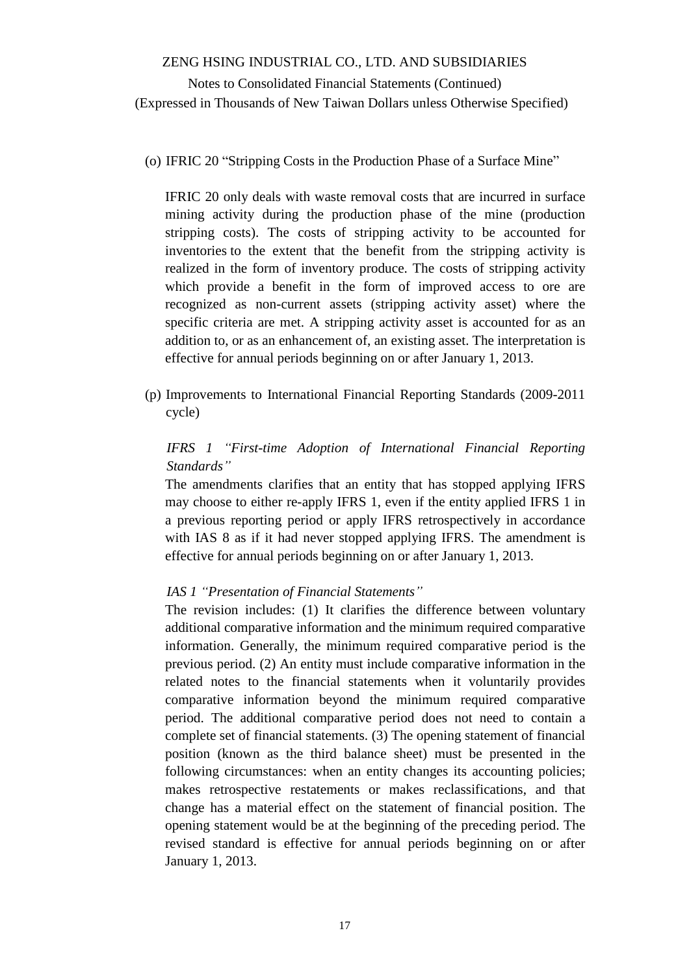## Notes to Consolidated Financial Statements (Continued) (Expressed in Thousands of New Taiwan Dollars unless Otherwise Specified)

(o) IFRIC 20 "Stripping Costs in the Production Phase of a Surface Mine"

IFRIC 20 only deals with waste removal costs that are incurred in surface mining activity during the production phase of the mine (production stripping costs). The costs of stripping activity to be accounted for inventories to the extent that the benefit from the stripping activity is realized in the form of inventory produce. The costs of stripping activity which provide a benefit in the form of improved access to ore are recognized as non-current assets (stripping activity asset) where the specific criteria are met. A stripping activity asset is accounted for as an addition to, or as an enhancement of, an existing asset. The interpretation is effective for annual periods beginning on or after January 1, 2013.

(p) Improvements to International Financial Reporting Standards (2009-2011 cycle)

## *IFRS 1 "First-time Adoption of International Financial Reporting Standards"*

The amendments clarifies that an entity that has stopped applying IFRS may choose to either re-apply IFRS 1, even if the entity applied IFRS 1 in a previous reporting period or apply IFRS retrospectively in accordance with IAS 8 as if it had never stopped applying IFRS. The amendment is effective for annual periods beginning on or after January 1, 2013.

### *IAS 1 "Presentation of Financial Statements"*

The revision includes: (1) It clarifies the difference between voluntary additional comparative information and the minimum required comparative information. Generally, the minimum required comparative period is the previous period. (2) An entity must include comparative information in the related notes to the financial statements when it voluntarily provides comparative information beyond the minimum required comparative period. The additional comparative period does not need to contain a complete set of financial statements. (3) The opening statement of financial position (known as the third balance sheet) must be presented in the following circumstances: when an entity changes its accounting policies; makes retrospective restatements or makes reclassifications, and that change has a material effect on the statement of financial position. The opening statement would be at the beginning of the preceding period. The revised standard is effective for annual periods beginning on or after January 1, 2013.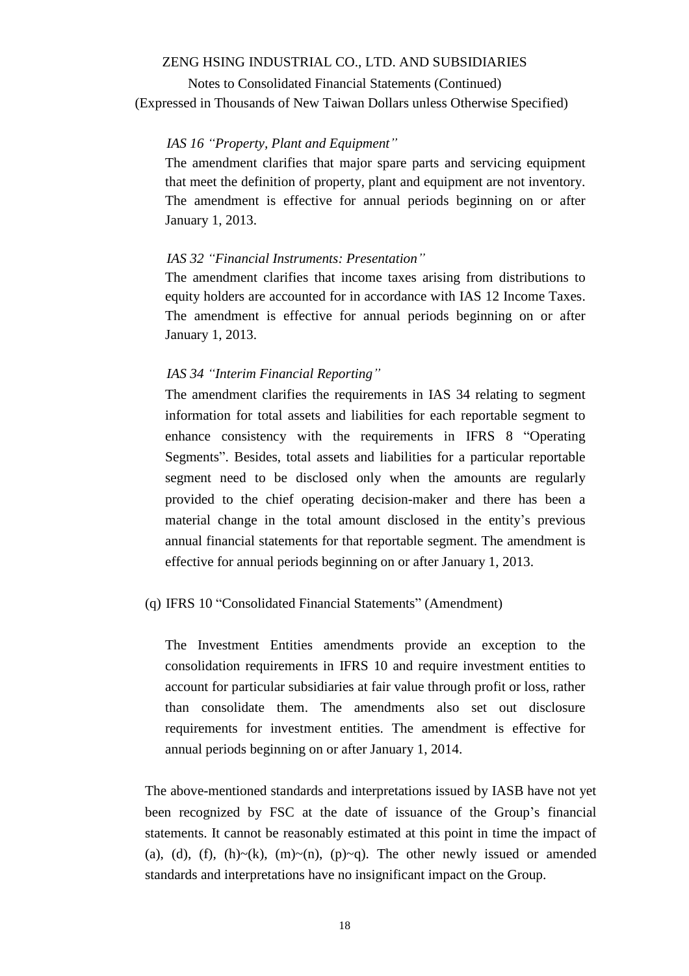Notes to Consolidated Financial Statements (Continued) (Expressed in Thousands of New Taiwan Dollars unless Otherwise Specified)

#### *IAS 16 "Property, Plant and Equipment"*

The amendment clarifies that major spare parts and servicing equipment that meet the definition of property, plant and equipment are not inventory. The amendment is effective for annual periods beginning on or after January 1, 2013.

#### *IAS 32 "Financial Instruments: Presentation"*

The amendment clarifies that income taxes arising from distributions to equity holders are accounted for in accordance with IAS 12 Income Taxes. The amendment is effective for annual periods beginning on or after January 1, 2013.

#### *IAS 34 "Interim Financial Reporting"*

The amendment clarifies the requirements in IAS 34 relating to segment information for total assets and liabilities for each reportable segment to enhance consistency with the requirements in IFRS 8 "Operating Segments". Besides, total assets and liabilities for a particular reportable segment need to be disclosed only when the amounts are regularly provided to the chief operating decision-maker and there has been a material change in the total amount disclosed in the entity's previous annual financial statements for that reportable segment. The amendment is effective for annual periods beginning on or after January 1, 2013.

### (q) IFRS 10 "Consolidated Financial Statements" (Amendment)

The Investment Entities amendments provide an exception to the consolidation requirements in IFRS 10 and require investment entities to account for particular subsidiaries at fair value through profit or loss, rather than consolidate them. The amendments also set out disclosure requirements for investment entities. The amendment is effective for annual periods beginning on or after January 1, 2014.

The above-mentioned standards and interpretations issued by IASB have not yet been recognized by FSC at the date of issuance of the Group's financial statements. It cannot be reasonably estimated at this point in time the impact of (a), (d), (f), (h)~(k), (m)~(n), (p)~q). The other newly issued or amended standards and interpretations have no insignificant impact on the Group.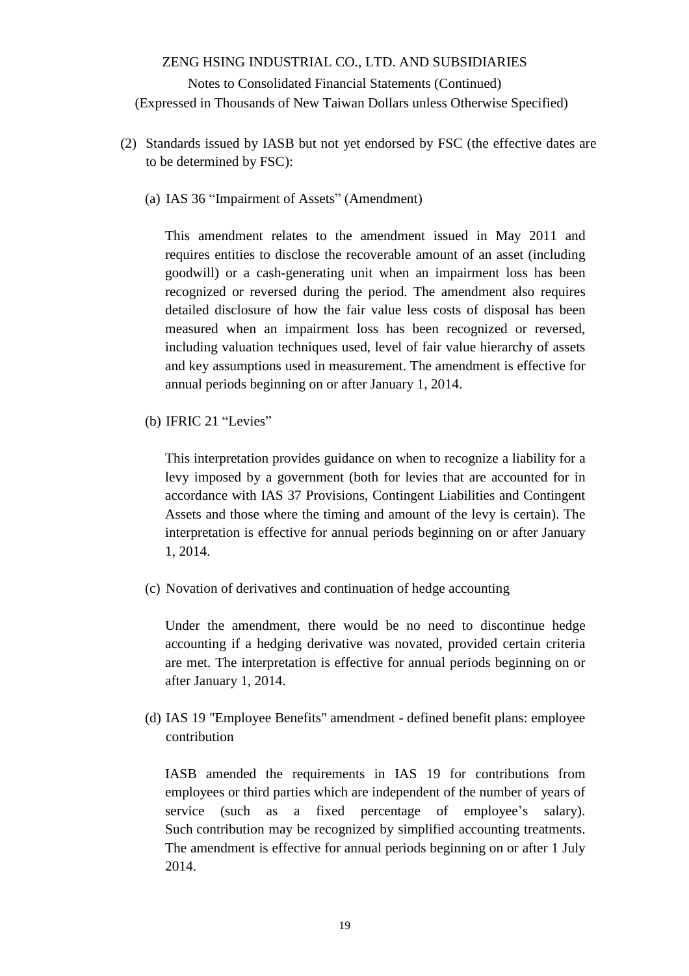- (2) Standards issued by IASB but not yet endorsed by FSC (the effective dates are to be determined by FSC):
	- (a) IAS 36 "Impairment of Assets" (Amendment)

This amendment relates to the amendment issued in May 2011 and requires entities to disclose the recoverable amount of an asset (including goodwill) or a cash-generating unit when an impairment loss has been recognized or reversed during the period. The amendment also requires detailed disclosure of how the fair value less costs of disposal has been measured when an impairment loss has been recognized or reversed, including valuation techniques used, level of fair value hierarchy of assets and key assumptions used in measurement. The amendment is effective for annual periods beginning on or after January 1, 2014.

(b) IFRIC 21 "Levies"

This interpretation provides guidance on when to recognize a liability for a levy imposed by a government (both for levies that are accounted for in accordance with IAS 37 Provisions, Contingent Liabilities and Contingent Assets and those where the timing and amount of the levy is certain). The interpretation is effective for annual periods beginning on or after January 1, 2014.

(c) Novation of derivatives and continuation of hedge accounting

Under the amendment, there would be no need to discontinue hedge accounting if a hedging derivative was novated, provided certain criteria are met. The interpretation is effective for annual periods beginning on or after January 1, 2014.

(d) IAS 19 "Employee Benefits" amendment - defined benefit plans: employee contribution

IASB amended the requirements in IAS 19 for contributions from employees or third parties which are independent of the number of years of service (such as a fixed percentage of employee's salary). Such contribution may be recognized by simplified accounting treatments. The amendment is effective for annual periods beginning on or after 1 July 2014.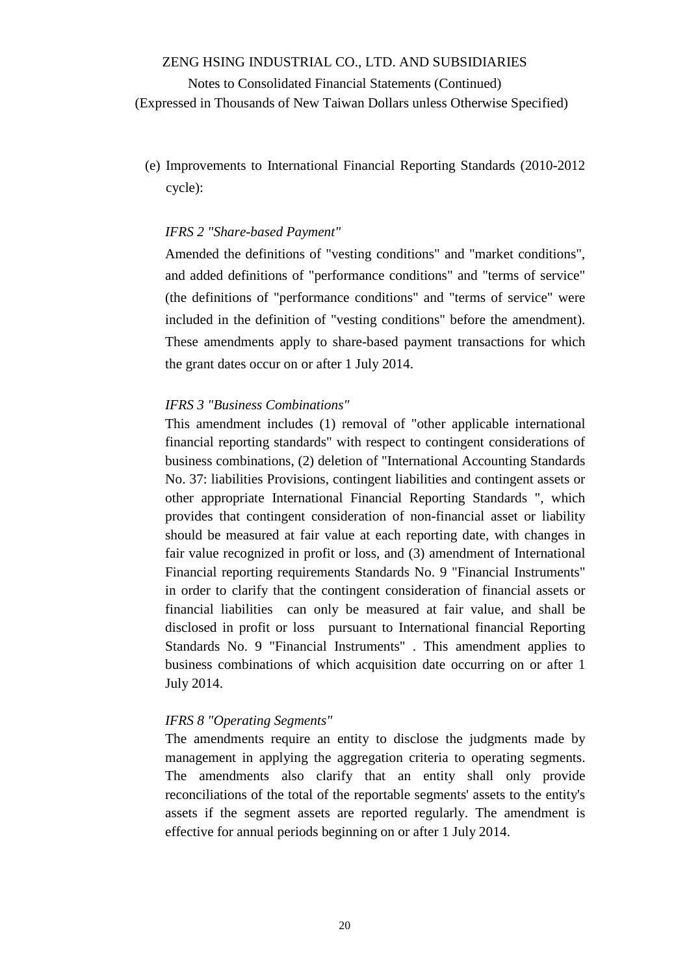Notes to Consolidated Financial Statements (Continued) (Expressed in Thousands of New Taiwan Dollars unless Otherwise Specified)

(e) Improvements to International Financial Reporting Standards (2010-2012 cycle):

#### *IFRS 2 "Share-based Payment"*

Amended the definitions of "vesting conditions" and "market conditions", and added definitions of "performance conditions" and "terms of service" (the definitions of "performance conditions" and "terms of service" were included in the definition of "vesting conditions" before the amendment). These amendments apply to share-based payment transactions for which the grant dates occur on or after 1 July 2014.

#### *IFRS 3 "Business Combinations"*

This amendment includes (1) removal of "other applicable international financial reporting standards" with respect to contingent considerations of business combinations, (2) deletion of "International Accounting Standards No. 37: liabilities Provisions, contingent liabilities and contingent assets or other appropriate International Financial Reporting Standards ", which provides that contingent consideration of non-financial asset or liability should be measured at fair value at each reporting date, with changes in fair value recognized in profit or loss, and (3) amendment of International Financial reporting requirements Standards No. 9 "Financial Instruments" in order to clarify that the contingent consideration of financial assets or financial liabilities can only be measured at fair value, and shall be disclosed in profit or loss pursuant to International financial Reporting Standards No. 9 "Financial Instruments" . This amendment applies to business combinations of which acquisition date occurring on or after 1 July 2014.

#### *IFRS 8 "Operating Segments"*

The amendments require an entity to disclose the judgments made by management in applying the aggregation criteria to operating segments. The amendments also clarify that an entity shall only provide reconciliations of the total of the reportable segments' assets to the entity's assets if the segment assets are reported regularly. The amendment is effective for annual periods beginning on or after 1 July 2014.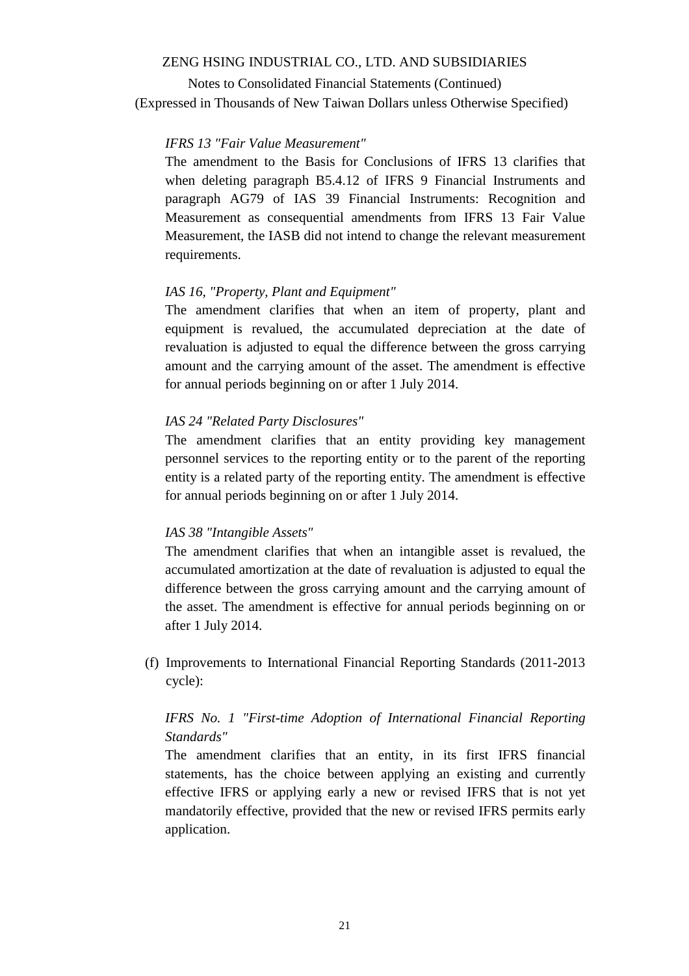Notes to Consolidated Financial Statements (Continued) (Expressed in Thousands of New Taiwan Dollars unless Otherwise Specified)

### *IFRS 13 "Fair Value Measurement"*

The amendment to the Basis for Conclusions of IFRS 13 clarifies that when deleting paragraph B5.4.12 of IFRS 9 Financial Instruments and paragraph AG79 of IAS 39 Financial Instruments: Recognition and Measurement as consequential amendments from IFRS 13 Fair Value Measurement, the IASB did not intend to change the relevant measurement requirements.

#### *IAS 16, "Property, Plant and Equipment"*

The amendment clarifies that when an item of property, plant and equipment is revalued, the accumulated depreciation at the date of revaluation is adjusted to equal the difference between the gross carrying amount and the carrying amount of the asset. The amendment is effective for annual periods beginning on or after 1 July 2014.

### *IAS 24 "Related Party Disclosures"*

The amendment clarifies that an entity providing key management personnel services to the reporting entity or to the parent of the reporting entity is a related party of the reporting entity. The amendment is effective for annual periods beginning on or after 1 July 2014.

#### *IAS 38 "Intangible Assets"*

The amendment clarifies that when an intangible asset is revalued, the accumulated amortization at the date of revaluation is adjusted to equal the difference between the gross carrying amount and the carrying amount of the asset. The amendment is effective for annual periods beginning on or after 1 July 2014.

(f) Improvements to International Financial Reporting Standards (2011-2013 cycle):

## *IFRS No. 1 "First-time Adoption of International Financial Reporting Standards"*

The amendment clarifies that an entity, in its first IFRS financial statements, has the choice between applying an existing and currently effective IFRS or applying early a new or revised IFRS that is not yet mandatorily effective, provided that the new or revised IFRS permits early application.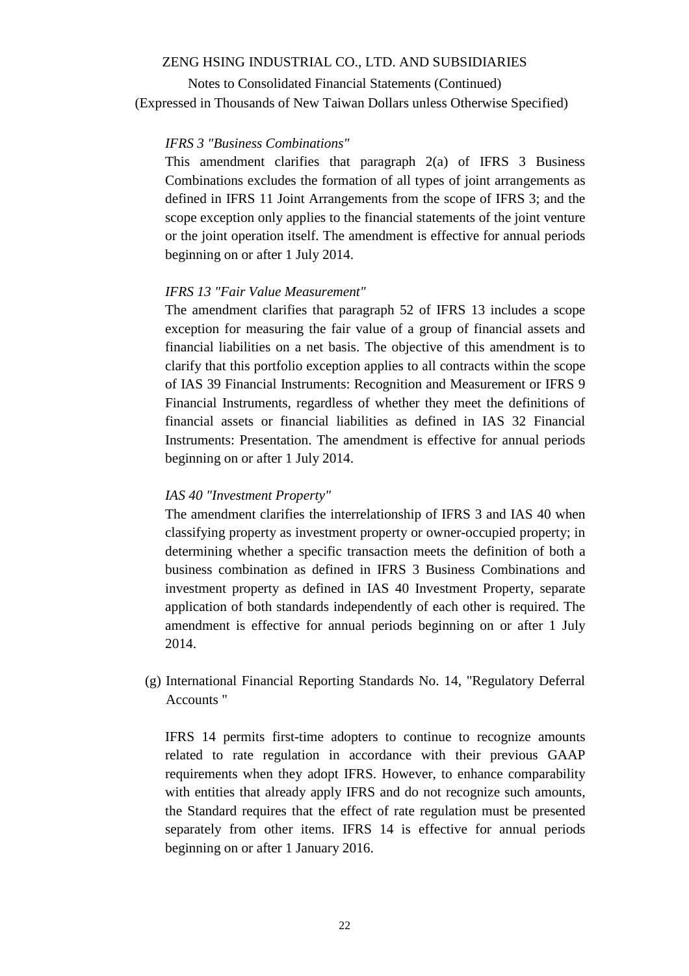Notes to Consolidated Financial Statements (Continued) (Expressed in Thousands of New Taiwan Dollars unless Otherwise Specified)

#### *IFRS 3 "Business Combinations"*

This amendment clarifies that paragraph 2(a) of IFRS 3 Business Combinations excludes the formation of all types of joint arrangements as defined in IFRS 11 Joint Arrangements from the scope of IFRS 3; and the scope exception only applies to the financial statements of the joint venture or the joint operation itself. The amendment is effective for annual periods beginning on or after 1 July 2014.

#### *IFRS 13 "Fair Value Measurement"*

The amendment clarifies that paragraph 52 of IFRS 13 includes a scope exception for measuring the fair value of a group of financial assets and financial liabilities on a net basis. The objective of this amendment is to clarify that this portfolio exception applies to all contracts within the scope of IAS 39 Financial Instruments: Recognition and Measurement or IFRS 9 Financial Instruments, regardless of whether they meet the definitions of financial assets or financial liabilities as defined in IAS 32 Financial Instruments: Presentation. The amendment is effective for annual periods beginning on or after 1 July 2014.

#### *IAS 40 "Investment Property"*

The amendment clarifies the interrelationship of IFRS 3 and IAS 40 when classifying property as investment property or owner-occupied property; in determining whether a specific transaction meets the definition of both a business combination as defined in IFRS 3 Business Combinations and investment property as defined in IAS 40 Investment Property, separate application of both standards independently of each other is required. The amendment is effective for annual periods beginning on or after 1 July 2014.

(g) International Financial Reporting Standards No. 14, "Regulatory Deferral Accounts "

IFRS 14 permits first-time adopters to continue to recognize amounts related to rate regulation in accordance with their previous GAAP requirements when they adopt IFRS. However, to enhance comparability with entities that already apply IFRS and do not recognize such amounts, the Standard requires that the effect of rate regulation must be presented separately from other items. IFRS 14 is effective for annual periods beginning on or after 1 January 2016.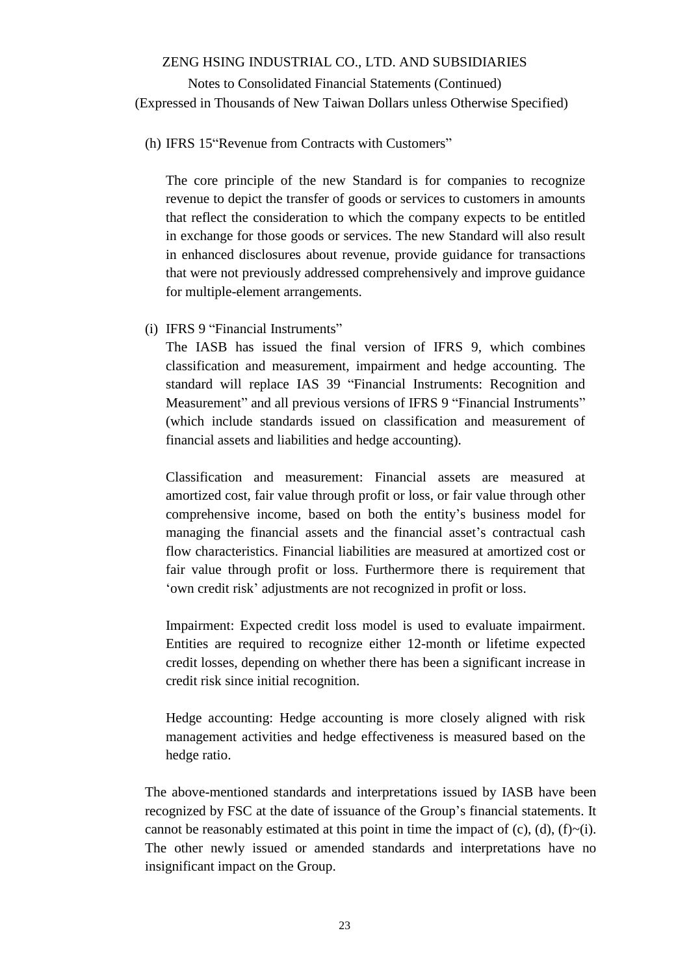## Notes to Consolidated Financial Statements (Continued) (Expressed in Thousands of New Taiwan Dollars unless Otherwise Specified)

#### (h) IFRS 15"Revenue from Contracts with Customers"

The core principle of the new Standard is for companies to recognize revenue to depict the transfer of goods or services to customers in amounts that reflect the consideration to which the company expects to be entitled in exchange for those goods or services. The new Standard will also result in enhanced disclosures about revenue, provide guidance for transactions that were not previously addressed comprehensively and improve guidance for multiple-element arrangements.

(i) IFRS 9 "Financial Instruments"

The IASB has issued the final version of IFRS 9, which combines classification and measurement, impairment and hedge accounting. The standard will replace IAS 39 "Financial Instruments: Recognition and Measurement" and all previous versions of IFRS 9 "Financial Instruments" (which include standards issued on classification and measurement of financial assets and liabilities and hedge accounting).

Classification and measurement: Financial assets are measured at amortized cost, fair value through profit or loss, or fair value through other comprehensive income, based on both the entity's business model for managing the financial assets and the financial asset's contractual cash flow characteristics. Financial liabilities are measured at amortized cost or fair value through profit or loss. Furthermore there is requirement that 'own credit risk' adjustments are not recognized in profit or loss.

Impairment: Expected credit loss model is used to evaluate impairment. Entities are required to recognize either 12-month or lifetime expected credit losses, depending on whether there has been a significant increase in credit risk since initial recognition.

Hedge accounting: Hedge accounting is more closely aligned with risk management activities and hedge effectiveness is measured based on the hedge ratio.

The above-mentioned standards and interpretations issued by IASB have been recognized by FSC at the date of issuance of the Group's financial statements. It cannot be reasonably estimated at this point in time the impact of  $(c)$ ,  $(d)$ ,  $(f)~(i)$ . The other newly issued or amended standards and interpretations have no insignificant impact on the Group.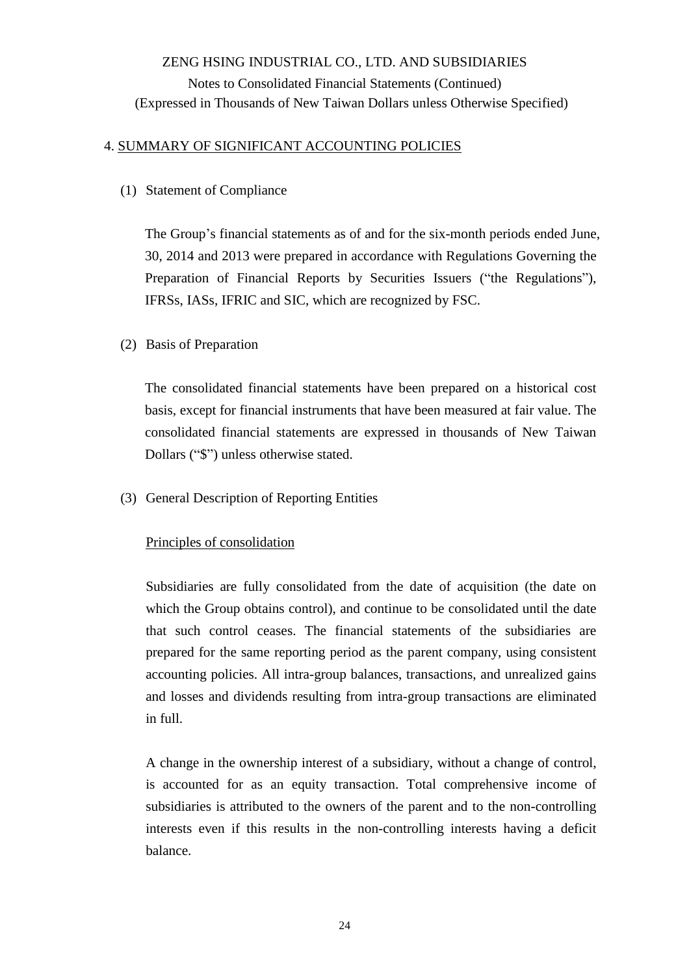### 4. SUMMARY OF SIGNIFICANT ACCOUNTING POLICIES

(1) Statement of Compliance

The Group's financial statements as of and for the six-month periods ended June, 30, 2014 and 2013 were prepared in accordance with Regulations Governing the Preparation of Financial Reports by Securities Issuers ("the Regulations"), IFRSs, IASs, IFRIC and SIC, which are recognized by FSC.

(2) Basis of Preparation

The consolidated financial statements have been prepared on a historical cost basis, except for financial instruments that have been measured at fair value. The consolidated financial statements are expressed in thousands of New Taiwan Dollars ("\$") unless otherwise stated.

(3) General Description of Reporting Entities

## Principles of consolidation

Subsidiaries are fully consolidated from the date of acquisition (the date on which the Group obtains control), and continue to be consolidated until the date that such control ceases. The financial statements of the subsidiaries are prepared for the same reporting period as the parent company, using consistent accounting policies. All intra-group balances, transactions, and unrealized gains and losses and dividends resulting from intra-group transactions are eliminated in full.

A change in the ownership interest of a subsidiary, without a change of control, is accounted for as an equity transaction. Total comprehensive income of subsidiaries is attributed to the owners of the parent and to the non-controlling interests even if this results in the non-controlling interests having a deficit balance.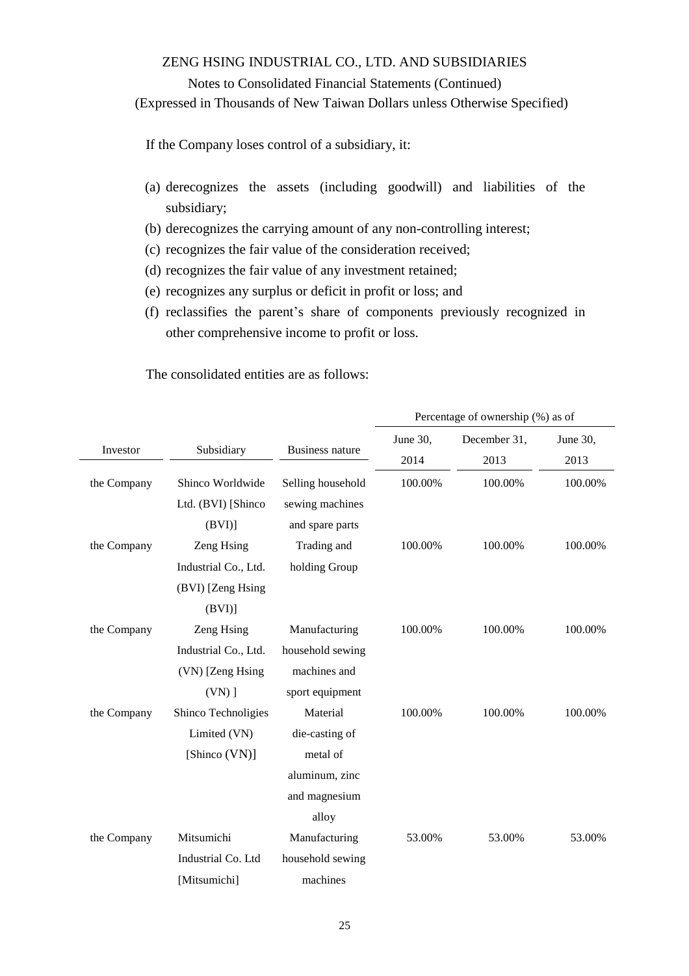### Notes to Consolidated Financial Statements (Continued)

(Expressed in Thousands of New Taiwan Dollars unless Otherwise Specified)

If the Company loses control of a subsidiary, it:

- (a) derecognizes the assets (including goodwill) and liabilities of the subsidiary;
- (b) derecognizes the carrying amount of any non-controlling interest;
- (c) recognizes the fair value of the consideration received;
- (d) recognizes the fair value of any investment retained;
- (e) recognizes any surplus or deficit in profit or loss; and
- (f) reclassifies the parent's share of components previously recognized in other comprehensive income to profit or loss.

The consolidated entities are as follows:

|             |                      |                        | Percentage of ownership (%) as of |              |          |  |
|-------------|----------------------|------------------------|-----------------------------------|--------------|----------|--|
|             |                      |                        | June 30,                          | December 31, | June 30, |  |
| Investor    | Subsidiary           | <b>Business nature</b> | 2014                              | 2013         | 2013     |  |
| the Company | Shinco Worldwide     | Selling household      | 100.00%                           | 100.00%      | 100.00%  |  |
|             | Ltd. (BVI) [Shinco   | sewing machines        |                                   |              |          |  |
|             | (BVI)                | and spare parts        |                                   |              |          |  |
| the Company | Zeng Hsing           | Trading and            | 100.00%                           | 100.00%      | 100.00%  |  |
|             | Industrial Co., Ltd. | holding Group          |                                   |              |          |  |
|             | (BVI) [Zeng Hsing    |                        |                                   |              |          |  |
|             | (BVI)                |                        |                                   |              |          |  |
| the Company | Zeng Hsing           | Manufacturing          | 100.00%                           | 100.00%      | 100.00%  |  |
|             | Industrial Co., Ltd. | household sewing       |                                   |              |          |  |
|             | (VN) [Zeng Hsing     | machines and           |                                   |              |          |  |
|             | $(VN)$ ]             | sport equipment        |                                   |              |          |  |
| the Company | Shinco Technoligies  | Material               | 100.00%                           | 100.00%      | 100.00%  |  |
|             | Limited (VN)         | die-casting of         |                                   |              |          |  |
|             | [Shinco (VN)]        | metal of               |                                   |              |          |  |
|             |                      | aluminum, zinc         |                                   |              |          |  |
|             |                      | and magnesium          |                                   |              |          |  |
|             |                      | alloy                  |                                   |              |          |  |
| the Company | Mitsumichi           | Manufacturing          | 53.00%                            | 53.00%       | 53.00%   |  |
|             | Industrial Co. Ltd   | household sewing       |                                   |              |          |  |
|             | [Mitsumichi]         | machines               |                                   |              |          |  |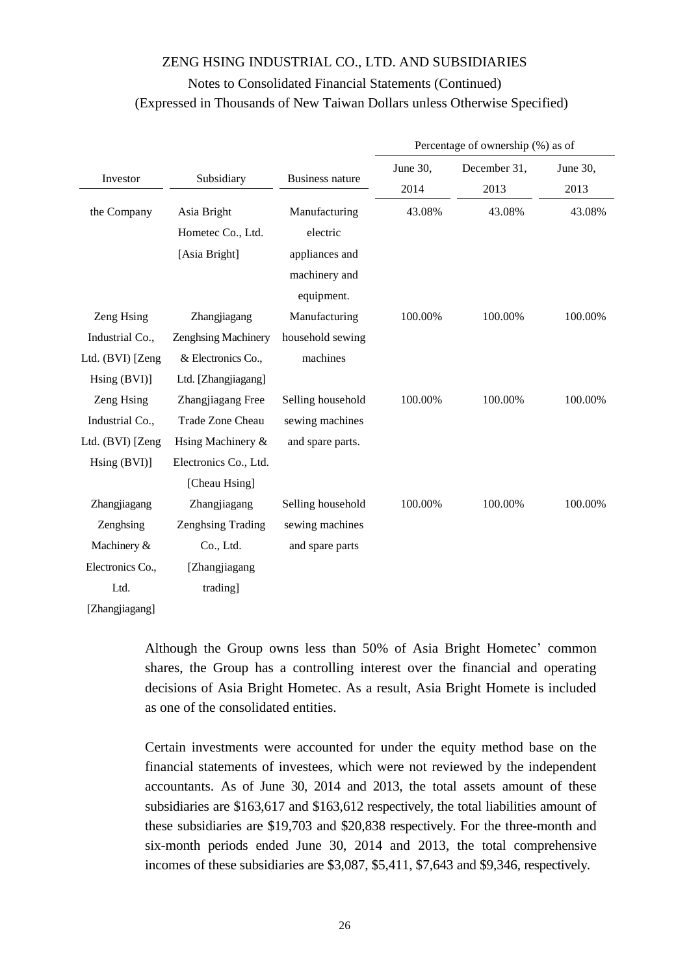|                  |                            |                        | Percentage of ownership (%) as of |                      |                  |  |
|------------------|----------------------------|------------------------|-----------------------------------|----------------------|------------------|--|
| Investor         | Subsidiary                 | <b>Business nature</b> | June 30,<br>2014                  | December 31,<br>2013 | June 30,<br>2013 |  |
| the Company      | Asia Bright                | Manufacturing          | 43.08%                            | 43.08%               | 43.08%           |  |
|                  | Hometec Co., Ltd.          | electric               |                                   |                      |                  |  |
|                  | [Asia Bright]              | appliances and         |                                   |                      |                  |  |
|                  |                            | machinery and          |                                   |                      |                  |  |
|                  |                            | equipment.             |                                   |                      |                  |  |
| Zeng Hsing       | Zhangjiagang               | Manufacturing          | 100.00%                           | 100.00%              | 100.00%          |  |
| Industrial Co.,  | <b>Zenghsing Machinery</b> | household sewing       |                                   |                      |                  |  |
| Ltd. (BVI) [Zeng | & Electronics Co.,         | machines               |                                   |                      |                  |  |
| Hsing (BVI)]     | Ltd. [Zhangjiagang]        |                        |                                   |                      |                  |  |
| Zeng Hsing       | Zhangjiagang Free          | Selling household      | 100.00%                           | 100.00%              | 100.00%          |  |
| Industrial Co.,  | Trade Zone Cheau           | sewing machines        |                                   |                      |                  |  |
| Ltd. (BVI) [Zeng | Hsing Machinery &          | and spare parts.       |                                   |                      |                  |  |
| Hsing (BVI)]     | Electronics Co., Ltd.      |                        |                                   |                      |                  |  |
|                  | [Cheau Hsing]              |                        |                                   |                      |                  |  |
| Zhangjiagang     | Zhangjiagang               | Selling household      | 100.00%                           | 100.00%              | 100.00%          |  |
| Zenghsing        | Zenghsing Trading          | sewing machines        |                                   |                      |                  |  |
| Machinery &      | Co., Ltd.                  | and spare parts        |                                   |                      |                  |  |
| Electronics Co., | [Zhangjiagang              |                        |                                   |                      |                  |  |
| Ltd.             | trading]                   |                        |                                   |                      |                  |  |
| [Zhangjiagang]   |                            |                        |                                   |                      |                  |  |

Although the Group owns less than 50% of Asia Bright Hometec' common shares, the Group has a controlling interest over the financial and operating decisions of Asia Bright Hometec. As a result, Asia Bright Homete is included as one of the consolidated entities.

Certain investments were accounted for under the equity method base on the financial statements of investees, which were not reviewed by the independent accountants. As of June 30, 2014 and 2013, the total assets amount of these subsidiaries are \$163,617 and \$163,612 respectively, the total liabilities amount of these subsidiaries are \$19,703 and \$20,838 respectively. For the three-month and six-month periods ended June 30, 2014 and 2013, the total comprehensive incomes of these subsidiaries are \$3,087, \$5,411, \$7,643 and \$9,346, respectively.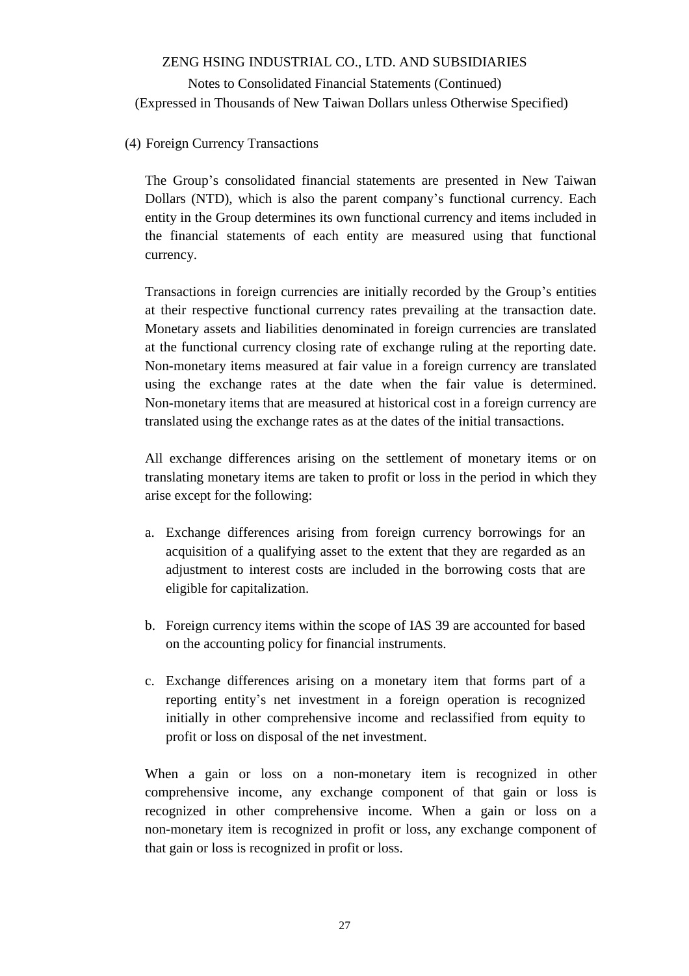### (4) Foreign Currency Transactions

The Group's consolidated financial statements are presented in New Taiwan Dollars (NTD), which is also the parent company's functional currency. Each entity in the Group determines its own functional currency and items included in the financial statements of each entity are measured using that functional currency.

Transactions in foreign currencies are initially recorded by the Group's entities at their respective functional currency rates prevailing at the transaction date. Monetary assets and liabilities denominated in foreign currencies are translated at the functional currency closing rate of exchange ruling at the reporting date. Non-monetary items measured at fair value in a foreign currency are translated using the exchange rates at the date when the fair value is determined. Non-monetary items that are measured at historical cost in a foreign currency are translated using the exchange rates as at the dates of the initial transactions.

All exchange differences arising on the settlement of monetary items or on translating monetary items are taken to profit or loss in the period in which they arise except for the following:

- a. Exchange differences arising from foreign currency borrowings for an acquisition of a qualifying asset to the extent that they are regarded as an adjustment to interest costs are included in the borrowing costs that are eligible for capitalization.
- b. Foreign currency items within the scope of IAS 39 are accounted for based on the accounting policy for financial instruments.
- c. Exchange differences arising on a monetary item that forms part of a reporting entity's net investment in a foreign operation is recognized initially in other comprehensive income and reclassified from equity to profit or loss on disposal of the net investment.

When a gain or loss on a non-monetary item is recognized in other comprehensive income, any exchange component of that gain or loss is recognized in other comprehensive income. When a gain or loss on a non-monetary item is recognized in profit or loss, any exchange component of that gain or loss is recognized in profit or loss.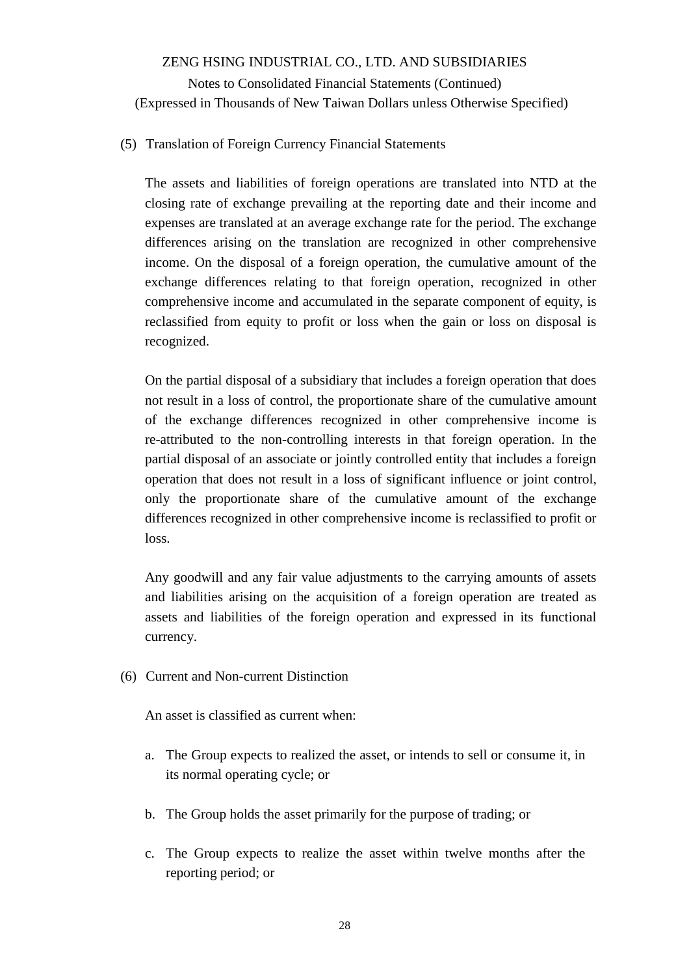## (5) Translation of Foreign Currency Financial Statements

The assets and liabilities of foreign operations are translated into NTD at the closing rate of exchange prevailing at the reporting date and their income and expenses are translated at an average exchange rate for the period. The exchange differences arising on the translation are recognized in other comprehensive income. On the disposal of a foreign operation, the cumulative amount of the exchange differences relating to that foreign operation, recognized in other comprehensive income and accumulated in the separate component of equity, is reclassified from equity to profit or loss when the gain or loss on disposal is recognized.

On the partial disposal of a subsidiary that includes a foreign operation that does not result in a loss of control, the proportionate share of the cumulative amount of the exchange differences recognized in other comprehensive income is re-attributed to the non-controlling interests in that foreign operation. In the partial disposal of an associate or jointly controlled entity that includes a foreign operation that does not result in a loss of significant influence or joint control, only the proportionate share of the cumulative amount of the exchange differences recognized in other comprehensive income is reclassified to profit or loss.

Any goodwill and any fair value adjustments to the carrying amounts of assets and liabilities arising on the acquisition of a foreign operation are treated as assets and liabilities of the foreign operation and expressed in its functional currency.

(6) Current and Non-current Distinction

An asset is classified as current when:

- a. The Group expects to realized the asset, or intends to sell or consume it, in its normal operating cycle; or
- b. The Group holds the asset primarily for the purpose of trading; or
- c. The Group expects to realize the asset within twelve months after the reporting period; or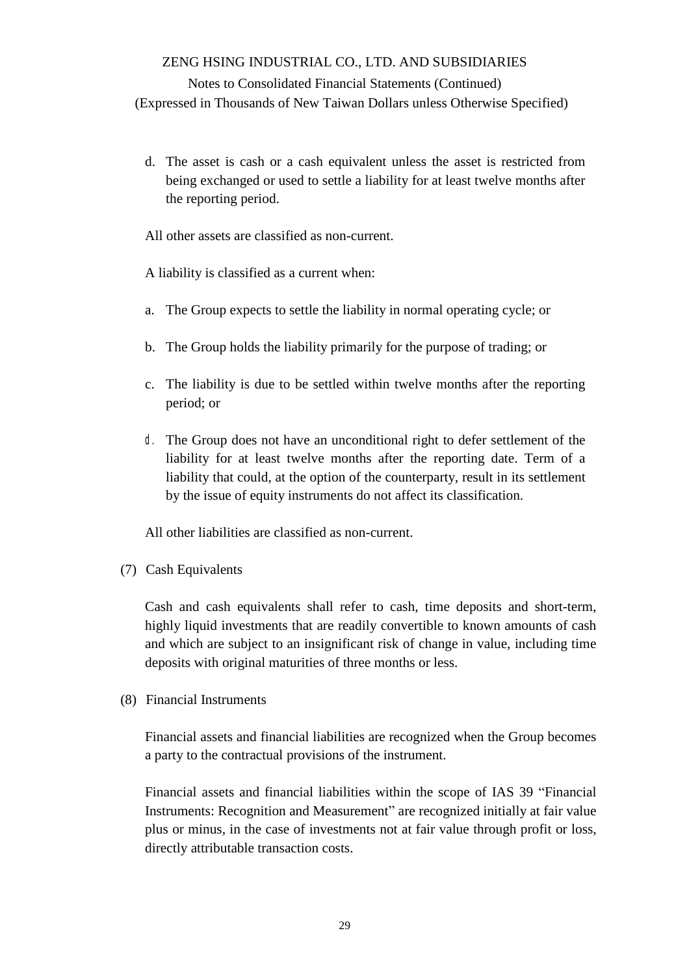Notes to Consolidated Financial Statements (Continued) (Expressed in Thousands of New Taiwan Dollars unless Otherwise Specified)

d. The asset is cash or a cash equivalent unless the asset is restricted from being exchanged or used to settle a liability for at least twelve months after the reporting period.

All other assets are classified as non-current.

A liability is classified as a current when:

- a. The Group expects to settle the liability in normal operating cycle; or
- b. The Group holds the liability primarily for the purpose of trading; or
- c. The liability is due to be settled within twelve months after the reporting period; or
- d. The Group does not have an unconditional right to defer settlement of the liability for at least twelve months after the reporting date. Term of a liability that could, at the option of the counterparty, result in its settlement by the issue of equity instruments do not affect its classification.

All other liabilities are classified as non-current.

(7) Cash Equivalents

Cash and cash equivalents shall refer to cash, time deposits and short-term, highly liquid investments that are readily convertible to known amounts of cash and which are subject to an insignificant risk of change in value, including time deposits with original maturities of three months or less.

(8) Financial Instruments

Financial assets and financial liabilities are recognized when the Group becomes a party to the contractual provisions of the instrument.

Financial assets and financial liabilities within the scope of IAS 39 "Financial Instruments: Recognition and Measurement" are recognized initially at fair value plus or minus, in the case of investments not at fair value through profit or loss, directly attributable transaction costs.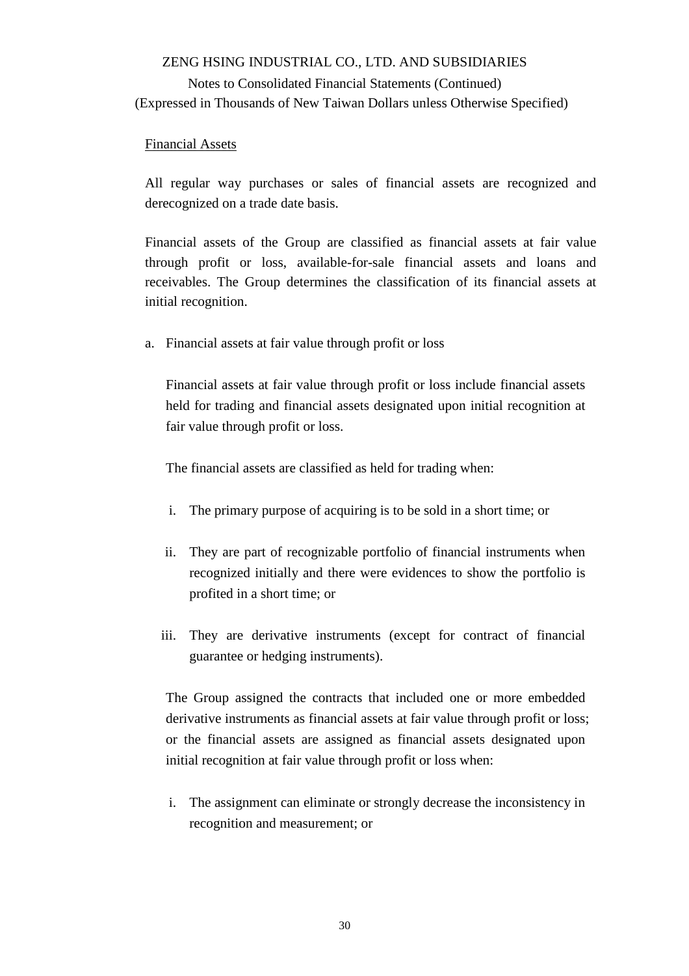### Financial Assets

All regular way purchases or sales of financial assets are recognized and derecognized on a trade date basis.

Financial assets of the Group are classified as financial assets at fair value through profit or loss, available-for-sale financial assets and loans and receivables. The Group determines the classification of its financial assets at initial recognition.

a. Financial assets at fair value through profit or loss

Financial assets at fair value through profit or loss include financial assets held for trading and financial assets designated upon initial recognition at fair value through profit or loss.

The financial assets are classified as held for trading when:

- i. The primary purpose of acquiring is to be sold in a short time; or
- ii. They are part of recognizable portfolio of financial instruments when recognized initially and there were evidences to show the portfolio is profited in a short time; or
- iii. They are derivative instruments (except for contract of financial guarantee or hedging instruments).

The Group assigned the contracts that included one or more embedded derivative instruments as financial assets at fair value through profit or loss; or the financial assets are assigned as financial assets designated upon initial recognition at fair value through profit or loss when:

i. The assignment can eliminate or strongly decrease the inconsistency in recognition and measurement; or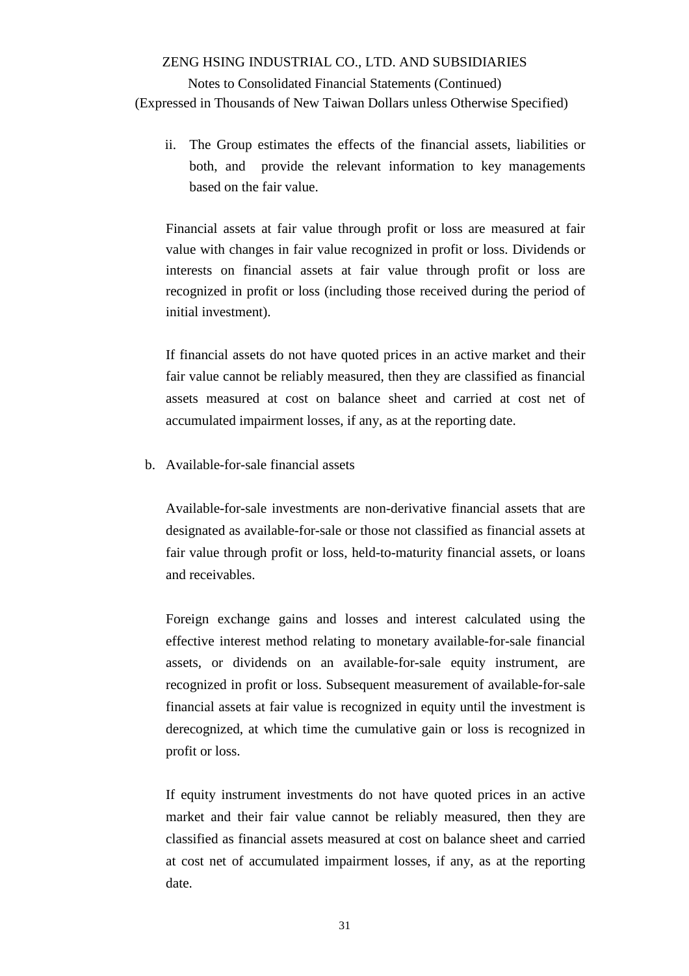ii. The Group estimates the effects of the financial assets, liabilities or both, and provide the relevant information to key managements based on the fair value.

Financial assets at fair value through profit or loss are measured at fair value with changes in fair value recognized in profit or loss. Dividends or interests on financial assets at fair value through profit or loss are recognized in profit or loss (including those received during the period of initial investment).

If financial assets do not have quoted prices in an active market and their fair value cannot be reliably measured, then they are classified as financial assets measured at cost on balance sheet and carried at cost net of accumulated impairment losses, if any, as at the reporting date.

b. Available-for-sale financial assets

Available-for-sale investments are non-derivative financial assets that are designated as available-for-sale or those not classified as financial assets at fair value through profit or loss, held-to-maturity financial assets, or loans and receivables.

Foreign exchange gains and losses and interest calculated using the effective interest method relating to monetary available-for-sale financial assets, or dividends on an available-for-sale equity instrument, are recognized in profit or loss. Subsequent measurement of available-for-sale financial assets at fair value is recognized in equity until the investment is derecognized, at which time the cumulative gain or loss is recognized in profit or loss.

If equity instrument investments do not have quoted prices in an active market and their fair value cannot be reliably measured, then they are classified as financial assets measured at cost on balance sheet and carried at cost net of accumulated impairment losses, if any, as at the reporting date.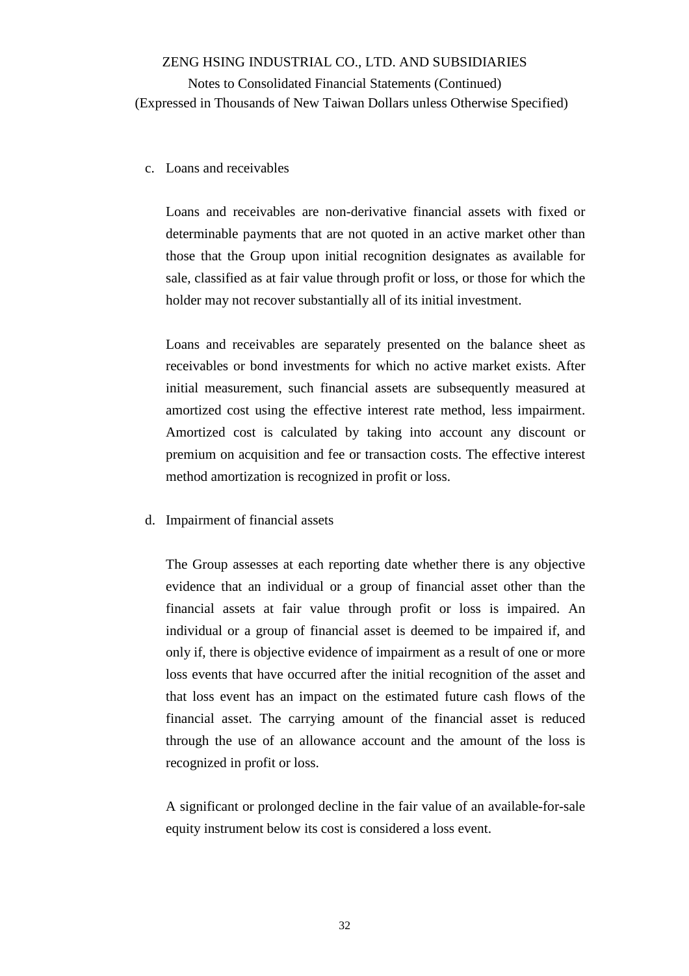#### c. Loans and receivables

Loans and receivables are non-derivative financial assets with fixed or determinable payments that are not quoted in an active market other than those that the Group upon initial recognition designates as available for sale, classified as at fair value through profit or loss, or those for which the holder may not recover substantially all of its initial investment.

Loans and receivables are separately presented on the balance sheet as receivables or bond investments for which no active market exists. After initial measurement, such financial assets are subsequently measured at amortized cost using the effective interest rate method, less impairment. Amortized cost is calculated by taking into account any discount or premium on acquisition and fee or transaction costs. The effective interest method amortization is recognized in profit or loss.

#### d. Impairment of financial assets

The Group assesses at each reporting date whether there is any objective evidence that an individual or a group of financial asset other than the financial assets at fair value through profit or loss is impaired. An individual or a group of financial asset is deemed to be impaired if, and only if, there is objective evidence of impairment as a result of one or more loss events that have occurred after the initial recognition of the asset and that loss event has an impact on the estimated future cash flows of the financial asset. The carrying amount of the financial asset is reduced through the use of an allowance account and the amount of the loss is recognized in profit or loss.

A significant or prolonged decline in the fair value of an available-for-sale equity instrument below its cost is considered a loss event.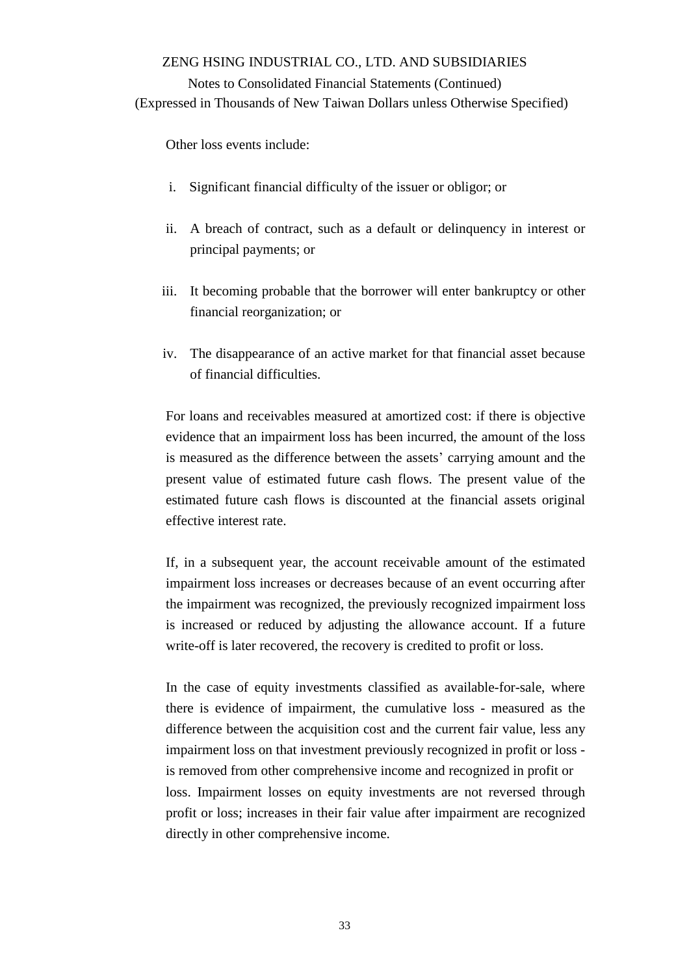### Notes to Consolidated Financial Statements (Continued)

(Expressed in Thousands of New Taiwan Dollars unless Otherwise Specified)

Other loss events include:

- i. Significant financial difficulty of the issuer or obligor; or
- ii. A breach of contract, such as a default or delinquency in interest or principal payments; or
- iii. It becoming probable that the borrower will enter bankruptcy or other financial reorganization; or
- iv. The disappearance of an active market for that financial asset because of financial difficulties.

For loans and receivables measured at amortized cost: if there is objective evidence that an impairment loss has been incurred, the amount of the loss is measured as the difference between the assets' carrying amount and the present value of estimated future cash flows. The present value of the estimated future cash flows is discounted at the financial assets original effective interest rate.

If, in a subsequent year, the account receivable amount of the estimated impairment loss increases or decreases because of an event occurring after the impairment was recognized, the previously recognized impairment loss is increased or reduced by adjusting the allowance account. If a future write-off is later recovered, the recovery is credited to profit or loss.

In the case of equity investments classified as available-for-sale, where there is evidence of impairment, the cumulative loss - measured as the difference between the acquisition cost and the current fair value, less any impairment loss on that investment previously recognized in profit or loss is removed from other comprehensive income and recognized in profit or loss. Impairment losses on equity investments are not reversed through profit or loss; increases in their fair value after impairment are recognized directly in other comprehensive income.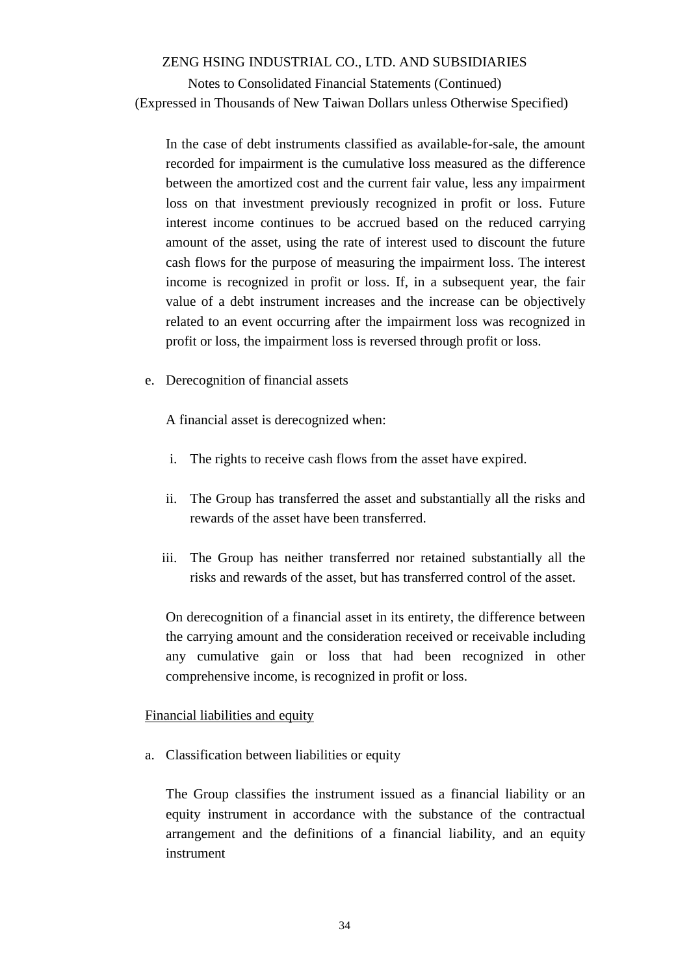Notes to Consolidated Financial Statements (Continued) (Expressed in Thousands of New Taiwan Dollars unless Otherwise Specified)

In the case of debt instruments classified as available-for-sale, the amount recorded for impairment is the cumulative loss measured as the difference between the amortized cost and the current fair value, less any impairment loss on that investment previously recognized in profit or loss. Future interest income continues to be accrued based on the reduced carrying amount of the asset, using the rate of interest used to discount the future cash flows for the purpose of measuring the impairment loss. The interest income is recognized in profit or loss. If, in a subsequent year, the fair value of a debt instrument increases and the increase can be objectively related to an event occurring after the impairment loss was recognized in profit or loss, the impairment loss is reversed through profit or loss.

e. Derecognition of financial assets

A financial asset is derecognized when:

- i. The rights to receive cash flows from the asset have expired.
- ii. The Group has transferred the asset and substantially all the risks and rewards of the asset have been transferred.
- iii. The Group has neither transferred nor retained substantially all the risks and rewards of the asset, but has transferred control of the asset.

On derecognition of a financial asset in its entirety, the difference between the carrying amount and the consideration received or receivable including any cumulative gain or loss that had been recognized in other comprehensive income, is recognized in profit or loss.

#### Financial liabilities and equity

a. Classification between liabilities or equity

The Group classifies the instrument issued as a financial liability or an equity instrument in accordance with the substance of the contractual arrangement and the definitions of a financial liability, and an equity instrument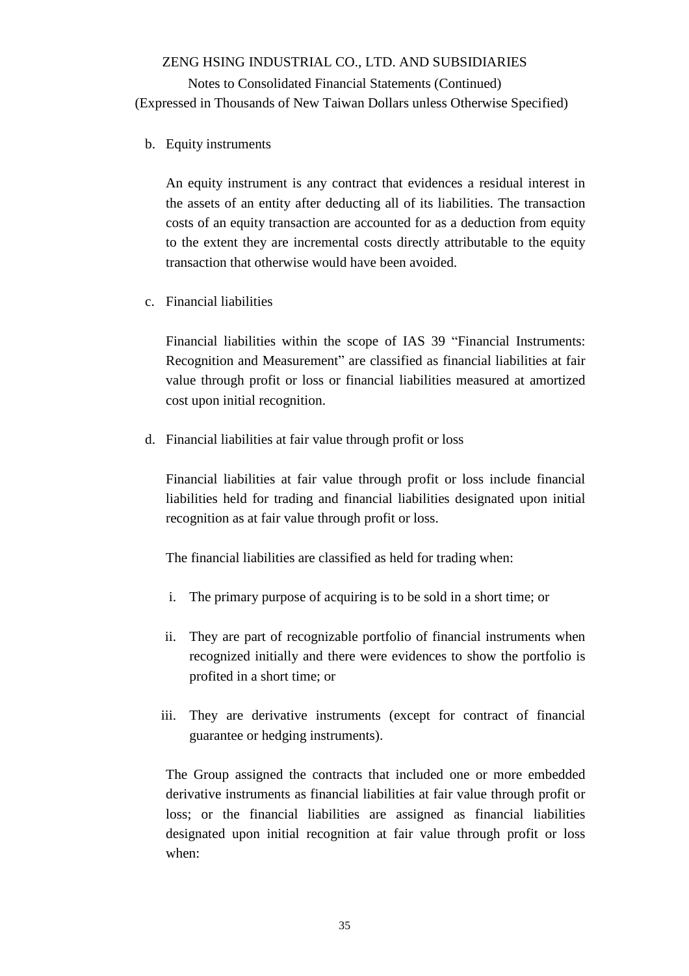b. Equity instruments

An equity instrument is any contract that evidences a residual interest in the assets of an entity after deducting all of its liabilities. The transaction costs of an equity transaction are accounted for as a deduction from equity to the extent they are incremental costs directly attributable to the equity transaction that otherwise would have been avoided.

c. Financial liabilities

Financial liabilities within the scope of IAS 39 "Financial Instruments: Recognition and Measurement" are classified as financial liabilities at fair value through profit or loss or financial liabilities measured at amortized cost upon initial recognition.

d. Financial liabilities at fair value through profit or loss

Financial liabilities at fair value through profit or loss include financial liabilities held for trading and financial liabilities designated upon initial recognition as at fair value through profit or loss.

The financial liabilities are classified as held for trading when:

- i. The primary purpose of acquiring is to be sold in a short time; or
- ii. They are part of recognizable portfolio of financial instruments when recognized initially and there were evidences to show the portfolio is profited in a short time; or
- iii. They are derivative instruments (except for contract of financial guarantee or hedging instruments).

The Group assigned the contracts that included one or more embedded derivative instruments as financial liabilities at fair value through profit or loss; or the financial liabilities are assigned as financial liabilities designated upon initial recognition at fair value through profit or loss when: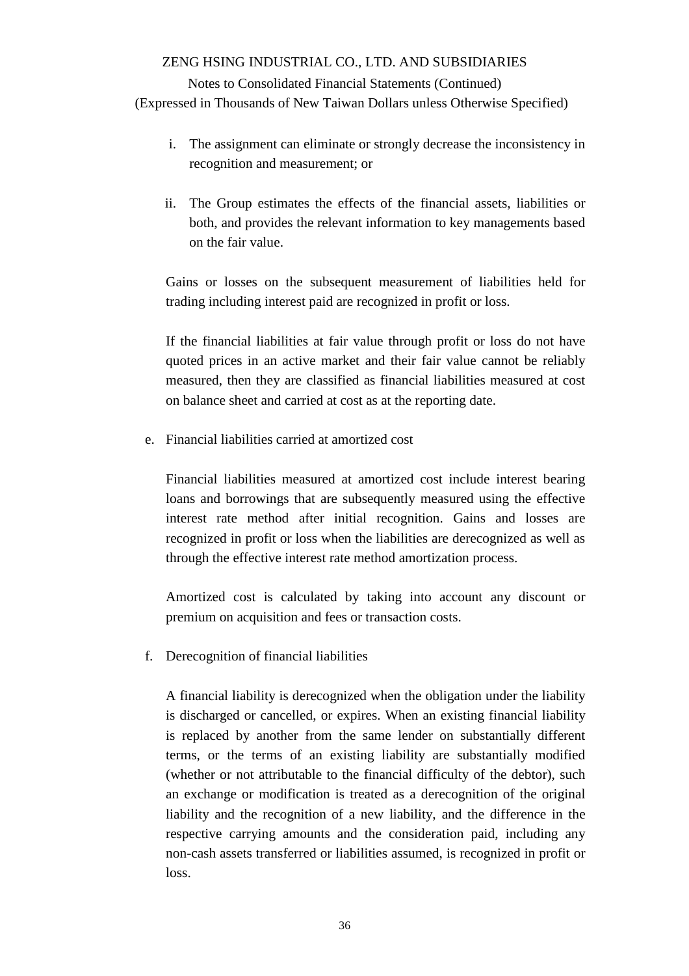## Notes to Consolidated Financial Statements (Continued) (Expressed in Thousands of New Taiwan Dollars unless Otherwise Specified)

- i. The assignment can eliminate or strongly decrease the inconsistency in recognition and measurement; or
- ii. The Group estimates the effects of the financial assets, liabilities or both, and provides the relevant information to key managements based on the fair value.

Gains or losses on the subsequent measurement of liabilities held for trading including interest paid are recognized in profit or loss.

If the financial liabilities at fair value through profit or loss do not have quoted prices in an active market and their fair value cannot be reliably measured, then they are classified as financial liabilities measured at cost on balance sheet and carried at cost as at the reporting date.

e. Financial liabilities carried at amortized cost

Financial liabilities measured at amortized cost include interest bearing loans and borrowings that are subsequently measured using the effective interest rate method after initial recognition. Gains and losses are recognized in profit or loss when the liabilities are derecognized as well as through the effective interest rate method amortization process.

Amortized cost is calculated by taking into account any discount or premium on acquisition and fees or transaction costs.

f. Derecognition of financial liabilities

A financial liability is derecognized when the obligation under the liability is discharged or cancelled, or expires. When an existing financial liability is replaced by another from the same lender on substantially different terms, or the terms of an existing liability are substantially modified (whether or not attributable to the financial difficulty of the debtor), such an exchange or modification is treated as a derecognition of the original liability and the recognition of a new liability, and the difference in the respective carrying amounts and the consideration paid, including any non-cash assets transferred or liabilities assumed, is recognized in profit or loss.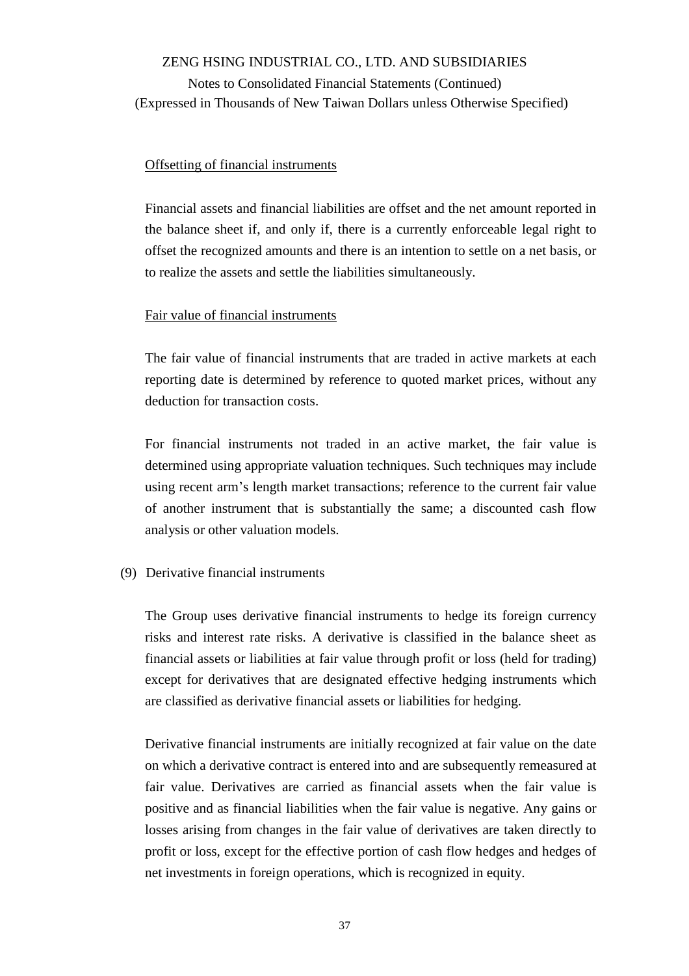#### Offsetting of financial instruments

Financial assets and financial liabilities are offset and the net amount reported in the balance sheet if, and only if, there is a currently enforceable legal right to offset the recognized amounts and there is an intention to settle on a net basis, or to realize the assets and settle the liabilities simultaneously.

#### Fair value of financial instruments

The fair value of financial instruments that are traded in active markets at each reporting date is determined by reference to quoted market prices, without any deduction for transaction costs.

For financial instruments not traded in an active market, the fair value is determined using appropriate valuation techniques. Such techniques may include using recent arm's length market transactions; reference to the current fair value of another instrument that is substantially the same; a discounted cash flow analysis or other valuation models.

#### (9) Derivative financial instruments

The Group uses derivative financial instruments to hedge its foreign currency risks and interest rate risks. A derivative is classified in the balance sheet as financial assets or liabilities at fair value through profit or loss (held for trading) except for derivatives that are designated effective hedging instruments which are classified as derivative financial assets or liabilities for hedging.

Derivative financial instruments are initially recognized at fair value on the date on which a derivative contract is entered into and are subsequently remeasured at fair value. Derivatives are carried as financial assets when the fair value is positive and as financial liabilities when the fair value is negative. Any gains or losses arising from changes in the fair value of derivatives are taken directly to profit or loss, except for the effective portion of cash flow hedges and hedges of net investments in foreign operations, which is recognized in equity.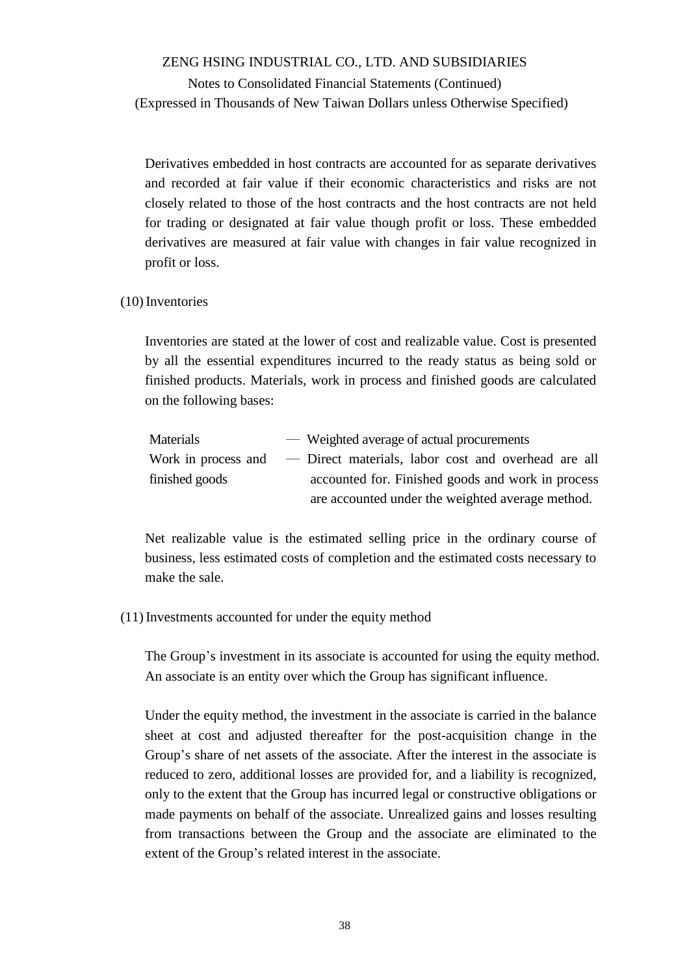Notes to Consolidated Financial Statements (Continued) (Expressed in Thousands of New Taiwan Dollars unless Otherwise Specified)

Derivatives embedded in host contracts are accounted for as separate derivatives and recorded at fair value if their economic characteristics and risks are not closely related to those of the host contracts and the host contracts are not held for trading or designated at fair value though profit or loss. These embedded derivatives are measured at fair value with changes in fair value recognized in profit or loss.

#### (10)Inventories

Inventories are stated at the lower of cost and realizable value. Cost is presented by all the essential expenditures incurred to the ready status as being sold or finished products. Materials, work in process and finished goods are calculated on the following bases:

| Materials           | — Weighted average of actual procurements           |
|---------------------|-----------------------------------------------------|
| Work in process and | - Direct materials, labor cost and overhead are all |
| finished goods      | accounted for. Finished goods and work in process   |
|                     | are accounted under the weighted average method.    |

Net realizable value is the estimated selling price in the ordinary course of business, less estimated costs of completion and the estimated costs necessary to make the sale.

#### (11)Investments accounted for under the equity method

The Group's investment in its associate is accounted for using the equity method. An associate is an entity over which the Group has significant influence.

Under the equity method, the investment in the associate is carried in the balance sheet at cost and adjusted thereafter for the post-acquisition change in the Group's share of net assets of the associate. After the interest in the associate is reduced to zero, additional losses are provided for, and a liability is recognized, only to the extent that the Group has incurred legal or constructive obligations or made payments on behalf of the associate. Unrealized gains and losses resulting from transactions between the Group and the associate are eliminated to the extent of the Group's related interest in the associate.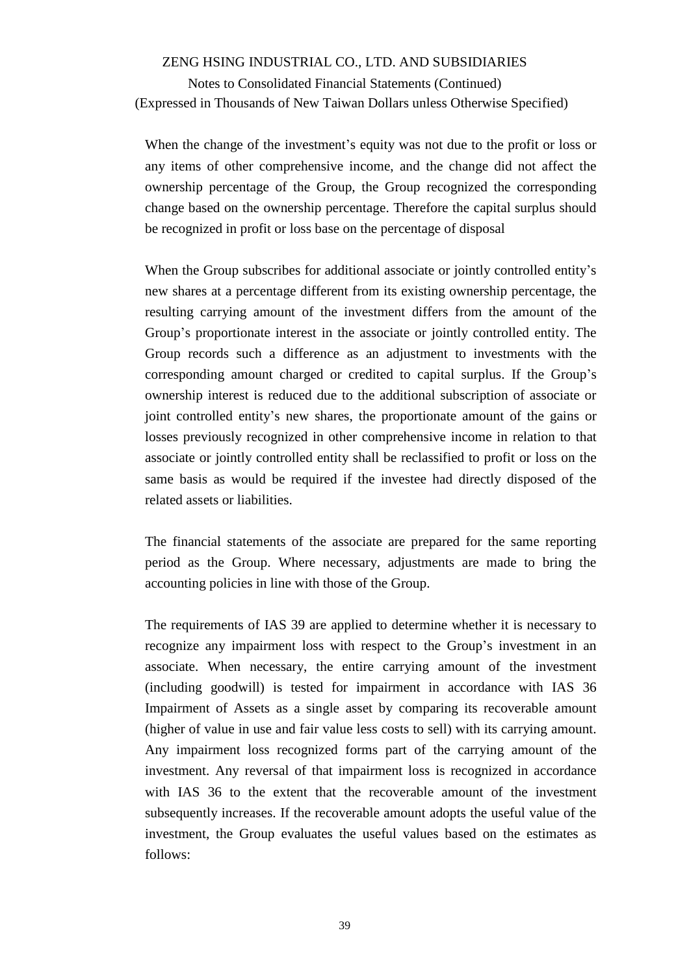Notes to Consolidated Financial Statements (Continued) (Expressed in Thousands of New Taiwan Dollars unless Otherwise Specified)

When the change of the investment's equity was not due to the profit or loss or any items of other comprehensive income, and the change did not affect the ownership percentage of the Group, the Group recognized the corresponding change based on the ownership percentage. Therefore the capital surplus should be recognized in profit or loss base on the percentage of disposal

When the Group subscribes for additional associate or jointly controlled entity's new shares at a percentage different from its existing ownership percentage, the resulting carrying amount of the investment differs from the amount of the Group's proportionate interest in the associate or jointly controlled entity. The Group records such a difference as an adjustment to investments with the corresponding amount charged or credited to capital surplus. If the Group's ownership interest is reduced due to the additional subscription of associate or joint controlled entity's new shares, the proportionate amount of the gains or losses previously recognized in other comprehensive income in relation to that associate or jointly controlled entity shall be reclassified to profit or loss on the same basis as would be required if the investee had directly disposed of the related assets or liabilities.

The financial statements of the associate are prepared for the same reporting period as the Group. Where necessary, adjustments are made to bring the accounting policies in line with those of the Group.

The requirements of IAS 39 are applied to determine whether it is necessary to recognize any impairment loss with respect to the Group's investment in an associate. When necessary, the entire carrying amount of the investment (including goodwill) is tested for impairment in accordance with IAS 36 Impairment of Assets as a single asset by comparing its recoverable amount (higher of value in use and fair value less costs to sell) with its carrying amount. Any impairment loss recognized forms part of the carrying amount of the investment. Any reversal of that impairment loss is recognized in accordance with IAS 36 to the extent that the recoverable amount of the investment subsequently increases. If the recoverable amount adopts the useful value of the investment, the Group evaluates the useful values based on the estimates as follows: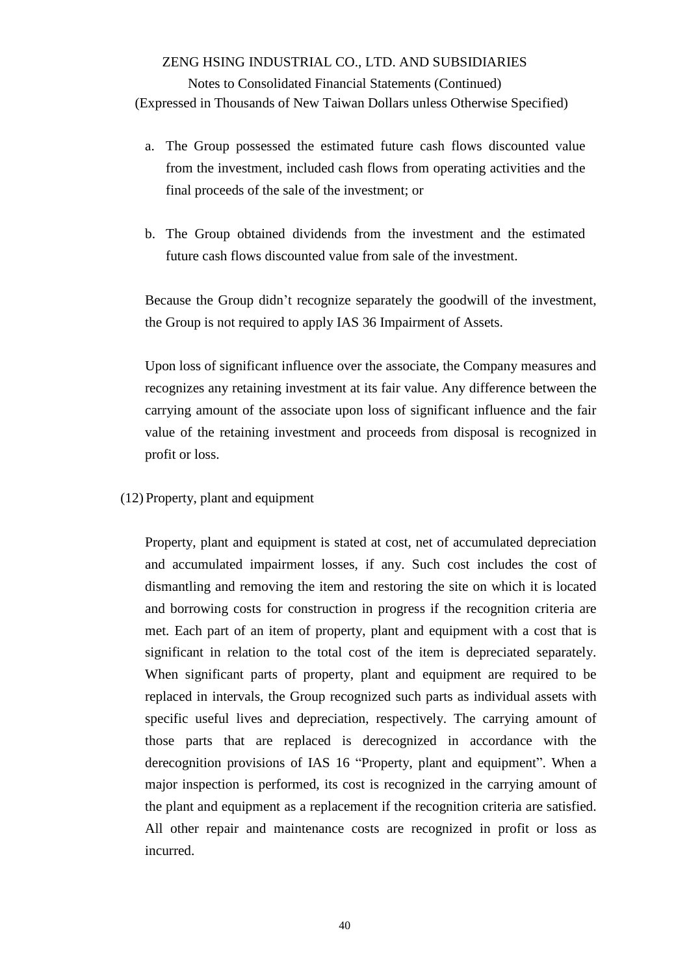- a. The Group possessed the estimated future cash flows discounted value from the investment, included cash flows from operating activities and the final proceeds of the sale of the investment; or
- b. The Group obtained dividends from the investment and the estimated future cash flows discounted value from sale of the investment.

Because the Group didn't recognize separately the goodwill of the investment, the Group is not required to apply IAS 36 Impairment of Assets.

Upon loss of significant influence over the associate, the Company measures and recognizes any retaining investment at its fair value. Any difference between the carrying amount of the associate upon loss of significant influence and the fair value of the retaining investment and proceeds from disposal is recognized in profit or loss.

(12) Property, plant and equipment

Property, plant and equipment is stated at cost, net of accumulated depreciation and accumulated impairment losses, if any. Such cost includes the cost of dismantling and removing the item and restoring the site on which it is located and borrowing costs for construction in progress if the recognition criteria are met. Each part of an item of property, plant and equipment with a cost that is significant in relation to the total cost of the item is depreciated separately. When significant parts of property, plant and equipment are required to be replaced in intervals, the Group recognized such parts as individual assets with specific useful lives and depreciation, respectively. The carrying amount of those parts that are replaced is derecognized in accordance with the derecognition provisions of IAS 16 "Property, plant and equipment". When a major inspection is performed, its cost is recognized in the carrying amount of the plant and equipment as a replacement if the recognition criteria are satisfied. All other repair and maintenance costs are recognized in profit or loss as incurred.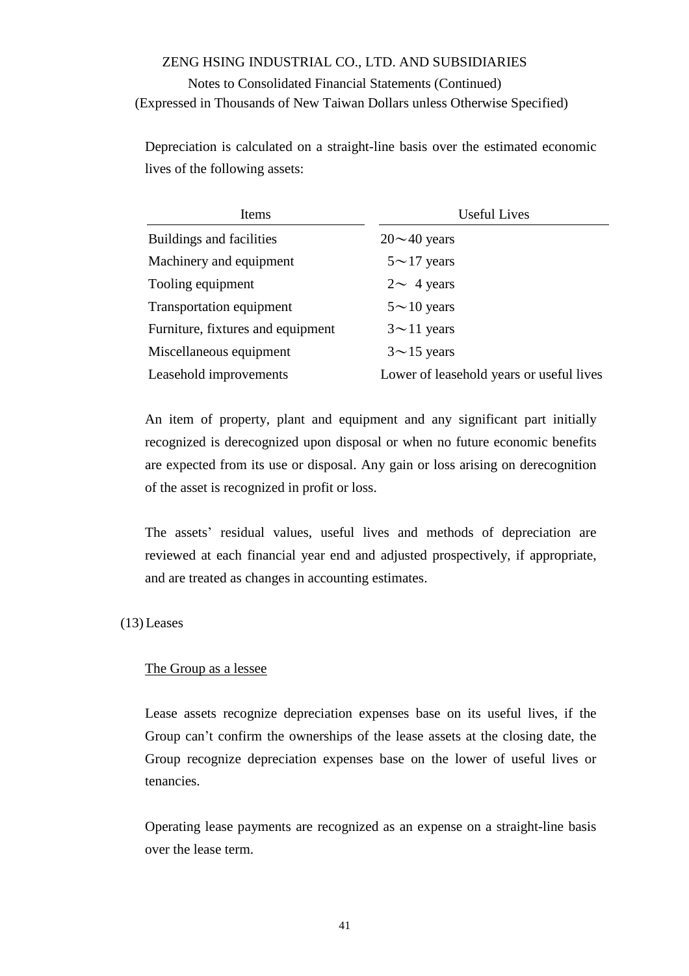Depreciation is calculated on a straight-line basis over the estimated economic lives of the following assets:

| Items                             | <b>Useful Lives</b>                      |  |  |
|-----------------------------------|------------------------------------------|--|--|
| Buildings and facilities          | $20 \sim 40$ years                       |  |  |
| Machinery and equipment           | $5 \sim 17$ years                        |  |  |
| Tooling equipment                 | $2 \sim 4$ years                         |  |  |
| Transportation equipment          | $5{\sim}10$ years                        |  |  |
| Furniture, fixtures and equipment | $3 \sim 11$ years                        |  |  |
| Miscellaneous equipment           | $3{\sim}15$ years                        |  |  |
| Leasehold improvements            | Lower of leasehold years or useful lives |  |  |

An item of property, plant and equipment and any significant part initially recognized is derecognized upon disposal or when no future economic benefits are expected from its use or disposal. Any gain or loss arising on derecognition of the asset is recognized in profit or loss.

The assets' residual values, useful lives and methods of depreciation are reviewed at each financial year end and adjusted prospectively, if appropriate, and are treated as changes in accounting estimates.

(13) Leases

#### The Group as a lessee

Lease assets recognize depreciation expenses base on its useful lives, if the Group can't confirm the ownerships of the lease assets at the closing date, the Group recognize depreciation expenses base on the lower of useful lives or tenancies.

Operating lease payments are recognized as an expense on a straight-line basis over the lease term.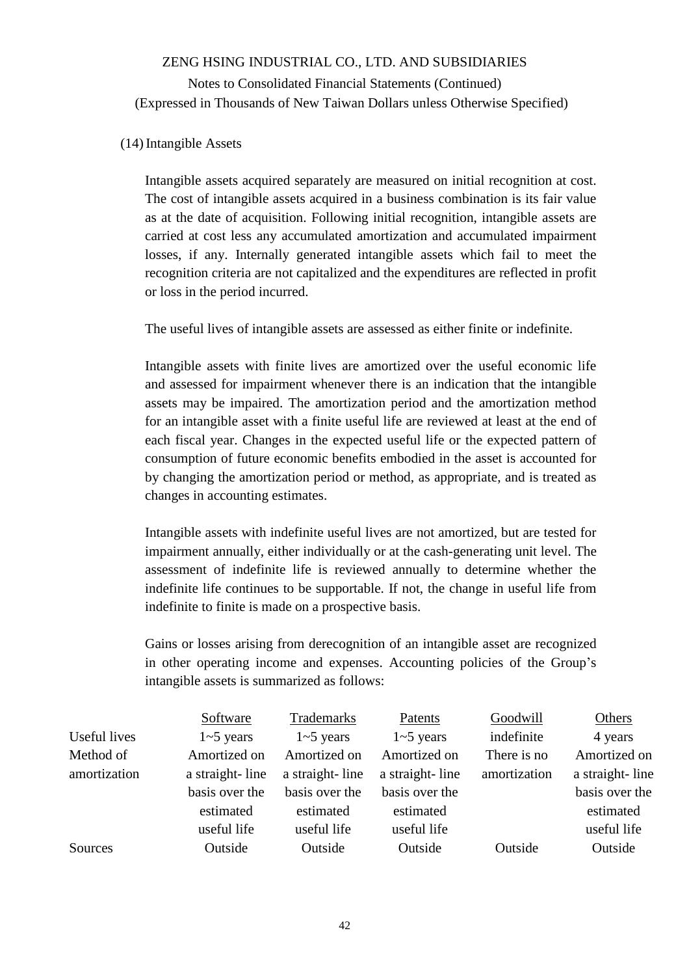#### (14)Intangible Assets

Intangible assets acquired separately are measured on initial recognition at cost. The cost of intangible assets acquired in a business combination is its fair value as at the date of acquisition. Following initial recognition, intangible assets are carried at cost less any accumulated amortization and accumulated impairment losses, if any. Internally generated intangible assets which fail to meet the recognition criteria are not capitalized and the expenditures are reflected in profit or loss in the period incurred.

The useful lives of intangible assets are assessed as either finite or indefinite.

Intangible assets with finite lives are amortized over the useful economic life and assessed for impairment whenever there is an indication that the intangible assets may be impaired. The amortization period and the amortization method for an intangible asset with a finite useful life are reviewed at least at the end of each fiscal year. Changes in the expected useful life or the expected pattern of consumption of future economic benefits embodied in the asset is accounted for by changing the amortization period or method, as appropriate, and is treated as changes in accounting estimates.

Intangible assets with indefinite useful lives are not amortized, but are tested for impairment annually, either individually or at the cash-generating unit level. The assessment of indefinite life is reviewed annually to determine whether the indefinite life continues to be supportable. If not, the change in useful life from indefinite to finite is made on a prospective basis.

Gains or losses arising from derecognition of an intangible asset are recognized in other operating income and expenses. Accounting policies of the Group's intangible assets is summarized as follows:

|              | Software        | Trademarks      | Patents         | Goodwill     | Others          |
|--------------|-----------------|-----------------|-----------------|--------------|-----------------|
| Useful lives | $1 - 5$ years   | $1 - 5$ years   | $1 - 5$ years   | indefinite   | 4 years         |
| Method of    | Amortized on    | Amortized on    | Amortized on    | There is no  | Amortized on    |
| amortization | a straight-line | a straight-line | a straight-line | amortization | a straight-line |
|              | basis over the  | basis over the  | basis over the  |              | basis over the  |
|              | estimated       | estimated       | estimated       |              | estimated       |
|              | useful life     | useful life     | useful life     |              | useful life     |
| Sources      | Outside         | Outside         | Outside         | Outside      | Outside         |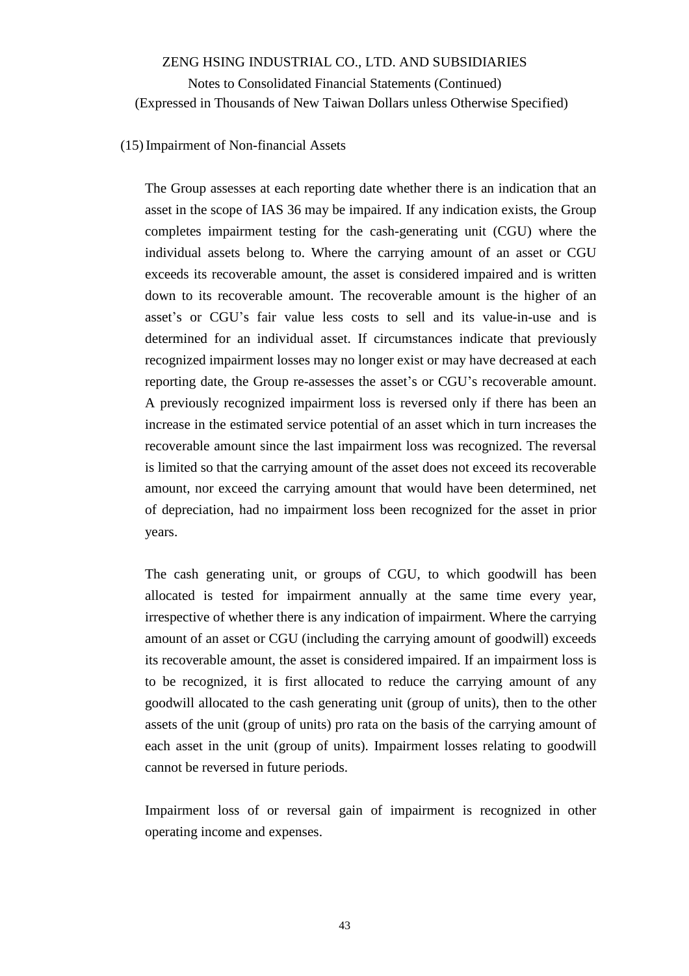#### (15)Impairment of Non-financial Assets

The Group assesses at each reporting date whether there is an indication that an asset in the scope of IAS 36 may be impaired. If any indication exists, the Group completes impairment testing for the cash-generating unit (CGU) where the individual assets belong to. Where the carrying amount of an asset or CGU exceeds its recoverable amount, the asset is considered impaired and is written down to its recoverable amount. The recoverable amount is the higher of an asset's or CGU's fair value less costs to sell and its value-in-use and is determined for an individual asset. If circumstances indicate that previously recognized impairment losses may no longer exist or may have decreased at each reporting date, the Group re-assesses the asset's or CGU's recoverable amount. A previously recognized impairment loss is reversed only if there has been an increase in the estimated service potential of an asset which in turn increases the recoverable amount since the last impairment loss was recognized. The reversal is limited so that the carrying amount of the asset does not exceed its recoverable amount, nor exceed the carrying amount that would have been determined, net of depreciation, had no impairment loss been recognized for the asset in prior years.

The cash generating unit, or groups of CGU, to which goodwill has been allocated is tested for impairment annually at the same time every year, irrespective of whether there is any indication of impairment. Where the carrying amount of an asset or CGU (including the carrying amount of goodwill) exceeds its recoverable amount, the asset is considered impaired. If an impairment loss is to be recognized, it is first allocated to reduce the carrying amount of any goodwill allocated to the cash generating unit (group of units), then to the other assets of the unit (group of units) pro rata on the basis of the carrying amount of each asset in the unit (group of units). Impairment losses relating to goodwill cannot be reversed in future periods.

Impairment loss of or reversal gain of impairment is recognized in other operating income and expenses.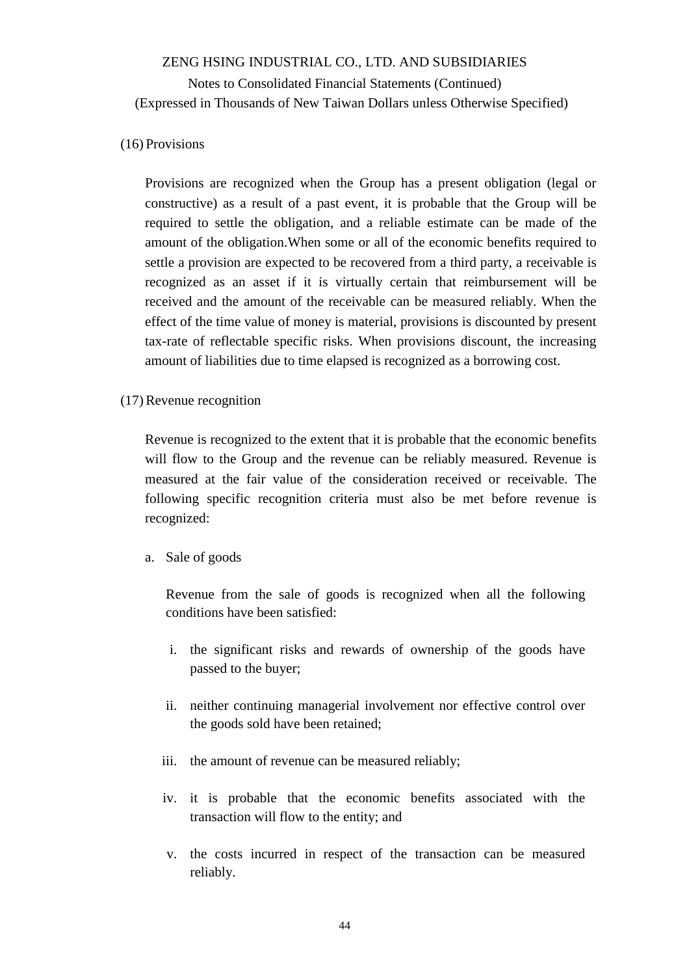#### (16) Provisions

Provisions are recognized when the Group has a present obligation (legal or constructive) as a result of a past event, it is probable that the Group will be required to settle the obligation, and a reliable estimate can be made of the amount of the obligation.When some or all of the economic benefits required to settle a provision are expected to be recovered from a third party, a receivable is recognized as an asset if it is virtually certain that reimbursement will be received and the amount of the receivable can be measured reliably. When the effect of the time value of money is material, provisions is discounted by present tax-rate of reflectable specific risks. When provisions discount, the increasing amount of liabilities due to time elapsed is recognized as a borrowing cost.

#### (17)Revenue recognition

Revenue is recognized to the extent that it is probable that the economic benefits will flow to the Group and the revenue can be reliably measured. Revenue is measured at the fair value of the consideration received or receivable. The following specific recognition criteria must also be met before revenue is recognized:

#### a. Sale of goods

Revenue from the sale of goods is recognized when all the following conditions have been satisfied:

- i. the significant risks and rewards of ownership of the goods have passed to the buyer;
- ii. neither continuing managerial involvement nor effective control over the goods sold have been retained;
- iii. the amount of revenue can be measured reliably;
- iv. it is probable that the economic benefits associated with the transaction will flow to the entity; and
- v. the costs incurred in respect of the transaction can be measured reliably.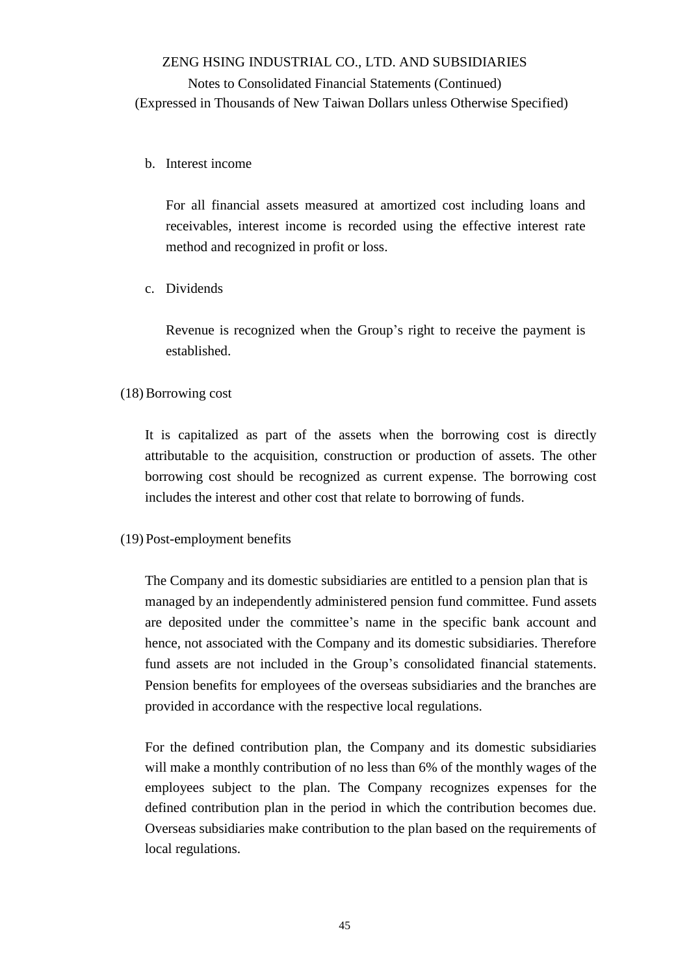#### b. Interest income

For all financial assets measured at amortized cost including loans and receivables, interest income is recorded using the effective interest rate method and recognized in profit or loss.

#### c. Dividends

Revenue is recognized when the Group's right to receive the payment is established.

#### (18)Borrowing cost

It is capitalized as part of the assets when the borrowing cost is directly attributable to the acquisition, construction or production of assets. The other borrowing cost should be recognized as current expense. The borrowing cost includes the interest and other cost that relate to borrowing of funds.

#### (19) Post-employment benefits

The Company and its domestic subsidiaries are entitled to a pension plan that is managed by an independently administered pension fund committee. Fund assets are deposited under the committee's name in the specific bank account and hence, not associated with the Company and its domestic subsidiaries. Therefore fund assets are not included in the Group's consolidated financial statements. Pension benefits for employees of the overseas subsidiaries and the branches are provided in accordance with the respective local regulations.

For the defined contribution plan, the Company and its domestic subsidiaries will make a monthly contribution of no less than 6% of the monthly wages of the employees subject to the plan. The Company recognizes expenses for the defined contribution plan in the period in which the contribution becomes due. Overseas subsidiaries make contribution to the plan based on the requirements of local regulations.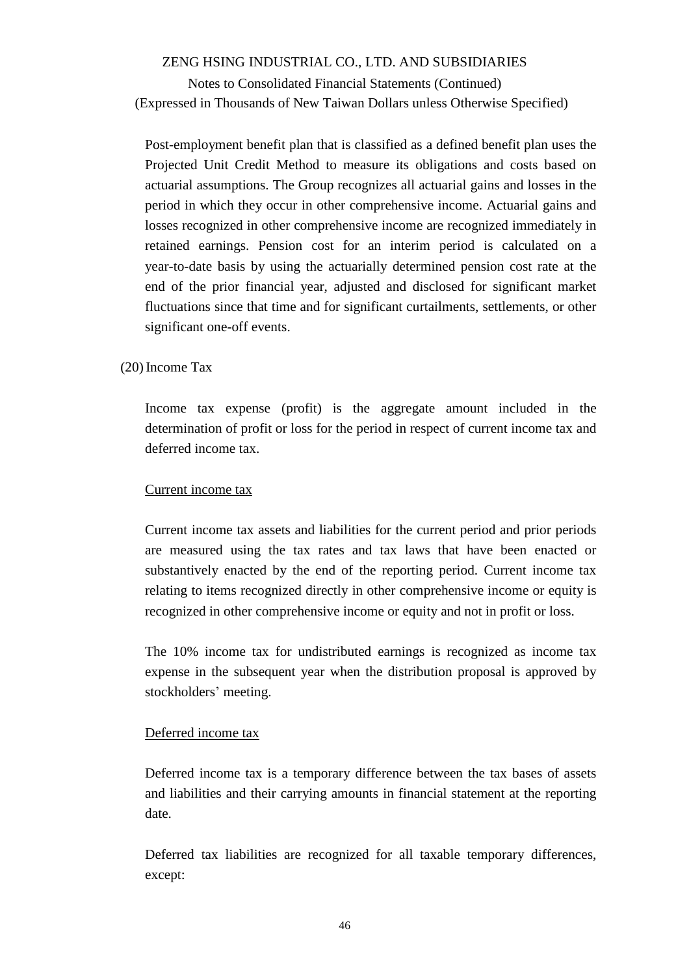Notes to Consolidated Financial Statements (Continued) (Expressed in Thousands of New Taiwan Dollars unless Otherwise Specified)

Post-employment benefit plan that is classified as a defined benefit plan uses the Projected Unit Credit Method to measure its obligations and costs based on actuarial assumptions. The Group recognizes all actuarial gains and losses in the period in which they occur in other comprehensive income. Actuarial gains and losses recognized in other comprehensive income are recognized immediately in retained earnings. Pension cost for an interim period is calculated on a year-to-date basis by using the actuarially determined pension cost rate at the end of the prior financial year, adjusted and disclosed for significant market fluctuations since that time and for significant curtailments, settlements, or other significant one-off events.

#### (20)Income Tax

Income tax expense (profit) is the aggregate amount included in the determination of profit or loss for the period in respect of current income tax and deferred income tax.

#### Current income tax

Current income tax assets and liabilities for the current period and prior periods are measured using the tax rates and tax laws that have been enacted or substantively enacted by the end of the reporting period. Current income tax relating to items recognized directly in other comprehensive income or equity is recognized in other comprehensive income or equity and not in profit or loss.

The 10% income tax for undistributed earnings is recognized as income tax expense in the subsequent year when the distribution proposal is approved by stockholders' meeting.

#### Deferred income tax

Deferred income tax is a temporary difference between the tax bases of assets and liabilities and their carrying amounts in financial statement at the reporting date.

Deferred tax liabilities are recognized for all taxable temporary differences, except: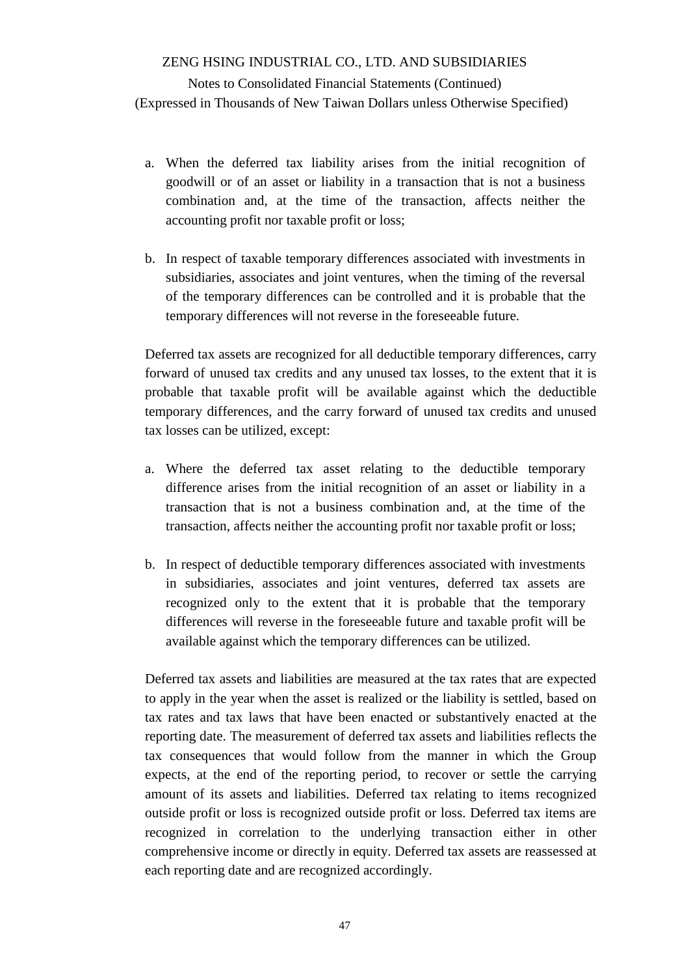- a. When the deferred tax liability arises from the initial recognition of goodwill or of an asset or liability in a transaction that is not a business combination and, at the time of the transaction, affects neither the accounting profit nor taxable profit or loss;
- b. In respect of taxable temporary differences associated with investments in subsidiaries, associates and joint ventures, when the timing of the reversal of the temporary differences can be controlled and it is probable that the temporary differences will not reverse in the foreseeable future.

Deferred tax assets are recognized for all deductible temporary differences, carry forward of unused tax credits and any unused tax losses, to the extent that it is probable that taxable profit will be available against which the deductible temporary differences, and the carry forward of unused tax credits and unused tax losses can be utilized, except:

- a. Where the deferred tax asset relating to the deductible temporary difference arises from the initial recognition of an asset or liability in a transaction that is not a business combination and, at the time of the transaction, affects neither the accounting profit nor taxable profit or loss;
- b. In respect of deductible temporary differences associated with investments in subsidiaries, associates and joint ventures, deferred tax assets are recognized only to the extent that it is probable that the temporary differences will reverse in the foreseeable future and taxable profit will be available against which the temporary differences can be utilized.

Deferred tax assets and liabilities are measured at the tax rates that are expected to apply in the year when the asset is realized or the liability is settled, based on tax rates and tax laws that have been enacted or substantively enacted at the reporting date. The measurement of deferred tax assets and liabilities reflects the tax consequences that would follow from the manner in which the Group expects, at the end of the reporting period, to recover or settle the carrying amount of its assets and liabilities. Deferred tax relating to items recognized outside profit or loss is recognized outside profit or loss. Deferred tax items are recognized in correlation to the underlying transaction either in other comprehensive income or directly in equity. Deferred tax assets are reassessed at each reporting date and are recognized accordingly.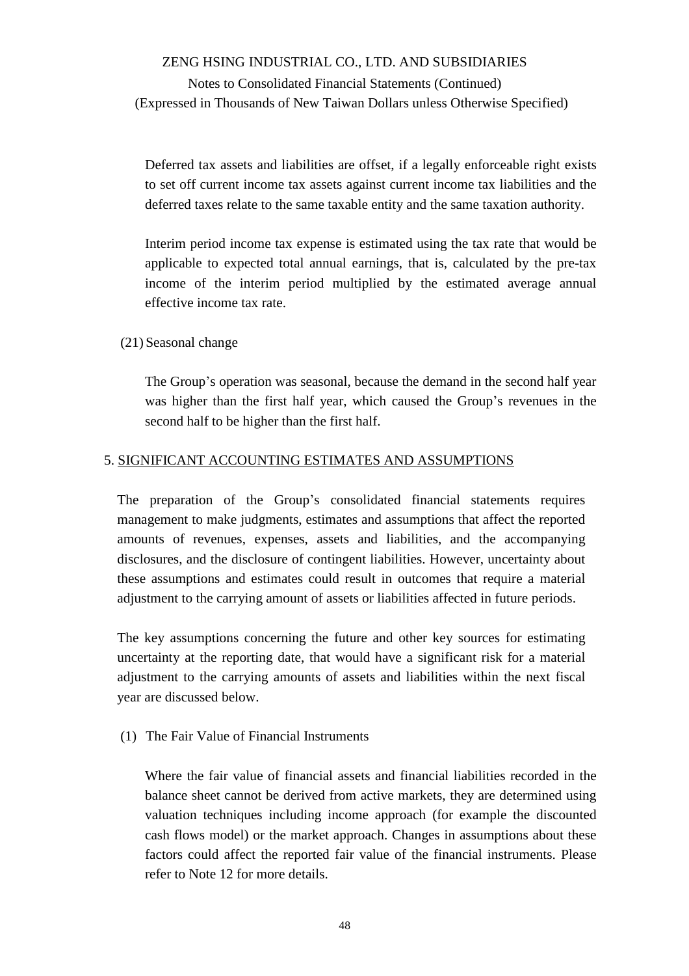Notes to Consolidated Financial Statements (Continued) (Expressed in Thousands of New Taiwan Dollars unless Otherwise Specified)

Deferred tax assets and liabilities are offset, if a legally enforceable right exists to set off current income tax assets against current income tax liabilities and the deferred taxes relate to the same taxable entity and the same taxation authority.

Interim period income tax expense is estimated using the tax rate that would be applicable to expected total annual earnings, that is, calculated by the pre-tax income of the interim period multiplied by the estimated average annual effective income tax rate.

(21) Seasonal change

The Group's operation was seasonal, because the demand in the second half year was higher than the first half year, which caused the Group's revenues in the second half to be higher than the first half.

#### 5. SIGNIFICANT ACCOUNTING ESTIMATES AND ASSUMPTIONS

The preparation of the Group's consolidated financial statements requires management to make judgments, estimates and assumptions that affect the reported amounts of revenues, expenses, assets and liabilities, and the accompanying disclosures, and the disclosure of contingent liabilities. However, uncertainty about these assumptions and estimates could result in outcomes that require a material adjustment to the carrying amount of assets or liabilities affected in future periods.

The key assumptions concerning the future and other key sources for estimating uncertainty at the reporting date, that would have a significant risk for a material adjustment to the carrying amounts of assets and liabilities within the next fiscal year are discussed below.

(1) The Fair Value of Financial Instruments

Where the fair value of financial assets and financial liabilities recorded in the balance sheet cannot be derived from active markets, they are determined using valuation techniques including income approach (for example the discounted cash flows model) or the market approach. Changes in assumptions about these factors could affect the reported fair value of the financial instruments. Please refer to Note 12 for more details.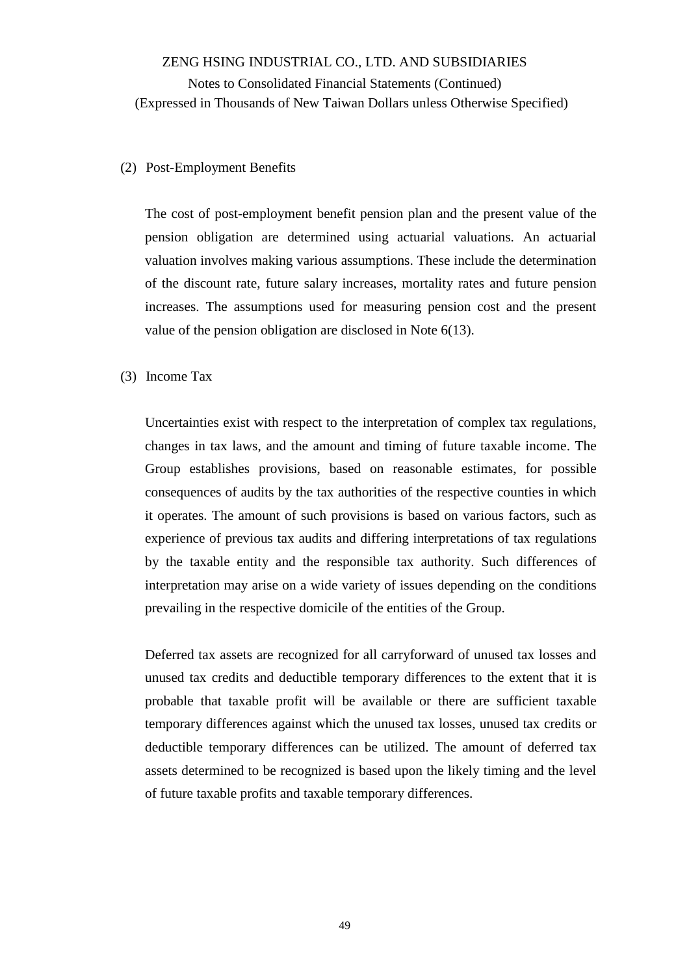#### (2) Post-Employment Benefits

The cost of post-employment benefit pension plan and the present value of the pension obligation are determined using actuarial valuations. An actuarial valuation involves making various assumptions. These include the determination of the discount rate, future salary increases, mortality rates and future pension increases. The assumptions used for measuring pension cost and the present value of the pension obligation are disclosed in Note 6(13).

#### (3) Income Tax

Uncertainties exist with respect to the interpretation of complex tax regulations, changes in tax laws, and the amount and timing of future taxable income. The Group establishes provisions, based on reasonable estimates, for possible consequences of audits by the tax authorities of the respective counties in which it operates. The amount of such provisions is based on various factors, such as experience of previous tax audits and differing interpretations of tax regulations by the taxable entity and the responsible tax authority. Such differences of interpretation may arise on a wide variety of issues depending on the conditions prevailing in the respective domicile of the entities of the Group.

Deferred tax assets are recognized for all carryforward of unused tax losses and unused tax credits and deductible temporary differences to the extent that it is probable that taxable profit will be available or there are sufficient taxable temporary differences against which the unused tax losses, unused tax credits or deductible temporary differences can be utilized. The amount of deferred tax assets determined to be recognized is based upon the likely timing and the level of future taxable profits and taxable temporary differences.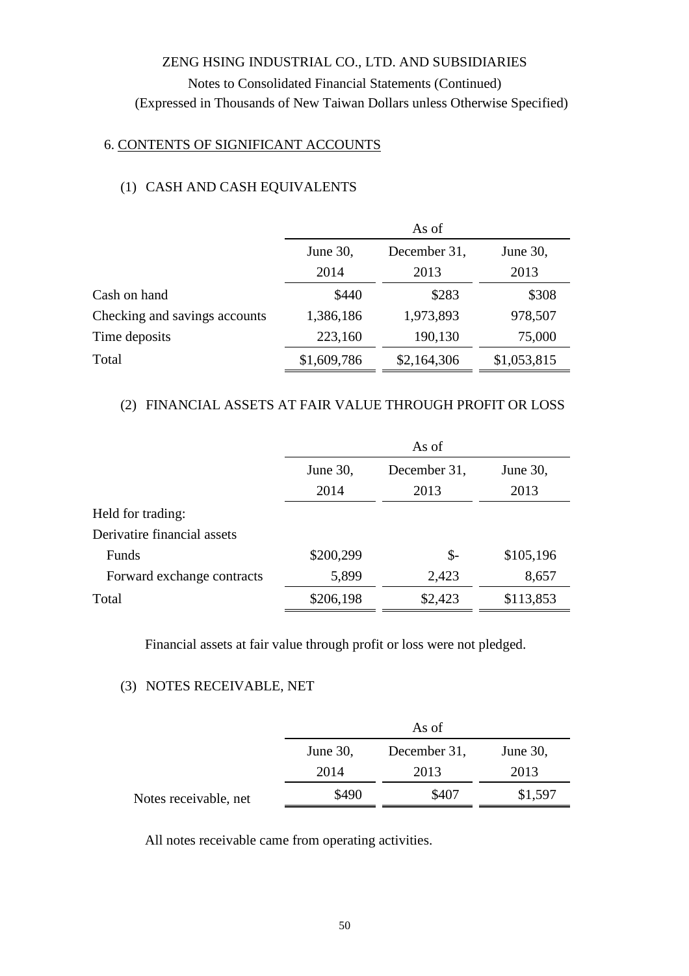### 6. CONTENTS OF SIGNIFICANT ACCOUNTS

# (1) CASH AND CASH EQUIVALENTS

|                               | As of       |              |             |  |  |
|-------------------------------|-------------|--------------|-------------|--|--|
|                               | June 30,    | December 31, | June 30,    |  |  |
|                               | 2014        | 2013         | 2013        |  |  |
| Cash on hand                  | \$440       | \$283        | \$308       |  |  |
| Checking and savings accounts | 1,386,186   | 1,973,893    | 978,507     |  |  |
| Time deposits                 | 223,160     | 190,130      | 75,000      |  |  |
| Total                         | \$1,609,786 | \$2,164,306  | \$1,053,815 |  |  |

### (2) FINANCIAL ASSETS AT FAIR VALUE THROUGH PROFIT OR LOSS

|                             | As of     |                |           |  |
|-----------------------------|-----------|----------------|-----------|--|
|                             | June 30,  | December 31,   | June 30,  |  |
|                             | 2014      | 2013           | 2013      |  |
| Held for trading:           |           |                |           |  |
| Derivatire financial assets |           |                |           |  |
| Funds                       | \$200,299 | $\mathsf{S}$ - | \$105,196 |  |
| Forward exchange contracts  | 5,899     | 2,423          | 8,657     |  |
| Total                       | \$206,198 | \$2,423        | \$113,853 |  |
|                             |           |                |           |  |

Financial assets at fair value through profit or loss were not pledged.

#### (3) NOTES RECEIVABLE, NET

|                       |          | As of        |          |
|-----------------------|----------|--------------|----------|
|                       | June 30, | December 31, | June 30, |
|                       | 2014     | 2013         | 2013     |
| Notes receivable, net | \$490    | \$407        | \$1,597  |

All notes receivable came from operating activities.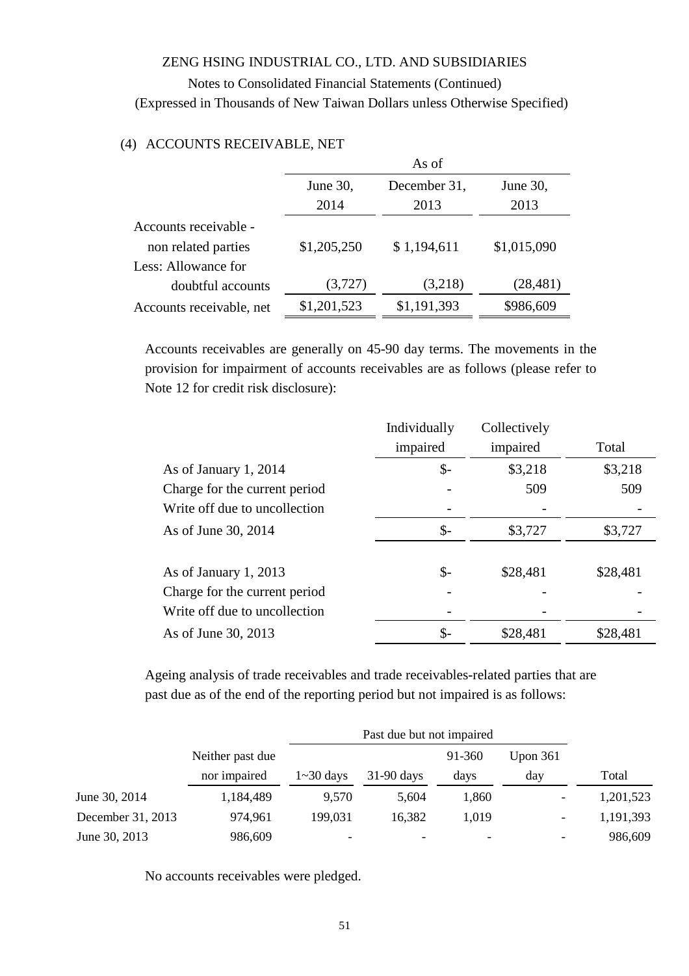Notes to Consolidated Financial Statements (Continued) (Expressed in Thousands of New Taiwan Dollars unless Otherwise Specified)

|                          | As of       |              |             |  |
|--------------------------|-------------|--------------|-------------|--|
|                          | June 30,    | December 31, | June 30,    |  |
|                          | 2014        | 2013         | 2013        |  |
| Accounts receivable -    |             |              |             |  |
| non related parties      | \$1,205,250 | \$1,194,611  | \$1,015,090 |  |
| Less: Allowance for      |             |              |             |  |
| doubtful accounts        | (3,727)     | (3,218)      | (28, 481)   |  |
| Accounts receivable, net | \$1,201,523 | \$1,191,393  | \$986,609   |  |

#### (4) ACCOUNTS RECEIVABLE, NET

Accounts receivables are generally on 45-90 day terms. The movements in the provision for impairment of accounts receivables are as follows (please refer to Note 12 for credit risk disclosure):

|                               | Individually | Collectively |          |
|-------------------------------|--------------|--------------|----------|
|                               | impaired     | impaired     | Total    |
| As of January 1, 2014         | \$-          | \$3,218      | \$3,218  |
| Charge for the current period |              | 509          | 509      |
| Write off due to uncollection |              |              |          |
| As of June 30, 2014           | \$-          | \$3,727      | \$3,727  |
|                               |              |              |          |
| As of January 1, 2013         | \$-          | \$28,481     | \$28,481 |
| Charge for the current period |              |              |          |
| Write off due to uncollection |              |              |          |
| As of June 30, 2013           | \$-          | \$28,481     | \$28,481 |

Ageing analysis of trade receivables and trade receivables-related parties that are past due as of the end of the reporting period but not impaired is as follows:

|                   | Past due but not impaired |                  |              |        |                          |           |
|-------------------|---------------------------|------------------|--------------|--------|--------------------------|-----------|
|                   | Neither past due          |                  |              | 91-360 | Upon $361$               |           |
|                   | nor impaired              | $1 \sim 30$ days | $31-90$ days | days   | day                      | Total     |
| June 30, 2014     | 1,184,489                 | 9,570            | 5,604        | 1,860  |                          | 1,201,523 |
| December 31, 2013 | 974,961                   | 199,031          | 16,382       | 1,019  | $\overline{\phantom{a}}$ | 1,191,393 |
| June 30, 2013     | 986,609                   | -                |              |        |                          | 986,609   |

No accounts receivables were pledged.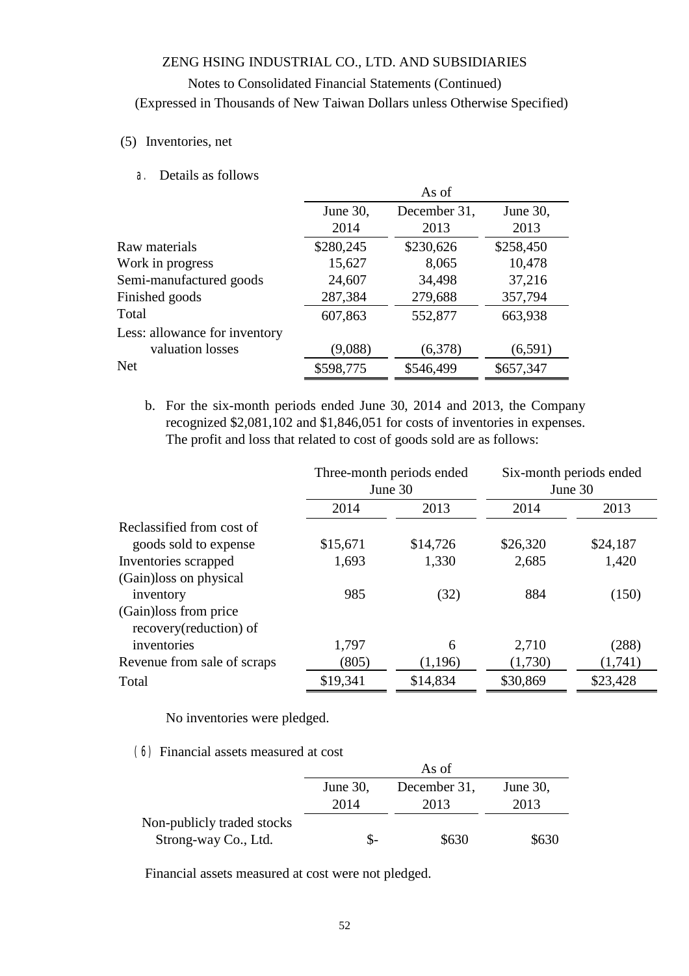### Notes to Consolidated Financial Statements (Continued) (Expressed in Thousands of New Taiwan Dollars unless Otherwise Specified)

#### (5) Inventories, net

a. Details as follows

|                               |           | As of        |           |
|-------------------------------|-----------|--------------|-----------|
|                               | June 30,  | December 31, | June 30,  |
|                               | 2014      | 2013         | 2013      |
| Raw materials                 | \$280,245 | \$230,626    | \$258,450 |
| Work in progress              | 15,627    | 8,065        | 10,478    |
| Semi-manufactured goods       | 24,607    | 34,498       | 37,216    |
| Finished goods                | 287,384   | 279,688      | 357,794   |
| Total                         | 607,863   | 552,877      | 663,938   |
| Less: allowance for inventory |           |              |           |
| valuation losses              | (9,088)   | (6,378)      | (6,591)   |
| <b>Net</b>                    | \$598,775 | \$546,499    | \$657,347 |

b. For the six-month periods ended June 30, 2014 and 2013, the Company recognized \$2,081,102 and \$1,846,051 for costs of inventories in expenses. The profit and loss that related to cost of goods sold are as follows:

|                                                  | Three-month periods ended<br>June 30 |          |          | Six-month periods ended<br>June 30 |
|--------------------------------------------------|--------------------------------------|----------|----------|------------------------------------|
|                                                  | 2014                                 | 2013     | 2014     | 2013                               |
| Reclassified from cost of                        |                                      |          |          |                                    |
| goods sold to expense                            | \$15,671                             | \$14,726 | \$26,320 | \$24,187                           |
| Inventories scrapped                             | 1,693                                | 1,330    | 2,685    | 1,420                              |
| (Gain) loss on physical                          |                                      |          |          |                                    |
| inventory                                        | 985                                  | (32)     | 884      | (150)                              |
| (Gain) loss from price<br>recovery(reduction) of |                                      |          |          |                                    |
| inventories                                      | 1,797                                | 6        | 2,710    | (288)                              |
| Revenue from sale of scraps                      | (805)                                | (1,196)  | (1,730)  | (1,741)                            |
| Total                                            | \$19,341                             | \$14,834 | \$30,869 | \$23,428                           |

No inventories were pledged.

(6) Financial assets measured at cost

|                            | As of    |              |          |  |
|----------------------------|----------|--------------|----------|--|
|                            | June 30, | December 31, | June 30, |  |
|                            | 2014     | 2013         | 2013     |  |
| Non-publicly traded stocks |          |              |          |  |
| Strong-way Co., Ltd.       | $S-$     | \$630        | \$630    |  |

Financial assets measured at cost were not pledged.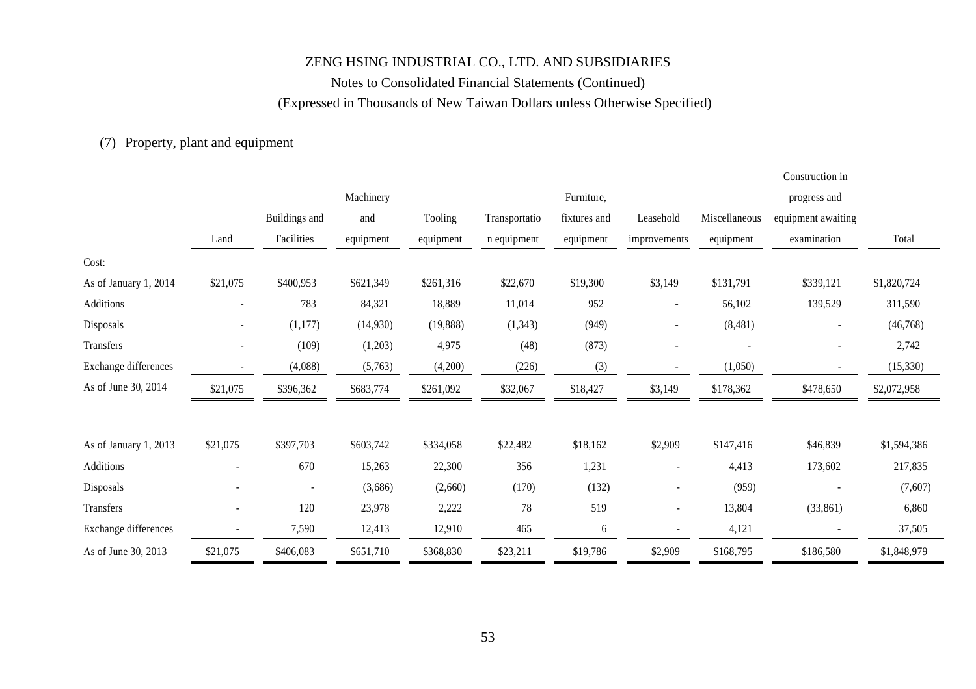### Notes to Consolidated Financial Statements (Continued) (Expressed in Thousands of New Taiwan Dollars unless Otherwise Specified)

Construction in

### (7) Property, plant and equipment

|                       |                          |               |           |           |               |              |                          |                          | Consulaction in          |             |
|-----------------------|--------------------------|---------------|-----------|-----------|---------------|--------------|--------------------------|--------------------------|--------------------------|-------------|
|                       |                          |               | Machinery |           |               | Furniture,   |                          |                          | progress and             |             |
|                       |                          | Buildings and | and       | Tooling   | Transportatio | fixtures and | Leasehold                | Miscellaneous            | equipment awaiting       |             |
|                       | Land                     | Facilities    | equipment | equipment | n equipment   | equipment    | improvements             | equipment                | examination              | Total       |
| Cost:                 |                          |               |           |           |               |              |                          |                          |                          |             |
| As of January 1, 2014 | \$21,075                 | \$400,953     | \$621,349 | \$261,316 | \$22,670      | \$19,300     | \$3,149                  | \$131,791                | \$339,121                | \$1,820,724 |
| Additions             | ۰                        | 783           | 84,321    | 18,889    | 11,014        | 952          |                          | 56,102                   | 139,529                  | 311,590     |
| Disposals             | ٠                        | (1,177)       | (14,930)  | (19,888)  | (1, 343)      | (949)        | $\overline{\phantom{a}}$ | (8,481)                  | $\sim$                   | (46, 768)   |
| Transfers             | $\overline{\phantom{0}}$ | (109)         | (1,203)   | 4,975     | (48)          | (873)        |                          | $\overline{\phantom{a}}$ | $\overline{\phantom{a}}$ | 2,742       |
| Exchange differences  |                          | (4,088)       | (5,763)   | (4,200)   | (226)         | (3)          | $\overline{\phantom{a}}$ | (1,050)                  | $\overline{\phantom{a}}$ | (15, 330)   |
| As of June 30, 2014   | \$21,075                 | \$396,362     | \$683,774 | \$261,092 | \$32,067      | \$18,427     | \$3,149                  | \$178,362                | \$478,650                | \$2,072,958 |
|                       |                          |               |           |           |               |              |                          |                          |                          |             |
| As of January 1, 2013 | \$21,075                 | \$397,703     | \$603,742 | \$334,058 | \$22,482      | \$18,162     | \$2,909                  | \$147,416                | \$46,839                 | \$1,594,386 |
| Additions             |                          | 670           | 15,263    | 22,300    | 356           | 1,231        | $\overline{\phantom{a}}$ | 4,413                    | 173,602                  | 217,835     |
| Disposals             |                          |               | (3,686)   | (2,660)   | (170)         | (132)        | $\overline{\phantom{0}}$ | (959)                    |                          | (7,607)     |
| Transfers             |                          | 120           | 23,978    | 2,222     | 78            | 519          | $\sim$                   | 13,804                   | (33,861)                 | 6,860       |
| Exchange differences  |                          | 7,590         | 12,413    | 12,910    | 465           | 6            |                          | 4,121                    |                          | 37,505      |
| As of June 30, 2013   | \$21,075                 | \$406,083     | \$651,710 | \$368,830 | \$23,211      | \$19,786     | \$2,909                  | \$168,795                | \$186,580                | \$1,848,979 |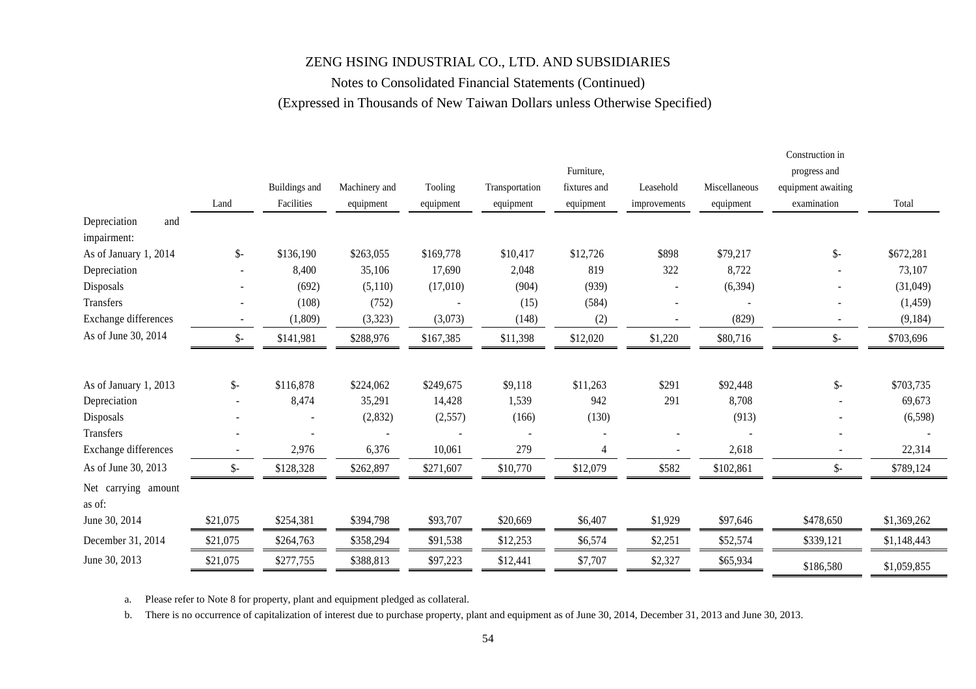### Notes to Consolidated Financial Statements (Continued) (Expressed in Thousands of New Taiwan Dollars unless Otherwise Specified)

|                               |                 |               |               |           |                |              |                          |               | Construction in    |             |
|-------------------------------|-----------------|---------------|---------------|-----------|----------------|--------------|--------------------------|---------------|--------------------|-------------|
|                               |                 |               |               |           |                | Furniture,   |                          |               | progress and       |             |
|                               |                 | Buildings and | Machinery and | Tooling   | Transportation | fixtures and | Leasehold                | Miscellaneous | equipment awaiting |             |
|                               | Land            | Facilities    | equipment     | equipment | equipment      | equipment    | improvements             | equipment     | examination        | Total       |
| Depreciation<br>and           |                 |               |               |           |                |              |                          |               |                    |             |
| impairment:                   |                 |               |               |           |                |              |                          |               |                    |             |
| As of January 1, 2014         | $\mathsf{\$}$   | \$136,190     | \$263,055     | \$169,778 | \$10,417       | \$12,726     | \$898                    | \$79,217      | $\mathcal{S}$ -    | \$672,281   |
| Depreciation                  |                 | 8,400         | 35,106        | 17,690    | 2,048          | 819          | 322                      | 8,722         |                    | 73,107      |
| Disposals                     |                 | (692)         | (5,110)       | (17,010)  | (904)          | (939)        |                          | (6, 394)      |                    | (31,049)    |
| Transfers                     |                 | (108)         | (752)         |           | (15)           | (584)        |                          |               |                    | (1,459)     |
| Exchange differences          |                 | (1,809)       | (3,323)       | (3,073)   | (148)          | (2)          | $\overline{\phantom{a}}$ | (829)         | $\sim$             | (9, 184)    |
| As of June 30, 2014           | $\frac{1}{2}$   | \$141,981     | \$288,976     | \$167,385 | \$11,398       | \$12,020     | \$1,220                  | \$80,716      | $\mathcal{S}$ -    | \$703,696   |
| As of January 1, 2013         | $\mathcal{S}$ - | \$116,878     | \$224,062     | \$249,675 | \$9,118        | \$11,263     | \$291                    | \$92,448      | \$-                | \$703,735   |
| Depreciation                  | $\sim$          | 8,474         | 35,291        | 14,428    | 1,539          | 942          | 291                      | 8,708         |                    | 69,673      |
| Disposals                     |                 |               | (2,832)       | (2,557)   | (166)          | (130)        |                          | (913)         |                    | (6,598)     |
| Transfers                     |                 |               |               |           |                |              |                          |               |                    |             |
| Exchange differences          | ÷,              | 2,976         | 6,376         | 10,061    | 279            | 4            | ä,                       | 2,618         | $\blacksquare$     | 22,314      |
| As of June 30, 2013           | \$-             | \$128,328     | \$262,897     | \$271,607 | \$10,770       | \$12,079     | \$582                    | \$102,861     | \$-                | \$789,124   |
| Net carrying amount<br>as of: |                 |               |               |           |                |              |                          |               |                    |             |
| June 30, 2014                 | \$21,075        | \$254,381     | \$394,798     | \$93,707  | \$20,669       | \$6,407      | \$1,929                  | \$97,646      | \$478,650          | \$1,369,262 |
| December 31, 2014             | \$21,075        | \$264,763     | \$358,294     | \$91,538  | \$12,253       | \$6,574      | \$2,251                  | \$52,574      | \$339,121          | \$1,148,443 |
| June 30, 2013                 | \$21,075        | \$277,755     | \$388,813     | \$97,223  | \$12,441       | \$7,707      | \$2,327                  | \$65,934      | \$186,580          | \$1,059,855 |

a. Please refer to Note 8 for property, plant and equipment pledged as collateral.

b. There is no occurrence of capitalization of interest due to purchase property, plant and equipment as of June 30, 2014, December 31, 2013 and June 30, 2013.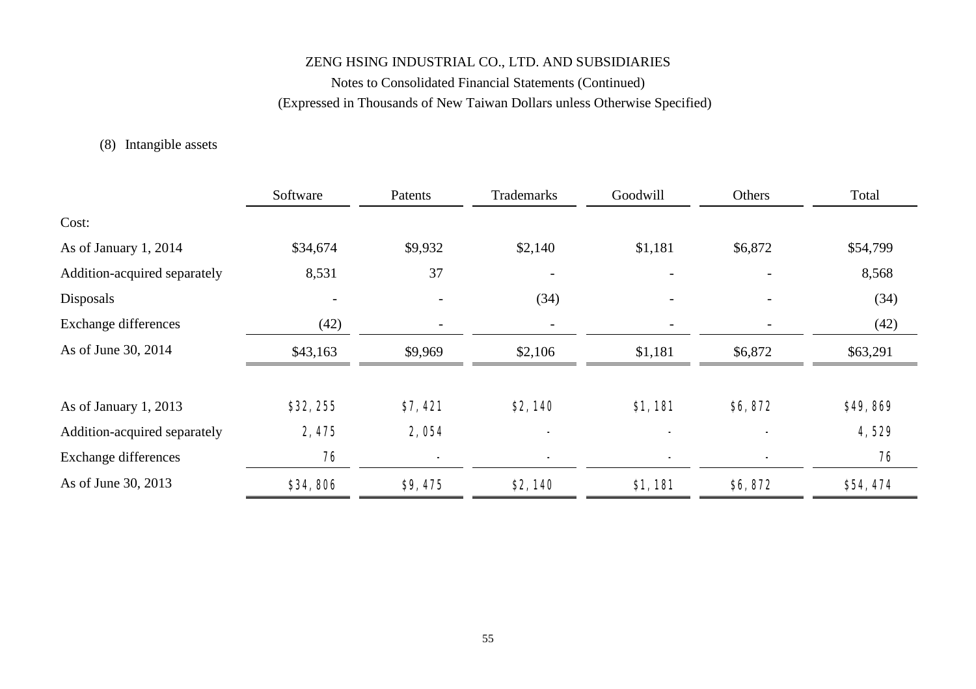Notes to Consolidated Financial Statements (Continued) (Expressed in Thousands of New Taiwan Dollars unless Otherwise Specified)

### (8) Intangible assets

|                              | Software                 | Patents | Trademarks | Goodwill                 | Others  | Total    |
|------------------------------|--------------------------|---------|------------|--------------------------|---------|----------|
| Cost:                        |                          |         |            |                          |         |          |
| As of January 1, 2014        | \$34,674                 | \$9,932 | \$2,140    | \$1,181                  | \$6,872 | \$54,799 |
| Addition-acquired separately | 8,531                    | 37      |            |                          |         | 8,568    |
| Disposals                    | $\overline{\phantom{a}}$ |         | (34)       | $\overline{\phantom{a}}$ |         | (34)     |
| <b>Exchange differences</b>  | (42)                     |         |            |                          |         | (42)     |
| As of June 30, 2014          | \$43,163                 | \$9,969 | \$2,106    | \$1,181                  | \$6,872 | \$63,291 |
| As of January 1, 2013        | \$32,255                 | \$7,421 | \$2,140    | \$1,181                  | \$6,872 | \$49,869 |
| Addition-acquired separately | 2,475                    | 2,054   |            |                          |         | 4,529    |
| <b>Exchange differences</b>  | 76                       |         |            |                          |         | 76       |
| As of June 30, 2013          | \$34,806                 | \$9,475 | \$2,140    | \$1,181                  | \$6,872 | \$54,474 |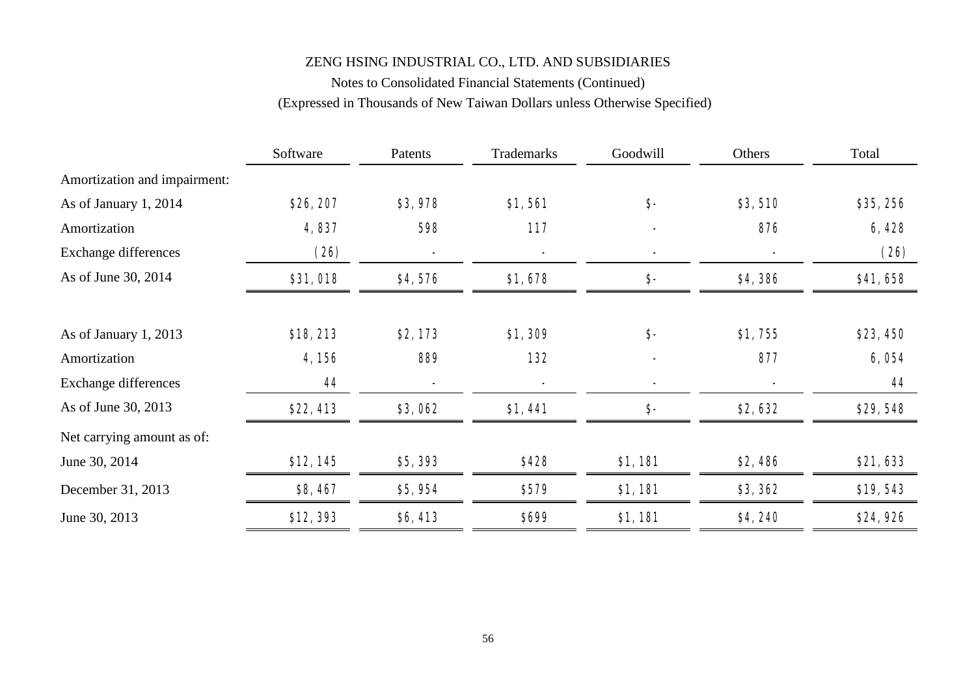# Notes to Consolidated Financial Statements (Continued) (Expressed in Thousands of New Taiwan Dollars unless Otherwise Specified)

|                              | Software | Patents | Trademarks | Goodwill | Others  | Total    |
|------------------------------|----------|---------|------------|----------|---------|----------|
| Amortization and impairment: |          |         |            |          |         |          |
| As of January 1, 2014        | \$26,207 | \$3,978 | \$1,561    | \$-      | \$3,510 | \$35,256 |
| Amortization                 | 4,837    | 598     | 117        |          | 876     | 6,428    |
| <b>Exchange differences</b>  | (26)     |         | ۰          |          |         | (26)     |
| As of June 30, 2014          | \$31,018 | \$4,576 | \$1,678    | \$-      | \$4,386 | \$41,658 |
| As of January 1, 2013        | \$18,213 | \$2,173 | \$1,309    | \$-      | \$1,755 | \$23,450 |
| Amortization                 | 4,156    | 889     | 132        |          | 877     | 6,054    |
| <b>Exchange differences</b>  | 44       |         | ۰          |          |         | 44       |
| As of June 30, 2013          | \$22,413 | \$3,062 | \$1,441    | \$-      | \$2,632 | \$29,548 |
| Net carrying amount as of:   |          |         |            |          |         |          |
| June 30, 2014                | \$12,145 | \$5,393 | \$428      | \$1,181  | \$2,486 | \$21,633 |
| December 31, 2013            | \$8,467  | \$5,954 | \$579      | \$1,181  | \$3,362 | \$19,543 |
| June 30, 2013                | \$12,393 | \$6,413 | \$699      | \$1,181  | \$4,240 | \$24,926 |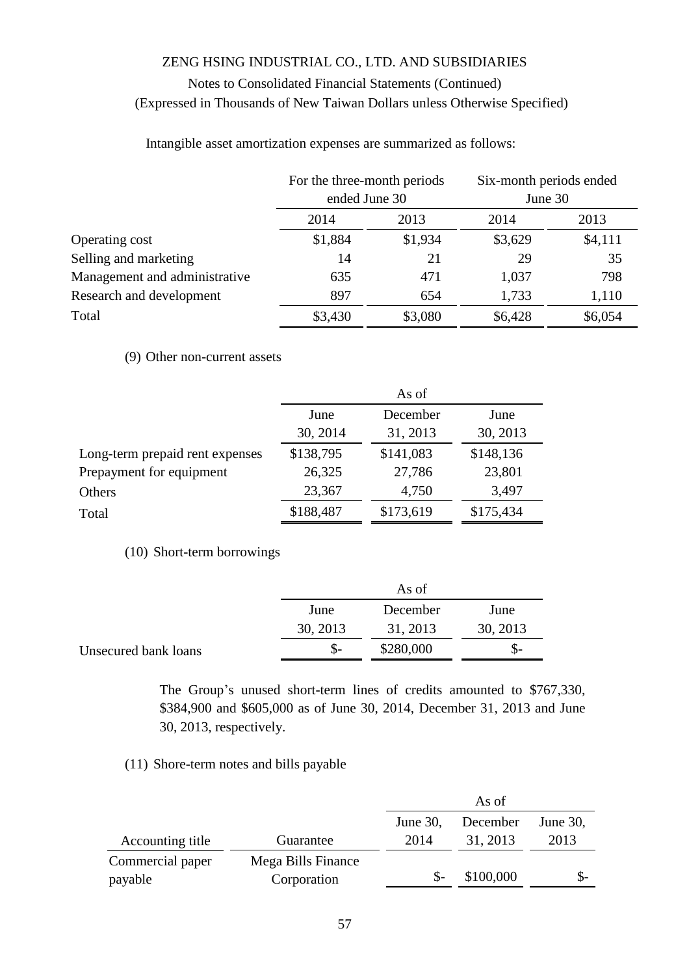Intangible asset amortization expenses are summarized as follows:

|                               | For the three-month periods |         | Six-month periods ended<br>June 30 |         |
|-------------------------------|-----------------------------|---------|------------------------------------|---------|
|                               | ended June 30               |         |                                    |         |
|                               | 2014                        | 2013    | 2014                               | 2013    |
| Operating cost                | \$1,884                     | \$1,934 | \$3,629                            | \$4,111 |
| Selling and marketing         | 14                          | 21      | 29                                 | 35      |
| Management and administrative | 635                         | 471     | 1,037                              | 798     |
| Research and development      | 897                         | 654     | 1,733                              | 1,110   |
| Total                         | \$3,430                     | \$3,080 | \$6,428                            | \$6,054 |

(9) Other non-current assets

|                                 | As of     |           |           |  |  |
|---------------------------------|-----------|-----------|-----------|--|--|
|                                 | June      | December  | June      |  |  |
|                                 | 30, 2014  | 31, 2013  | 30, 2013  |  |  |
| Long-term prepaid rent expenses | \$138,795 | \$141,083 | \$148,136 |  |  |
| Prepayment for equipment        | 26,325    | 27,786    | 23,801    |  |  |
| Others                          | 23,367    | 4,750     | 3,497     |  |  |
| Total                           | \$188,487 | \$173,619 | \$175,434 |  |  |

(10) Short-term borrowings

|                      | As of    |           |          |  |  |
|----------------------|----------|-----------|----------|--|--|
|                      | June     | December  | June     |  |  |
|                      | 30, 2013 | 31, 2013  | 30, 2013 |  |  |
| Unsecured bank loans |          | \$280,000 | $S-$     |  |  |

The Group's unused short-term lines of credits amounted to \$767,330, \$384,900 and \$605,000 as of June 30, 2014, December 31, 2013 and June 30, 2013, respectively.

#### (11) Shore-term notes and bills payable

|                  |                    |             | As of     |             |
|------------------|--------------------|-------------|-----------|-------------|
|                  |                    | June $30$ , | December  | June $30$ , |
| Accounting title | Guarantee          | 2014        | 31, 2013  | 2013        |
| Commercial paper | Mega Bills Finance |             |           |             |
| payable          | Corporation        |             | \$100,000 |             |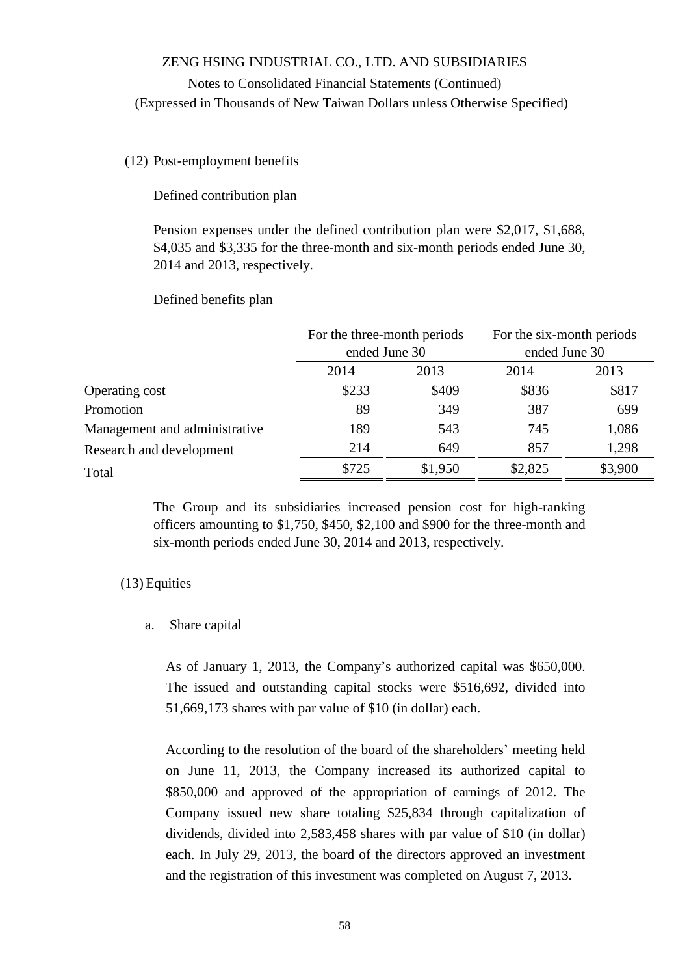### Notes to Consolidated Financial Statements (Continued) (Expressed in Thousands of New Taiwan Dollars unless Otherwise Specified)

#### (12) Post-employment benefits

#### Defined contribution plan

Pension expenses under the defined contribution plan were \$2,017, \$1,688, \$4,035 and \$3,335 for the three-month and six-month periods ended June 30, 2014 and 2013, respectively.

#### Defined benefits plan

|                               | For the three-month periods<br>ended June 30 |         | For the six-month periods<br>ended June 30 |         |
|-------------------------------|----------------------------------------------|---------|--------------------------------------------|---------|
|                               | 2014                                         | 2013    | 2014                                       | 2013    |
| Operating cost                | \$233                                        | \$409   | \$836                                      | \$817   |
| Promotion                     | 89                                           | 349     | 387                                        | 699     |
| Management and administrative | 189                                          | 543     | 745                                        | 1,086   |
| Research and development      | 214                                          | 649     | 857                                        | 1,298   |
| Total                         | \$725                                        | \$1,950 | \$2,825                                    | \$3,900 |

The Group and its subsidiaries increased pension cost for high-ranking officers amounting to \$1,750, \$450, \$2,100 and \$900 for the three-month and six-month periods ended June 30, 2014 and 2013, respectively.

#### (13) Equities

#### a. Share capital

As of January 1, 2013, the Company's authorized capital was \$650,000. The issued and outstanding capital stocks were \$516,692, divided into 51,669,173 shares with par value of \$10 (in dollar) each.

According to the resolution of the board of the shareholders' meeting held on June 11, 2013, the Company increased its authorized capital to \$850,000 and approved of the appropriation of earnings of 2012. The Company issued new share totaling \$25,834 through capitalization of dividends, divided into 2,583,458 shares with par value of \$10 (in dollar) each. In July 29, 2013, the board of the directors approved an investment and the registration of this investment was completed on August 7, 2013.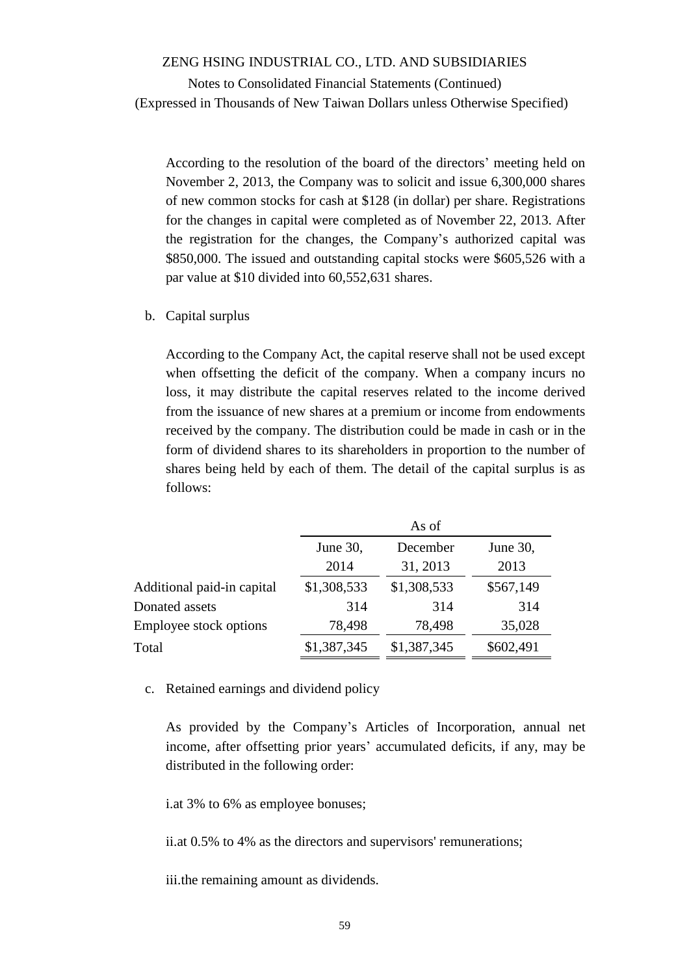Notes to Consolidated Financial Statements (Continued) (Expressed in Thousands of New Taiwan Dollars unless Otherwise Specified)

According to the resolution of the board of the directors' meeting held on November 2, 2013, the Company was to solicit and issue 6,300,000 shares of new common stocks for cash at \$128 (in dollar) per share. Registrations for the changes in capital were completed as of November 22, 2013. After the registration for the changes, the Company's authorized capital was \$850,000. The issued and outstanding capital stocks were \$605,526 with a par value at \$10 divided into 60,552,631 shares.

b. Capital surplus

According to the Company Act, the capital reserve shall not be used except when offsetting the deficit of the company. When a company incurs no loss, it may distribute the capital reserves related to the income derived from the issuance of new shares at a premium or income from endowments received by the company. The distribution could be made in cash or in the form of dividend shares to its shareholders in proportion to the number of shares being held by each of them. The detail of the capital surplus is as follows:

|                            | As of                            |             |           |  |  |  |
|----------------------------|----------------------------------|-------------|-----------|--|--|--|
|                            | December<br>June 30,<br>June 30, |             |           |  |  |  |
|                            | 2014                             | 31, 2013    | 2013      |  |  |  |
| Additional paid-in capital | \$1,308,533                      | \$1,308,533 | \$567,149 |  |  |  |
| Donated assets             | 314                              | 314         | 314       |  |  |  |
| Employee stock options     | 78,498                           | 78,498      | 35,028    |  |  |  |
| Total                      | \$1,387,345                      | \$1,387,345 | \$602,491 |  |  |  |

c. Retained earnings and dividend policy

As provided by the Company's Articles of Incorporation, annual net income, after offsetting prior years' accumulated deficits, if any, may be distributed in the following order:

i.at 3% to 6% as employee bonuses;

ii.at 0.5% to 4% as the directors and supervisors' remunerations;

iii.the remaining amount as dividends.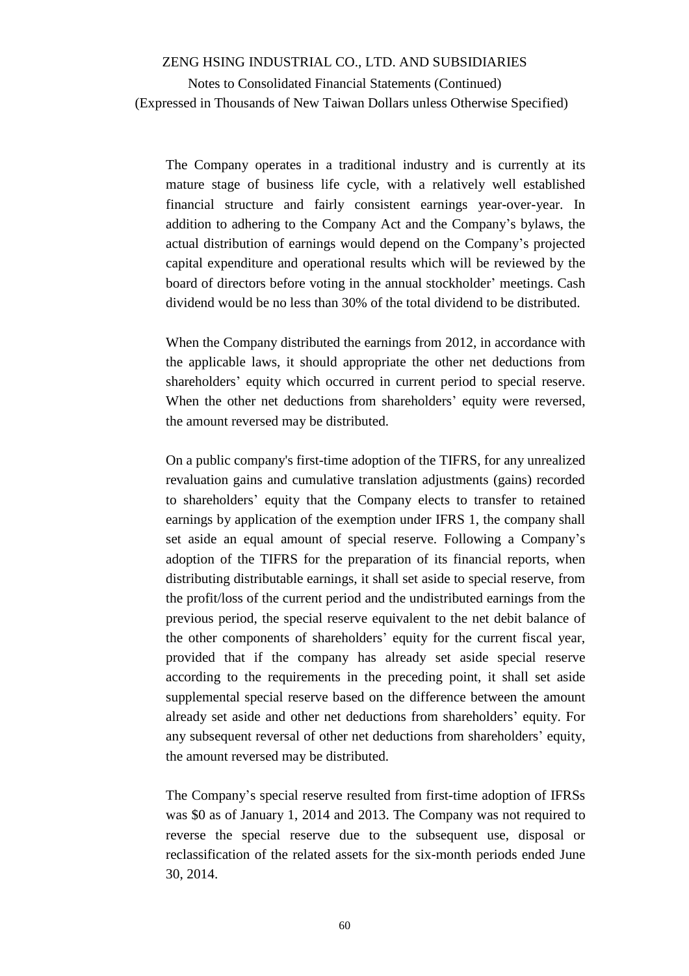The Company operates in a traditional industry and is currently at its mature stage of business life cycle, with a relatively well established financial structure and fairly consistent earnings year-over-year. In addition to adhering to the Company Act and the Company's bylaws, the actual distribution of earnings would depend on the Company's projected capital expenditure and operational results which will be reviewed by the board of directors before voting in the annual stockholder' meetings. Cash dividend would be no less than 30% of the total dividend to be distributed.

When the Company distributed the earnings from 2012, in accordance with the applicable laws, it should appropriate the other net deductions from shareholders' equity which occurred in current period to special reserve. When the other net deductions from shareholders' equity were reversed, the amount reversed may be distributed.

On a public company's first-time adoption of the TIFRS, for any unrealized revaluation gains and cumulative translation adjustments (gains) recorded to shareholders' equity that the Company elects to transfer to retained earnings by application of the exemption under IFRS 1, the company shall set aside an equal amount of special reserve. Following a Company's adoption of the TIFRS for the preparation of its financial reports, when distributing distributable earnings, it shall set aside to special reserve, from the profit/loss of the current period and the undistributed earnings from the previous period, the special reserve equivalent to the net debit balance of the other components of shareholders' equity for the current fiscal year, provided that if the company has already set aside special reserve according to the requirements in the preceding point, it shall set aside supplemental special reserve based on the difference between the amount already set aside and other net deductions from shareholders' equity. For any subsequent reversal of other net deductions from shareholders' equity, the amount reversed may be distributed.

The Company's special reserve resulted from first-time adoption of IFRSs was \$0 as of January 1, 2014 and 2013. The Company was not required to reverse the special reserve due to the subsequent use, disposal or reclassification of the related assets for the six-month periods ended June 30, 2014.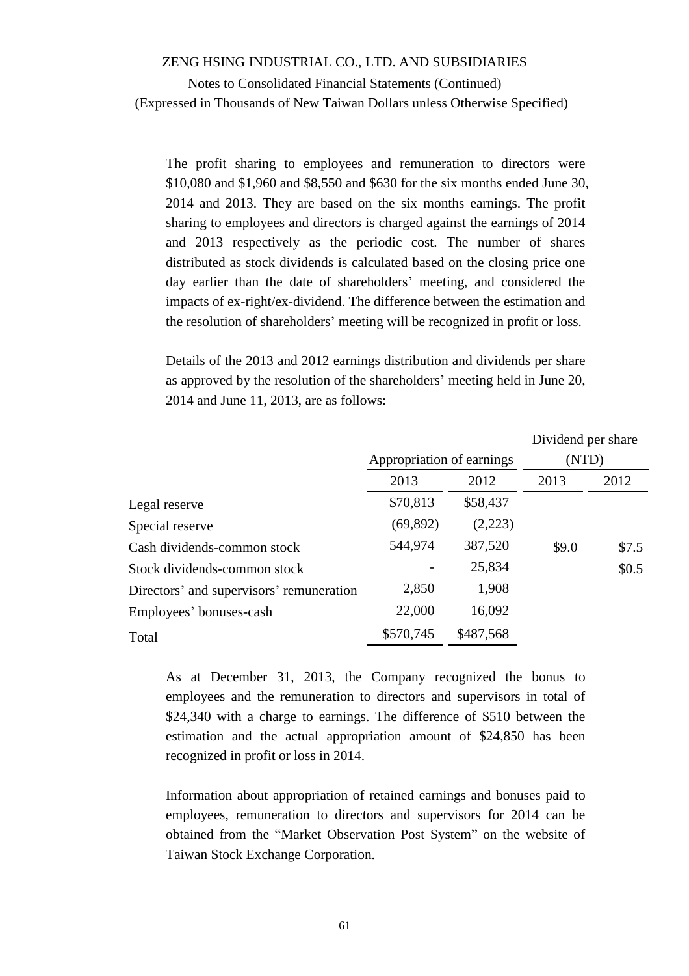The profit sharing to employees and remuneration to directors were \$10,080 and \$1,960 and \$8,550 and \$630 for the six months ended June 30, 2014 and 2013. They are based on the six months earnings. The profit sharing to employees and directors is charged against the earnings of 2014 and 2013 respectively as the periodic cost. The number of shares distributed as stock dividends is calculated based on the closing price one day earlier than the date of shareholders' meeting, and considered the impacts of ex-right/ex-dividend. The difference between the estimation and the resolution of shareholders' meeting will be recognized in profit or loss.

Details of the 2013 and 2012 earnings distribution and dividends per share as approved by the resolution of the shareholders' meeting held in June 20, 2014 and June 11, 2013, are as follows:

|                                          |                           |           | Dividend per share |       |
|------------------------------------------|---------------------------|-----------|--------------------|-------|
|                                          | Appropriation of earnings |           | (NTD)              |       |
|                                          | 2013                      | 2012      | 2013               | 2012  |
| Legal reserve                            | \$70,813                  | \$58,437  |                    |       |
| Special reserve                          | (69, 892)                 | (2,223)   |                    |       |
| Cash dividends-common stock              | 544,974                   | 387,520   | \$9.0              | \$7.5 |
| Stock dividends-common stock             |                           | 25,834    |                    | \$0.5 |
| Directors' and supervisors' remuneration | 2,850                     | 1,908     |                    |       |
| Employees' bonuses-cash                  | 22,000                    | 16,092    |                    |       |
| Total                                    | \$570,745                 | \$487,568 |                    |       |

As at December 31, 2013, the Company recognized the bonus to employees and the remuneration to directors and supervisors in total of \$24,340 with a charge to earnings. The difference of \$510 between the estimation and the actual appropriation amount of \$24,850 has been recognized in profit or loss in 2014.

Information about appropriation of retained earnings and bonuses paid to employees, remuneration to directors and supervisors for 2014 can be obtained from the "Market Observation Post System" on the website of Taiwan Stock Exchange Corporation.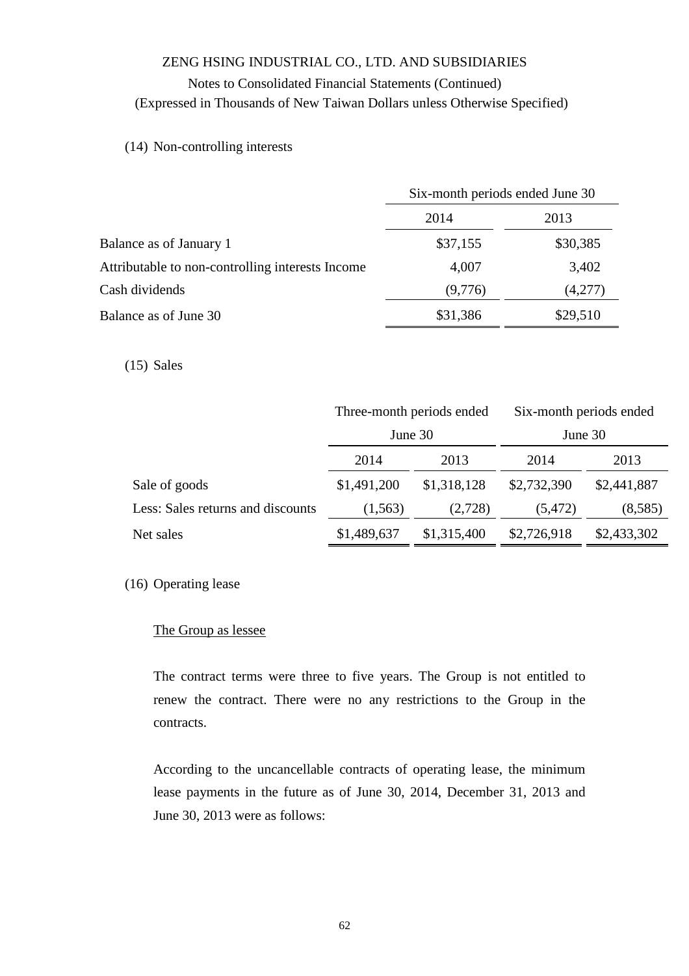### Notes to Consolidated Financial Statements (Continued) (Expressed in Thousands of New Taiwan Dollars unless Otherwise Specified)

### (14) Non-controlling interests

|                                                  | Six-month periods ended June 30 |          |  |
|--------------------------------------------------|---------------------------------|----------|--|
|                                                  | 2014                            | 2013     |  |
| Balance as of January 1                          | \$37,155                        | \$30,385 |  |
| Attributable to non-controlling interests Income | 4,007                           | 3,402    |  |
| Cash dividends                                   | (9,776)                         | (4,277)  |  |
| Balance as of June 30                            | \$31,386                        | \$29,510 |  |

#### (15) Sales

|                                   | Three-month periods ended |             | Six-month periods ended |             |  |
|-----------------------------------|---------------------------|-------------|-------------------------|-------------|--|
|                                   | June 30                   |             | June 30                 |             |  |
|                                   | 2014                      | 2013        | 2014                    | 2013        |  |
| Sale of goods                     | \$1,491,200               | \$1,318,128 | \$2,732,390             | \$2,441,887 |  |
| Less: Sales returns and discounts | (1, 563)                  | (2,728)     | (5, 472)                | (8,585)     |  |
| Net sales                         | \$1,489,637               | \$1,315,400 | \$2,726,918             | \$2,433,302 |  |

#### (16) Operating lease

#### The Group as lessee

The contract terms were three to five years. The Group is not entitled to renew the contract. There were no any restrictions to the Group in the contracts.

According to the uncancellable contracts of operating lease, the minimum lease payments in the future as of June 30, 2014, December 31, 2013 and June 30, 2013 were as follows: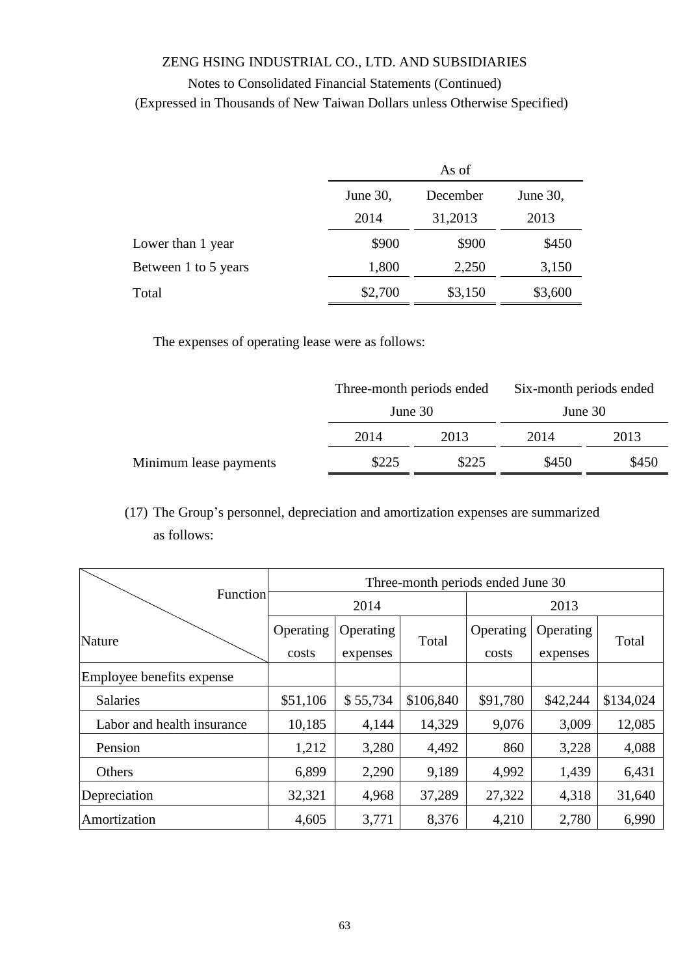|                      | As of    |          |          |  |  |
|----------------------|----------|----------|----------|--|--|
|                      | June 30, | December | June 30, |  |  |
|                      | 2014     | 31,2013  | 2013     |  |  |
| Lower than 1 year    | \$900    | \$900    | \$450    |  |  |
| Between 1 to 5 years | 1,800    | 2,250    | 3,150    |  |  |
| Total                | \$2,700  | \$3,150  | \$3,600  |  |  |

The expenses of operating lease were as follows:

|                        | Three-month periods ended<br>June 30 |       | Six-month periods ended<br>June 30 |       |
|------------------------|--------------------------------------|-------|------------------------------------|-------|
|                        |                                      |       |                                    |       |
|                        | 2014                                 | 2013  | 2014                               | 2013  |
| Minimum lease payments | \$225                                | \$225 | \$450                              | \$450 |

(17) The Group's personnel, depreciation and amortization expenses are summarized as follows:

|                            | Three-month periods ended June 30 |           |           |           |           |           |  |
|----------------------------|-----------------------------------|-----------|-----------|-----------|-----------|-----------|--|
| Function                   | 2014                              |           |           |           | 2013      |           |  |
| Nature                     | Operating                         | Operating |           | Operating | Operating |           |  |
|                            | costs                             | expenses  | Total     | costs     | expenses  | Total     |  |
| Employee benefits expense  |                                   |           |           |           |           |           |  |
| <b>Salaries</b>            | \$51,106                          | \$55,734  | \$106,840 | \$91,780  | \$42,244  | \$134,024 |  |
| Labor and health insurance | 10,185                            | 4,144     | 14,329    | 9,076     | 3,009     | 12,085    |  |
| Pension                    | 1,212                             | 3,280     | 4,492     | 860       | 3,228     | 4,088     |  |
| Others                     | 6,899                             | 2,290     | 9,189     | 4,992     | 1,439     | 6,431     |  |
| Depreciation               | 32,321                            | 4,968     | 37,289    | 27,322    | 4,318     | 31,640    |  |
| Amortization               | 4,605                             | 3,771     | 8,376     | 4,210     | 2,780     | 6,990     |  |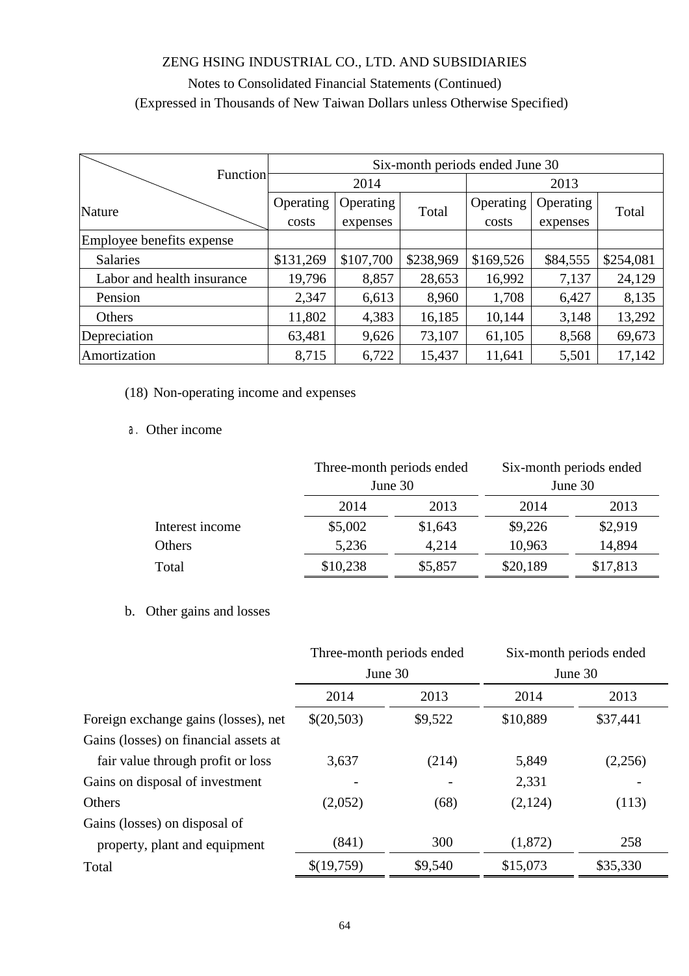|                            | Six-month periods ended June 30 |           |           |           |           |           |  |
|----------------------------|---------------------------------|-----------|-----------|-----------|-----------|-----------|--|
| Function                   |                                 | 2014      |           |           | 2013      |           |  |
| Nature                     | Operating                       | Operating | Total     | Operating | Operating |           |  |
|                            | costs                           | expenses  |           | costs     | expenses  | Total     |  |
| Employee benefits expense  |                                 |           |           |           |           |           |  |
| <b>Salaries</b>            | \$131,269                       | \$107,700 | \$238,969 | \$169,526 | \$84,555  | \$254,081 |  |
| Labor and health insurance | 19,796                          | 8,857     | 28,653    | 16,992    | 7,137     | 24,129    |  |
| Pension                    | 2,347                           | 6,613     | 8,960     | 1,708     | 6,427     | 8,135     |  |
| <b>Others</b>              | 11,802                          | 4,383     | 16,185    | 10,144    | 3,148     | 13,292    |  |
| Depreciation               | 63,481                          | 9,626     | 73,107    | 61,105    | 8,568     | 69,673    |  |
| Amortization               | 8,715                           | 6,722     | 15,437    | 11,641    | 5,501     | 17,142    |  |

### (18) Non-operating income and expenses

### a. Other income

|                 |          | Three-month periods ended |          | Six-month periods ended |  |
|-----------------|----------|---------------------------|----------|-------------------------|--|
|                 | June 30  |                           | June 30  |                         |  |
|                 | 2014     | 2013                      | 2014     | 2013                    |  |
| Interest income | \$5,002  | \$1,643                   | \$9,226  | \$2,919                 |  |
| Others          | 5,236    | 4,214                     | 10,963   | 14,894                  |  |
| Total           | \$10,238 | \$5,857                   | \$20,189 | \$17,813                |  |

### b. Other gains and losses

|                                       | Three-month periods ended |         | Six-month periods ended |          |
|---------------------------------------|---------------------------|---------|-------------------------|----------|
|                                       |                           | June 30 | June 30                 |          |
|                                       | 2014                      | 2013    | 2014                    | 2013     |
| Foreign exchange gains (losses), net  | \$(20,503)                | \$9,522 | \$10,889                | \$37,441 |
| Gains (losses) on financial assets at |                           |         |                         |          |
| fair value through profit or loss     | 3,637                     | (214)   | 5,849                   | (2,256)  |
| Gains on disposal of investment       |                           |         | 2,331                   |          |
| Others                                | (2,052)                   | (68)    | (2,124)                 | (113)    |
| Gains (losses) on disposal of         |                           |         |                         |          |
| property, plant and equipment         | (841)                     | 300     | (1,872)                 | 258      |
| Total                                 | \$(19,759)                | \$9,540 | \$15,073                | \$35,330 |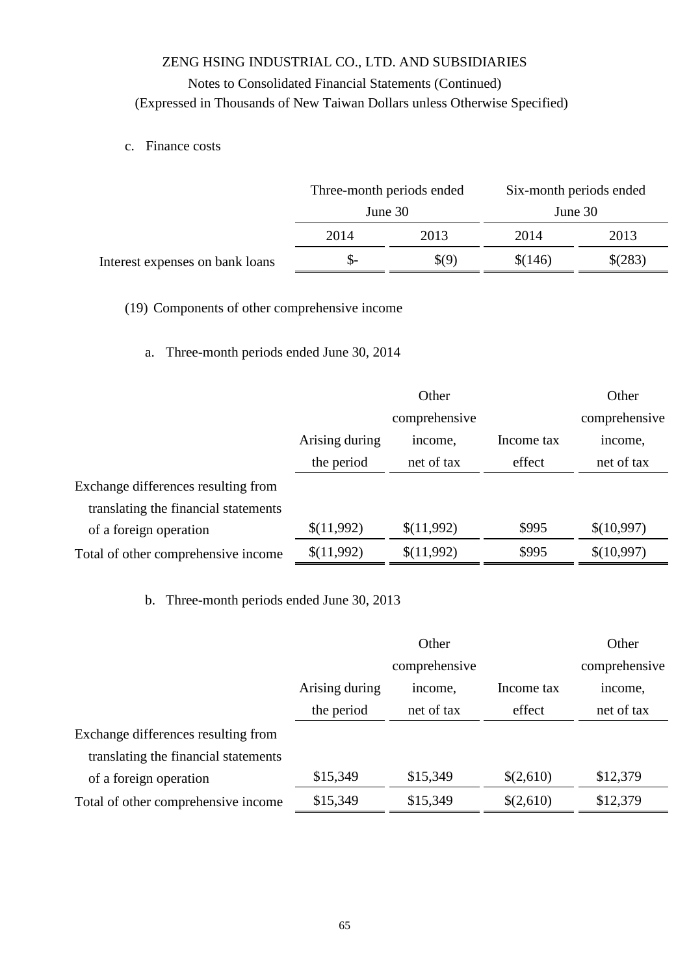c. Finance costs

| Six-month periods ended |  |
|-------------------------|--|
| June 30                 |  |
| 2013<br>2014            |  |
| \$(283)<br>\$(146)      |  |
|                         |  |

(19) Components of other comprehensive income

### a. Three-month periods ended June 30, 2014

|                                      |                | Other         |            | Other         |
|--------------------------------------|----------------|---------------|------------|---------------|
|                                      |                | comprehensive |            | comprehensive |
|                                      | Arising during | income,       | Income tax | income,       |
|                                      | the period     | net of tax    | effect     | net of tax    |
| Exchange differences resulting from  |                |               |            |               |
| translating the financial statements |                |               |            |               |
| of a foreign operation               | \$(11,992)     | \$(11,992)    | \$995      | \$(10,997)    |
| Total of other comprehensive income  | \$(11,992)     | \$(11,992)    | \$995      | \$(10,997)    |

b. Three-month periods ended June 30, 2013

|                                      |                | Other         |            | Other         |
|--------------------------------------|----------------|---------------|------------|---------------|
|                                      |                | comprehensive |            | comprehensive |
|                                      | Arising during | income.       | Income tax | income,       |
|                                      | the period     | net of tax    | effect     | net of tax    |
| Exchange differences resulting from  |                |               |            |               |
| translating the financial statements |                |               |            |               |
| of a foreign operation               | \$15,349       | \$15,349      | \$(2,610)  | \$12,379      |
| Total of other comprehensive income  | \$15,349       | \$15,349      | \$(2,610)  | \$12,379      |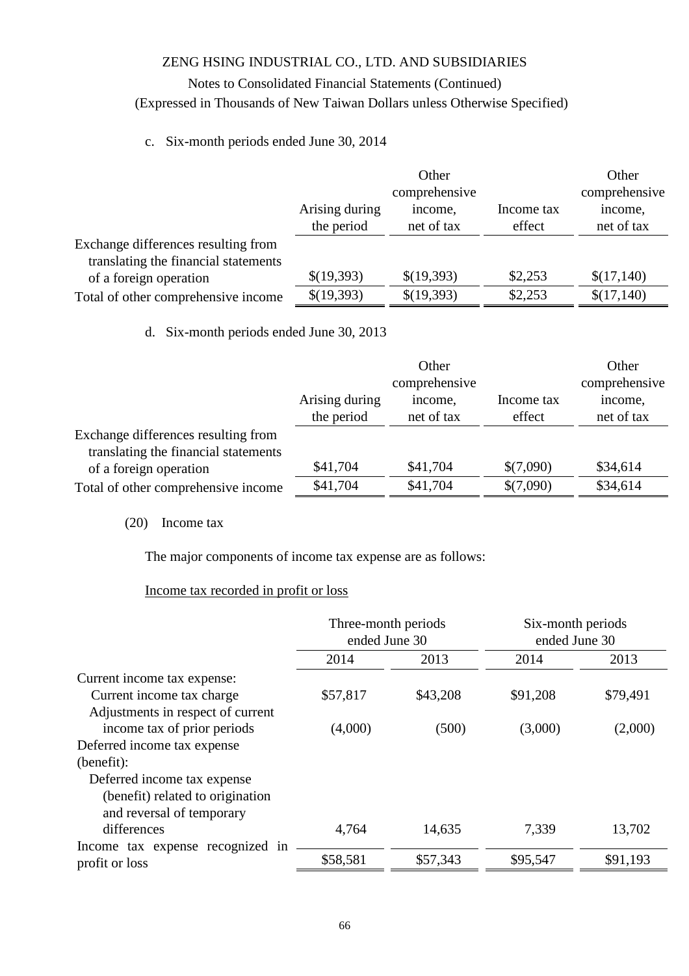### Notes to Consolidated Financial Statements (Continued) (Expressed in Thousands of New Taiwan Dollars unless Otherwise Specified)

### c. Six-month periods ended June 30, 2014

|                                      |                              | Other                 |                      | Other                 |
|--------------------------------------|------------------------------|-----------------------|----------------------|-----------------------|
|                                      | comprehensive                |                       |                      | comprehensive         |
|                                      | Arising during<br>the period | income,<br>net of tax | Income tax<br>effect | income,<br>net of tax |
| Exchange differences resulting from  |                              |                       |                      |                       |
| translating the financial statements |                              |                       |                      |                       |
| of a foreign operation               | \$(19,393)                   | \$(19,393)            | \$2,253              | \$(17,140)            |
| Total of other comprehensive income  | \$(19,393)                   | \$(19,393)            | \$2,253              | \$(17,140)            |

d. Six-month periods ended June 30, 2013

|                                      |                | Other      |            | Other         |
|--------------------------------------|----------------|------------|------------|---------------|
|                                      | comprehensive  |            |            | comprehensive |
|                                      | Arising during | income,    | Income tax | income,       |
|                                      | the period     | net of tax | effect     | net of tax    |
| Exchange differences resulting from  |                |            |            |               |
| translating the financial statements |                |            |            |               |
| of a foreign operation               | \$41,704       | \$41,704   | \$(7,090)  | \$34,614      |
| Total of other comprehensive income  | \$41,704       | \$41,704   | \$(7,090)  | \$34,614      |

#### (20) Income tax

The major components of income tax expense are as follows:

#### Income tax recorded in profit or loss

|                                   | Three-month periods<br>ended June 30 |          | Six-month periods<br>ended June 30 |          |
|-----------------------------------|--------------------------------------|----------|------------------------------------|----------|
|                                   | 2014                                 | 2013     | 2014                               | 2013     |
| Current income tax expense:       |                                      |          |                                    |          |
| Current income tax charge         | \$57,817                             | \$43,208 | \$91,208                           | \$79,491 |
| Adjustments in respect of current |                                      |          |                                    |          |
| income tax of prior periods       | (4,000)                              | (500)    | (3,000)                            | (2,000)  |
| Deferred income tax expense       |                                      |          |                                    |          |
| (benefit):                        |                                      |          |                                    |          |
| Deferred income tax expense       |                                      |          |                                    |          |
| (benefit) related to origination  |                                      |          |                                    |          |
| and reversal of temporary         |                                      |          |                                    |          |
| differences                       | 4,764                                | 14,635   | 7,339                              | 13,702   |
| Income tax expense recognized in  |                                      |          |                                    |          |
| profit or loss                    | \$58,581                             | \$57,343 | \$95,547                           | \$91,193 |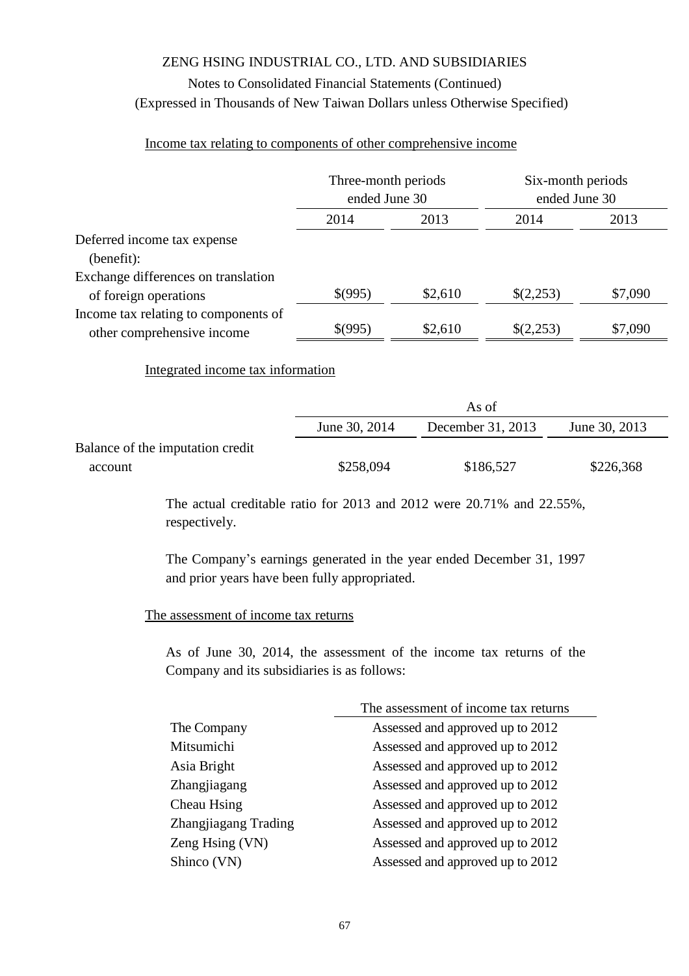### ZENG HSING INDUSTRIAL CO., LTD. AND SUBSIDIARIES Notes to Consolidated Financial Statements (Continued)

# (Expressed in Thousands of New Taiwan Dollars unless Otherwise Specified)

#### Income tax relating to components of other comprehensive income

|                                                                    | Three-month periods<br>ended June 30 |         | Six-month periods<br>ended June 30 |         |
|--------------------------------------------------------------------|--------------------------------------|---------|------------------------------------|---------|
|                                                                    | 2013<br>2014                         |         | 2014                               | 2013    |
| Deferred income tax expense                                        |                                      |         |                                    |         |
| (benefit):                                                         |                                      |         |                                    |         |
| Exchange differences on translation                                |                                      |         |                                    |         |
| of foreign operations                                              | \$(995)                              | \$2,610 | \$(2,253)                          | \$7,090 |
| Income tax relating to components of<br>other comprehensive income | \$(995)                              | \$2,610 | \$(2,253)                          | \$7,090 |

#### Integrated income tax information

|                                  | As of         |                   |               |  |  |
|----------------------------------|---------------|-------------------|---------------|--|--|
|                                  | June 30, 2014 | December 31, 2013 | June 30, 2013 |  |  |
| Balance of the imputation credit |               |                   |               |  |  |
| account                          | \$258,094     | \$186,527         | \$226,368     |  |  |

The actual creditable ratio for 2013 and 2012 were 20.71% and 22.55%, respectively.

The Company's earnings generated in the year ended December 31, 1997 and prior years have been fully appropriated.

#### The assessment of income tax returns

As of June 30, 2014, the assessment of the income tax returns of the Company and its subsidiaries is as follows:

|                      | The assessment of income tax returns |
|----------------------|--------------------------------------|
| The Company          | Assessed and approved up to 2012     |
| Mitsumichi           | Assessed and approved up to 2012     |
| Asia Bright          | Assessed and approved up to 2012     |
| Zhangjiagang         | Assessed and approved up to 2012     |
| Cheau Hsing          | Assessed and approved up to 2012     |
| Zhangjiagang Trading | Assessed and approved up to 2012     |
| Zeng Hsing (VN)      | Assessed and approved up to 2012     |
| Shinco (VN)          | Assessed and approved up to 2012     |
|                      |                                      |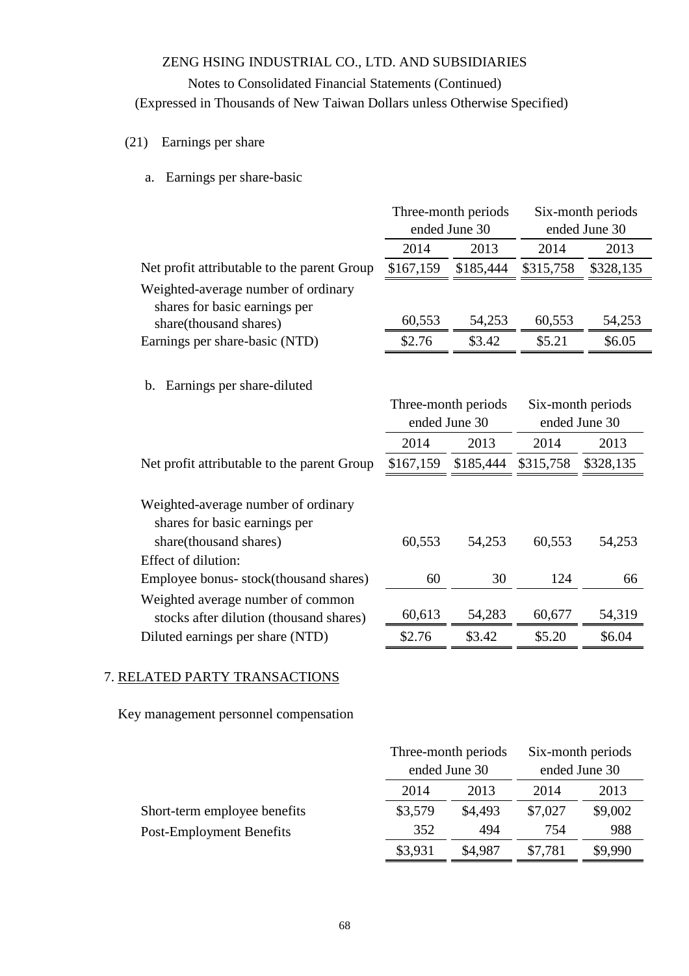#### Notes to Consolidated Financial Statements (Continued)

(Expressed in Thousands of New Taiwan Dollars unless Otherwise Specified)

#### (21) Earnings per share

a. Earnings per share-basic

|                                                                      | Three-month periods |                     | Six-month periods                  |           |
|----------------------------------------------------------------------|---------------------|---------------------|------------------------------------|-----------|
|                                                                      |                     | ended June 30       | ended June 30                      |           |
|                                                                      | 2014                | 2013                | 2014                               | 2013      |
| Net profit attributable to the parent Group                          | \$167,159           | \$185,444           | \$315,758                          | \$328,135 |
| Weighted-average number of ordinary<br>shares for basic earnings per |                     |                     |                                    |           |
| share(thousand shares)                                               | 60,553              | 54,253              | 60,553                             | 54,253    |
| Earnings per share-basic (NTD)                                       | \$2.76              | \$3.42              | \$5.21                             | \$6.05    |
| Earnings per share-diluted<br>b.                                     | ended June 30       | Three-month periods | Six-month periods<br>ended June 30 |           |

|                                             | 2014      | 2013      | 2014      | 2013      |
|---------------------------------------------|-----------|-----------|-----------|-----------|
| Net profit attributable to the parent Group | \$167,159 | \$185,444 | \$315,758 | \$328,135 |
|                                             |           |           |           |           |
| Weighted-average number of ordinary         |           |           |           |           |
| shares for basic earnings per               |           |           |           |           |
| share(thousand shares)                      | 60,553    | 54,253    | 60,553    | 54,253    |
| Effect of dilution:                         |           |           |           |           |
| Employee bonus-stock(thousand shares)       | 60        | 30        | 124       | 66        |
| Weighted average number of common           |           |           |           |           |
| stocks after dilution (thousand shares)     | 60,613    | 54,283    | 60,677    | 54,319    |
| Diluted earnings per share (NTD)            | \$2.76    | \$3.42    | \$5.20    | \$6.04    |

#### 7. RELATED PARTY TRANSACTIONS

Key management personnel compensation

|                              |              | Three-month periods |         | Six-month periods |
|------------------------------|--------------|---------------------|---------|-------------------|
|                              |              | ended June 30       |         | ended June 30     |
|                              | 2014<br>2013 |                     | 2014    | 2013              |
| Short-term employee benefits | \$3,579      | \$4,493             | \$7,027 | \$9,002           |
| Post-Employment Benefits     | 352          | 494                 | 754     | 988               |
|                              | \$3,931      | \$4,987             | \$7,781 | \$9,990           |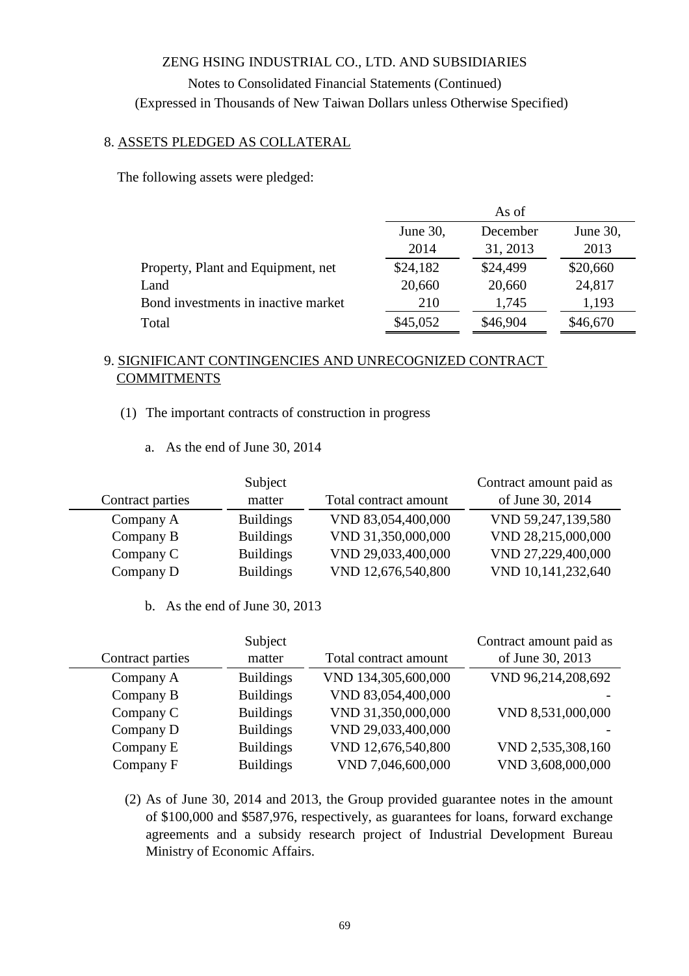### 8. ASSETS PLEDGED AS COLLATERAL

The following assets were pledged:

|                                     | As of                            |          |          |  |
|-------------------------------------|----------------------------------|----------|----------|--|
|                                     | December<br>June 30,<br>June 30, |          |          |  |
|                                     | 2014                             | 31, 2013 | 2013     |  |
| Property, Plant and Equipment, net  | \$24,182                         | \$24,499 | \$20,660 |  |
| Land                                | 20,660                           | 20,660   | 24,817   |  |
| Bond investments in inactive market | 210                              | 1,745    | 1,193    |  |
| Total                               | \$45,052                         | \$46,904 | \$46,670 |  |

### 9. SIGNIFICANT CONTINGENCIES AND UNRECOGNIZED CONTRACT **COMMITMENTS**

- (1) The important contracts of construction in progress
	- a. As the end of June 30, 2014

|                  | Subject          |                       | Contract amount paid as |
|------------------|------------------|-----------------------|-------------------------|
| Contract parties | matter           | Total contract amount | of June 30, 2014        |
| Company A        | <b>Buildings</b> | VND 83,054,400,000    | VND 59,247,139,580      |
| Company B        | <b>Buildings</b> | VND 31,350,000,000    | VND 28,215,000,000      |
| Company C        | <b>Buildings</b> | VND 29,033,400,000    | VND 27,229,400,000      |
| Company D        | <b>Buildings</b> | VND 12,676,540,800    | VND 10,141,232,640      |

b. As the end of June 30, 2013

|                  | Subject          |                       | Contract amount paid as |
|------------------|------------------|-----------------------|-------------------------|
| Contract parties | matter           | Total contract amount | of June 30, 2013        |
| Company A        | <b>Buildings</b> | VND 134,305,600,000   | VND 96,214,208,692      |
| Company B        | <b>Buildings</b> | VND 83,054,400,000    |                         |
| Company C        | <b>Buildings</b> | VND 31,350,000,000    | VND 8,531,000,000       |
| Company D        | <b>Buildings</b> | VND 29,033,400,000    |                         |
| Company E        | <b>Buildings</b> | VND 12,676,540,800    | VND 2,535,308,160       |
| Company F        | <b>Buildings</b> | VND 7,046,600,000     | VND 3,608,000,000       |

(2) As of June 30, 2014 and 2013, the Group provided guarantee notes in the amount of \$100,000 and \$587,976, respectively, as guarantees for loans, forward exchange agreements and a subsidy research project of Industrial Development Bureau Ministry of Economic Affairs.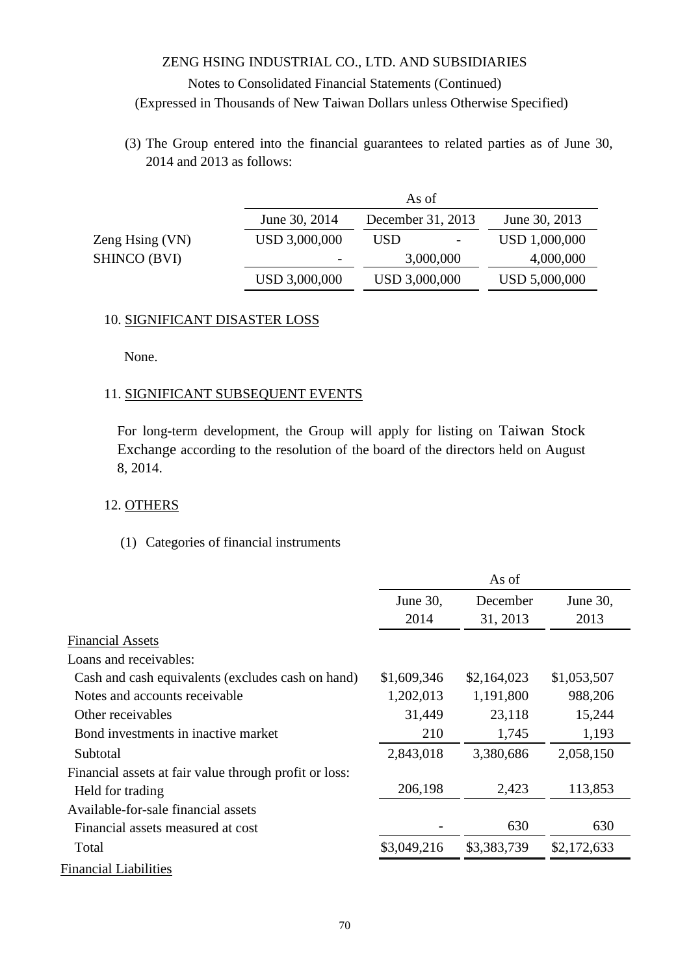(3) The Group entered into the financial guarantees to related parties as of June 30, 2014 and 2013 as follows:

|                     |               | As of             |               |
|---------------------|---------------|-------------------|---------------|
|                     | June 30, 2014 | December 31, 2013 | June 30, 2013 |
| Zeng Hsing (VN)     | USD 3,000,000 | <b>USD</b>        | USD 1,000,000 |
| <b>SHINCO (BVI)</b> |               | 3,000,000         | 4,000,000     |
|                     | USD 3,000,000 | USD 3,000,000     | USD 5,000,000 |

#### 10. SIGNIFICANT DISASTER LOSS

None.

#### 11. SIGNIFICANT SUBSEQUENT EVENTS

For long-term development, the Group will apply for listing on Taiwan Stock Exchange according to the resolution of the board of the directors held on August 8, 2014.

#### 12. OTHERS

#### (1) Categories of financial instruments

|                                                        |             | As of       |             |
|--------------------------------------------------------|-------------|-------------|-------------|
|                                                        | June 30,    | December    | June 30,    |
|                                                        | 2014        | 31, 2013    | 2013        |
| <b>Financial Assets</b>                                |             |             |             |
| Loans and receivables:                                 |             |             |             |
| Cash and cash equivalents (excludes cash on hand)      | \$1,609,346 | \$2,164,023 | \$1,053,507 |
| Notes and accounts receivable.                         | 1,202,013   | 1,191,800   | 988,206     |
| Other receivables                                      | 31,449      | 23,118      | 15,244      |
| Bond investments in inactive market                    | 210         | 1,745       | 1,193       |
| Subtotal                                               | 2,843,018   | 3,380,686   | 2,058,150   |
| Financial assets at fair value through profit or loss: |             |             |             |
| Held for trading                                       | 206,198     | 2,423       | 113,853     |
| Available-for-sale financial assets                    |             |             |             |
| Financial assets measured at cost                      |             | 630         | 630         |
| Total                                                  | \$3,049,216 | \$3,383,739 | \$2,172,633 |
| <b>Financial Liabilities</b>                           |             |             |             |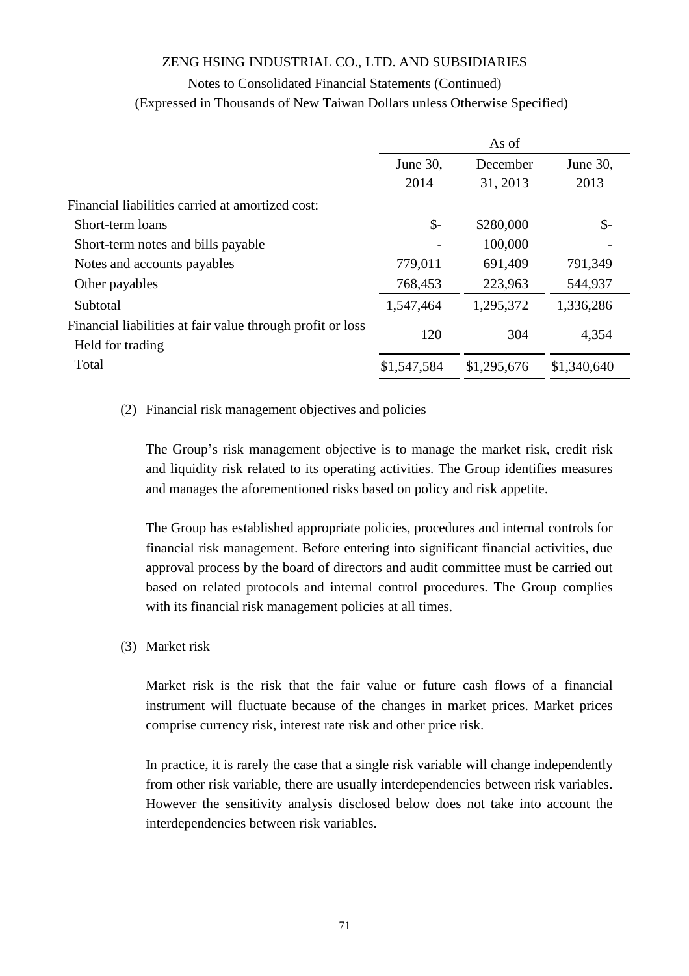# Notes to Consolidated Financial Statements (Continued)

| (Expressed in Thousands of New Taiwan Dollars unless Otherwise Specified) |  |  |
|---------------------------------------------------------------------------|--|--|
|---------------------------------------------------------------------------|--|--|

|                                                            | As of           |             |                 |
|------------------------------------------------------------|-----------------|-------------|-----------------|
|                                                            | June 30,        | December    | June 30,        |
|                                                            | 2014            | 31, 2013    | 2013            |
| Financial liabilities carried at amortized cost:           |                 |             |                 |
| Short-term loans                                           | $\mathcal{S}$ - | \$280,000   | $\mathcal{S}$ - |
| Short-term notes and bills payable                         |                 | 100,000     |                 |
| Notes and accounts payables                                | 779,011         | 691,409     | 791,349         |
| Other payables                                             | 768,453         | 223,963     | 544,937         |
| Subtotal                                                   | 1,547,464       | 1,295,372   | 1,336,286       |
| Financial liabilities at fair value through profit or loss | 120             | 304         | 4,354           |
| Held for trading                                           |                 |             |                 |
| Total                                                      | \$1,547,584     | \$1,295,676 | \$1,340,640     |

#### (2) Financial risk management objectives and policies

The Group's risk management objective is to manage the market risk, credit risk and liquidity risk related to its operating activities. The Group identifies measures and manages the aforementioned risks based on policy and risk appetite.

The Group has established appropriate policies, procedures and internal controls for financial risk management. Before entering into significant financial activities, due approval process by the board of directors and audit committee must be carried out based on related protocols and internal control procedures. The Group complies with its financial risk management policies at all times.

(3) Market risk

Market risk is the risk that the fair value or future cash flows of a financial instrument will fluctuate because of the changes in market prices. Market prices comprise currency risk, interest rate risk and other price risk.

In practice, it is rarely the case that a single risk variable will change independently from other risk variable, there are usually interdependencies between risk variables. However the sensitivity analysis disclosed below does not take into account the interdependencies between risk variables.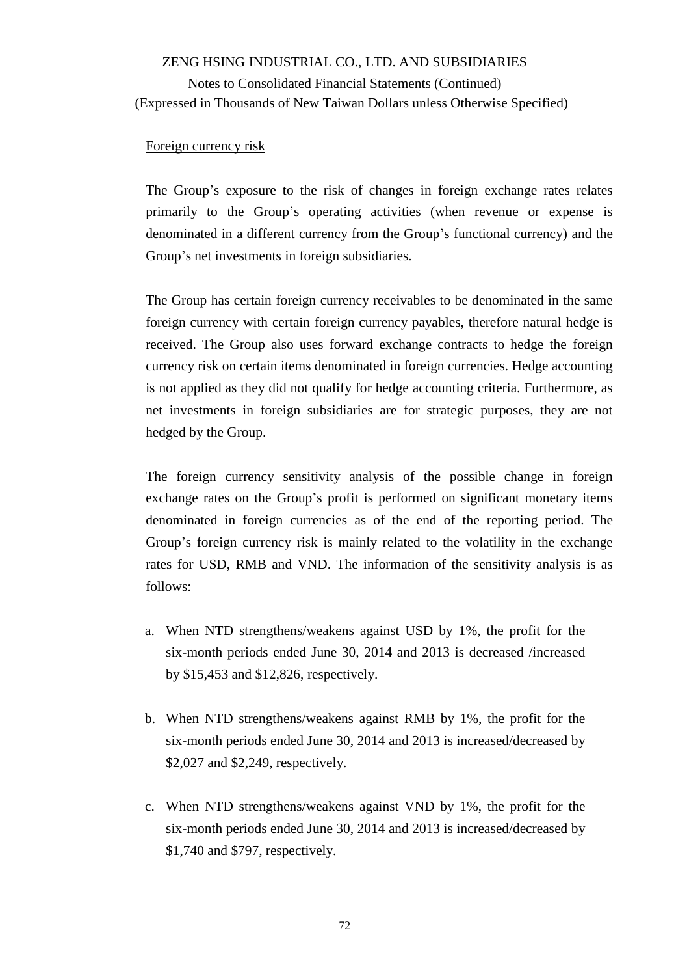#### Foreign currency risk

The Group's exposure to the risk of changes in foreign exchange rates relates primarily to the Group's operating activities (when revenue or expense is denominated in a different currency from the Group's functional currency) and the Group's net investments in foreign subsidiaries.

The Group has certain foreign currency receivables to be denominated in the same foreign currency with certain foreign currency payables, therefore natural hedge is received. The Group also uses forward exchange contracts to hedge the foreign currency risk on certain items denominated in foreign currencies. Hedge accounting is not applied as they did not qualify for hedge accounting criteria. Furthermore, as net investments in foreign subsidiaries are for strategic purposes, they are not hedged by the Group.

The foreign currency sensitivity analysis of the possible change in foreign exchange rates on the Group's profit is performed on significant monetary items denominated in foreign currencies as of the end of the reporting period. The Group's foreign currency risk is mainly related to the volatility in the exchange rates for USD, RMB and VND. The information of the sensitivity analysis is as follows:

- a. When NTD strengthens/weakens against USD by 1%, the profit for the six-month periods ended June 30, 2014 and 2013 is decreased /increased by \$15,453 and \$12,826, respectively.
- b. When NTD strengthens/weakens against RMB by 1%, the profit for the six-month periods ended June 30, 2014 and 2013 is increased/decreased by \$2,027 and \$2,249, respectively.
- c. When NTD strengthens/weakens against VND by 1%, the profit for the six-month periods ended June 30, 2014 and 2013 is increased/decreased by \$1,740 and \$797, respectively.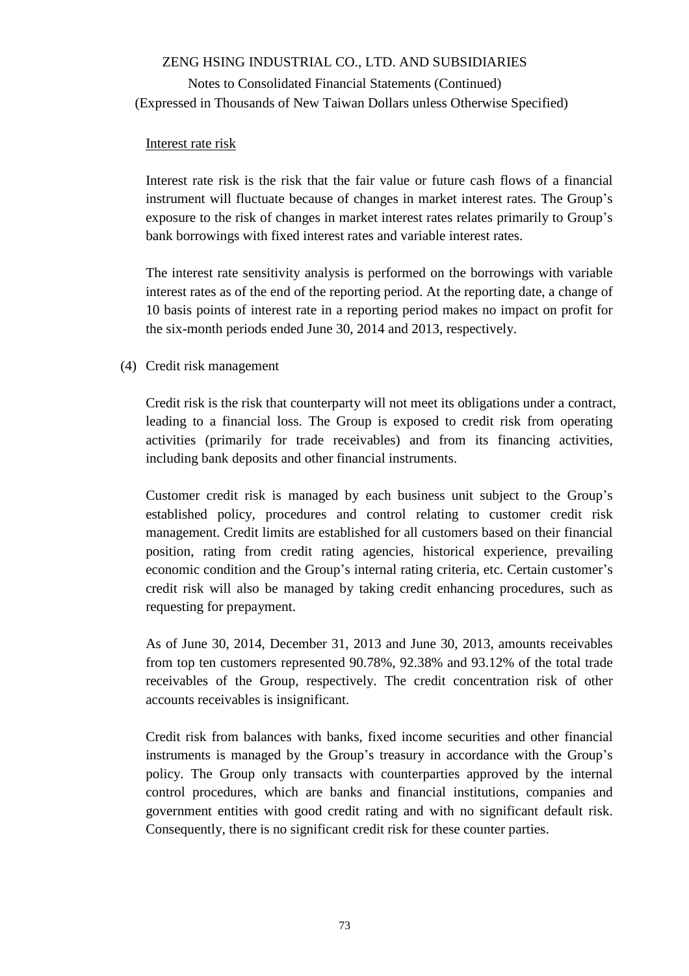### Interest rate risk

Interest rate risk is the risk that the fair value or future cash flows of a financial instrument will fluctuate because of changes in market interest rates. The Group's exposure to the risk of changes in market interest rates relates primarily to Group's bank borrowings with fixed interest rates and variable interest rates.

The interest rate sensitivity analysis is performed on the borrowings with variable interest rates as of the end of the reporting period. At the reporting date, a change of 10 basis points of interest rate in a reporting period makes no impact on profit for the six-month periods ended June 30, 2014 and 2013, respectively.

### (4) Credit risk management

Credit risk is the risk that counterparty will not meet its obligations under a contract, leading to a financial loss. The Group is exposed to credit risk from operating activities (primarily for trade receivables) and from its financing activities, including bank deposits and other financial instruments.

Customer credit risk is managed by each business unit subject to the Group's established policy, procedures and control relating to customer credit risk management. Credit limits are established for all customers based on their financial position, rating from credit rating agencies, historical experience, prevailing economic condition and the Group's internal rating criteria, etc. Certain customer's credit risk will also be managed by taking credit enhancing procedures, such as requesting for prepayment.

As of June 30, 2014, December 31, 2013 and June 30, 2013, amounts receivables from top ten customers represented 90.78%, 92.38% and 93.12% of the total trade receivables of the Group, respectively. The credit concentration risk of other accounts receivables is insignificant.

Credit risk from balances with banks, fixed income securities and other financial instruments is managed by the Group's treasury in accordance with the Group's policy. The Group only transacts with counterparties approved by the internal control procedures, which are banks and financial institutions, companies and government entities with good credit rating and with no significant default risk. Consequently, there is no significant credit risk for these counter parties.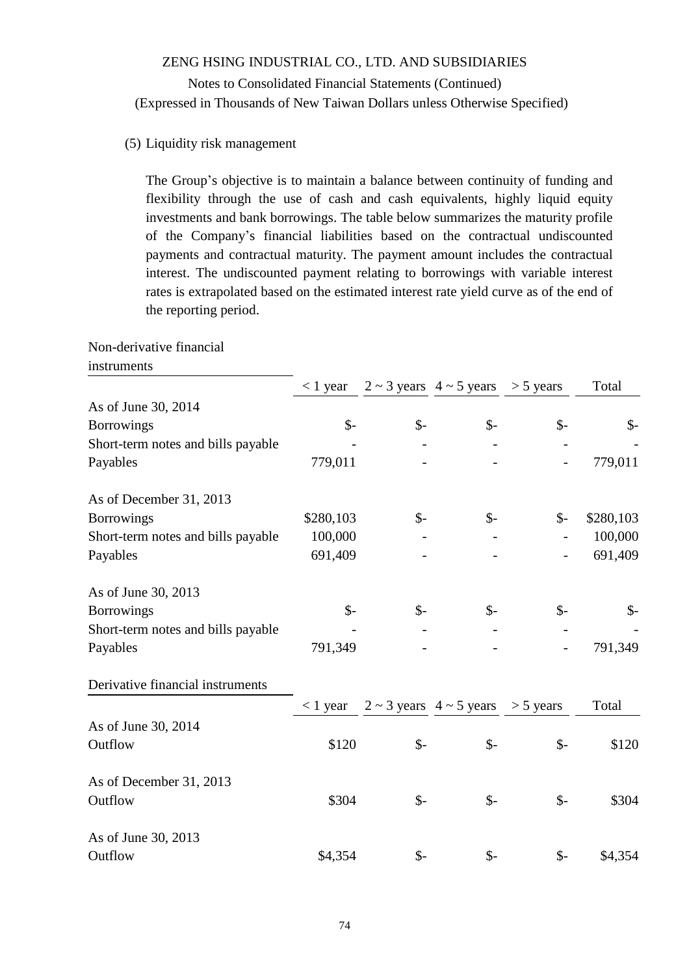### (5) Liquidity risk management

The Group's objective is to maintain a balance between continuity of funding and flexibility through the use of cash and cash equivalents, highly liquid equity investments and bank borrowings. The table below summarizes the maturity profile of the Company's financial liabilities based on the contractual undiscounted payments and contractual maturity. The payment amount includes the contractual interest. The undiscounted payment relating to borrowings with variable interest rates is extrapolated based on the estimated interest rate yield curve as of the end of the reporting period.

Non-derivative financial

| instruments |  |
|-------------|--|
|             |  |

|                                    | $<$ 1 year      |                 | $2 \sim 3$ years $4 \sim 5$ years $> 5$ years |                 | Total           |
|------------------------------------|-----------------|-----------------|-----------------------------------------------|-----------------|-----------------|
| As of June 30, 2014                |                 |                 |                                               |                 |                 |
| <b>Borrowings</b>                  | $\mathcal{S}$ - | $\mathcal{S}$ - | $\mathcal{S}$ -                               | $\mathsf{\$}$   | $\mathcal{S}$ - |
| Short-term notes and bills payable |                 |                 |                                               |                 |                 |
| Payables                           | 779,011         |                 |                                               |                 | 779,011         |
| As of December 31, 2013            |                 |                 |                                               |                 |                 |
| <b>Borrowings</b>                  | \$280,103       | $\mathcal{S}$ - | $\mathsf{\$}$ -                               | $\mathcal{S}$ - | \$280,103       |
| Short-term notes and bills payable | 100,000         |                 |                                               |                 | 100,000         |
| Payables                           | 691,409         |                 |                                               |                 | 691,409         |
| As of June 30, 2013                |                 |                 |                                               |                 |                 |
| <b>Borrowings</b>                  | $S-$            | $\mathcal{S}$ - | $\mathsf{S}$ -                                | $\mathcal{S}$ - | $\mathcal{S}$ - |
| Short-term notes and bills payable |                 |                 |                                               |                 |                 |
| Payables                           | 791,349         |                 |                                               |                 | 791,349         |
| Derivative financial instruments   |                 |                 |                                               |                 |                 |
|                                    | $< 1$ year      |                 | $2 \sim 3$ years $4 \sim 5$ years             | $> 5$ years     | Total           |
| As of June 30, 2014                |                 |                 |                                               |                 |                 |
| Outflow                            | \$120           | $\mathsf{S}$ -  | $\frac{1}{2}$                                 | $\mathsf{\$}$   | \$120           |
| As of December 31, 2013            |                 |                 |                                               |                 |                 |
| Outflow                            | \$304           | $S-$            | $\mathcal{S}$ -                               | $\mathsf{\$}$   | \$304           |
| As of June 30, 2013                |                 |                 |                                               |                 |                 |
| Outflow                            | \$4,354         | $\mathcal{S}$ - | $\frac{1}{2}$                                 | $\mathcal{S}$ - | \$4,354         |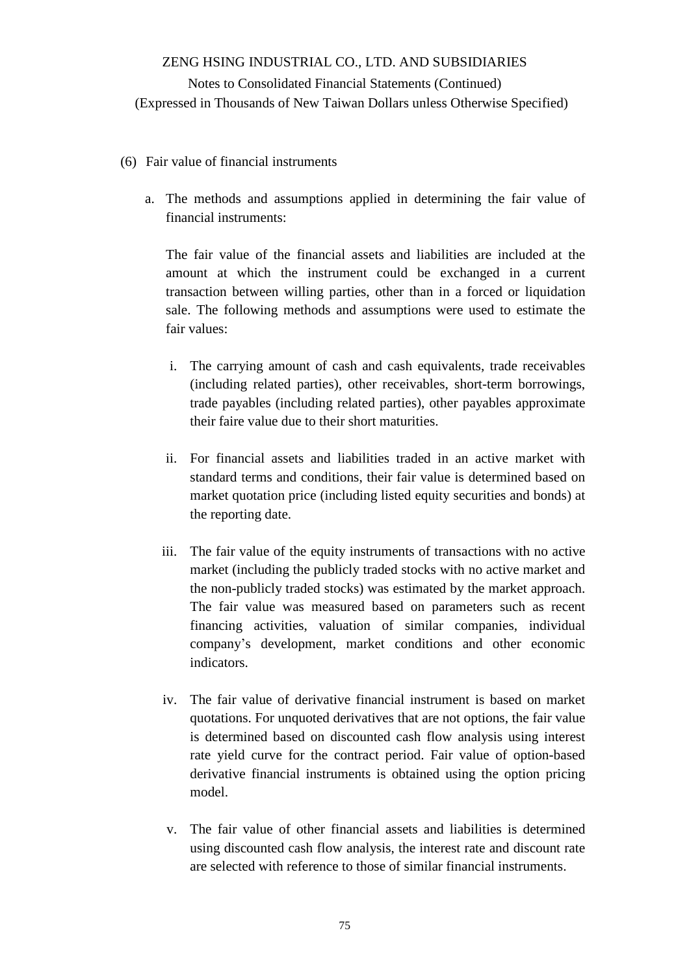- (6) Fair value of financial instruments
	- a. The methods and assumptions applied in determining the fair value of financial instruments:

The fair value of the financial assets and liabilities are included at the amount at which the instrument could be exchanged in a current transaction between willing parties, other than in a forced or liquidation sale. The following methods and assumptions were used to estimate the fair values:

- i. The carrying amount of cash and cash equivalents, trade receivables (including related parties), other receivables, short-term borrowings, trade payables (including related parties), other payables approximate their faire value due to their short maturities.
- ii. For financial assets and liabilities traded in an active market with standard terms and conditions, their fair value is determined based on market quotation price (including listed equity securities and bonds) at the reporting date.
- iii. The fair value of the equity instruments of transactions with no active market (including the publicly traded stocks with no active market and the non-publicly traded stocks) was estimated by the market approach. The fair value was measured based on parameters such as recent financing activities, valuation of similar companies, individual company's development, market conditions and other economic indicators.
- iv. The fair value of derivative financial instrument is based on market quotations. For unquoted derivatives that are not options, the fair value is determined based on discounted cash flow analysis using interest rate yield curve for the contract period. Fair value of option-based derivative financial instruments is obtained using the option pricing model.
- v. The fair value of other financial assets and liabilities is determined using discounted cash flow analysis, the interest rate and discount rate are selected with reference to those of similar financial instruments.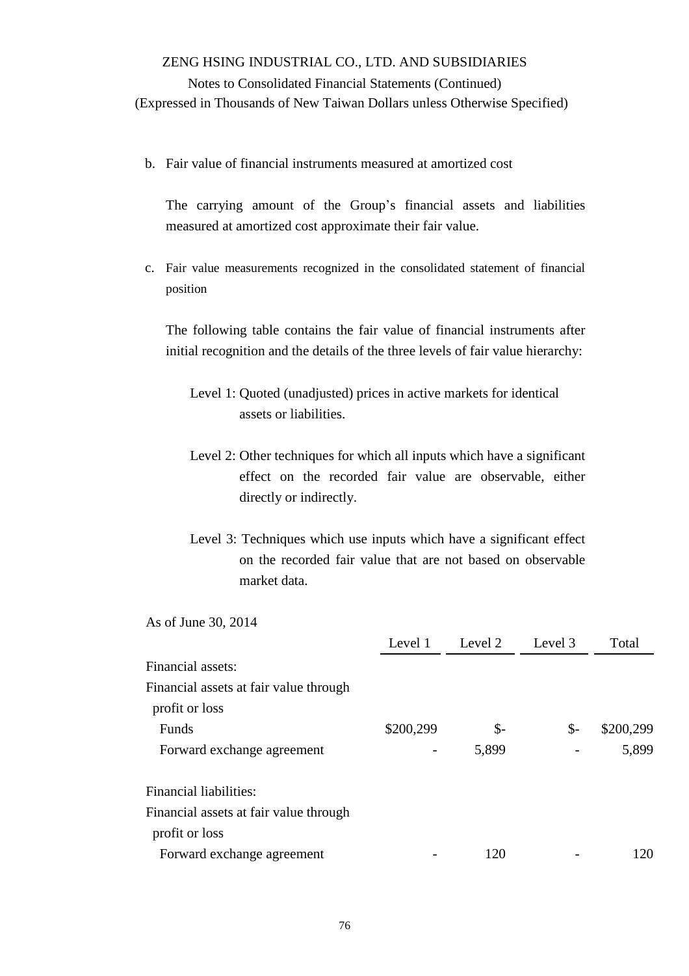Notes to Consolidated Financial Statements (Continued) (Expressed in Thousands of New Taiwan Dollars unless Otherwise Specified)

b. Fair value of financial instruments measured at amortized cost

The carrying amount of the Group's financial assets and liabilities measured at amortized cost approximate their fair value.

c. Fair value measurements recognized in the consolidated statement of financial position

The following table contains the fair value of financial instruments after initial recognition and the details of the three levels of fair value hierarchy:

- Level 1: Quoted (unadjusted) prices in active markets for identical assets or liabilities.
- Level 2: Other techniques for which all inputs which have a significant effect on the recorded fair value are observable, either directly or indirectly.
- Level 3: Techniques which use inputs which have a significant effect on the recorded fair value that are not based on observable market data.

As of June 30, 2014

| Level 1   | Level 2 | Level 3         | Total     |
|-----------|---------|-----------------|-----------|
|           |         |                 |           |
|           |         |                 |           |
|           |         |                 |           |
| \$200,299 | \$-     | $\mathcal{S}$ - | \$200,299 |
| -         | 5,899   |                 | 5,899     |
|           |         |                 |           |
|           |         |                 |           |
|           |         |                 |           |
|           | 120     |                 | 120       |
|           |         |                 |           |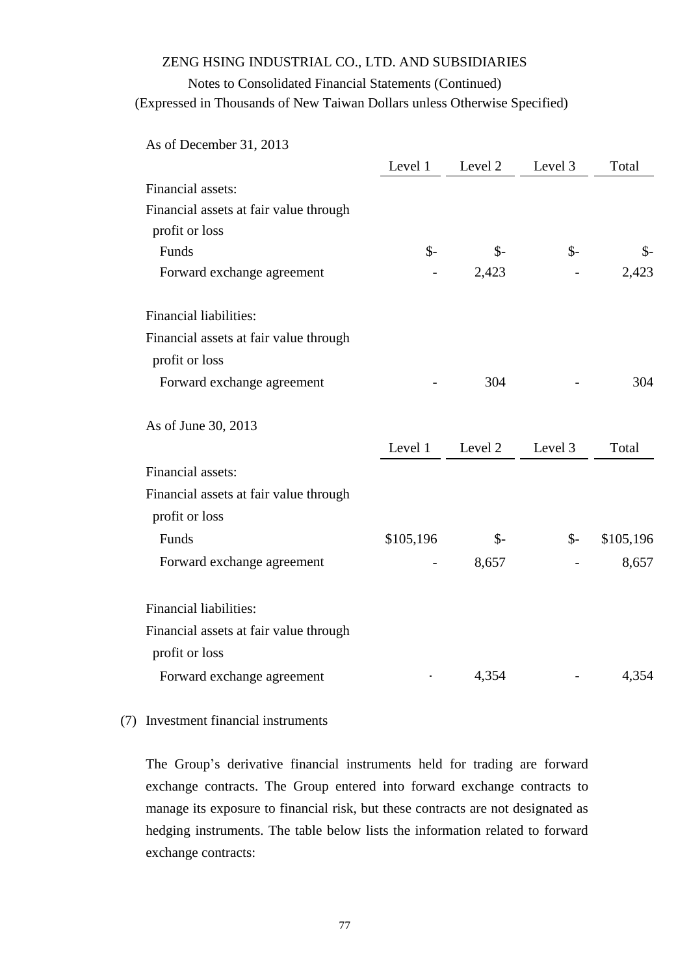## Notes to Consolidated Financial Statements (Continued)

(Expressed in Thousands of New Taiwan Dollars unless Otherwise Specified)

As of December 31, 2013

|                                        | Level 1       | Level 2         | Level 3         | Total     |
|----------------------------------------|---------------|-----------------|-----------------|-----------|
| Financial assets:                      |               |                 |                 |           |
| Financial assets at fair value through |               |                 |                 |           |
| profit or loss                         |               |                 |                 |           |
| Funds                                  | $\frac{1}{2}$ | $\mathcal{S}$ - | $\mathcal{S}$ - | \$-       |
| Forward exchange agreement             |               | 2,423           |                 | 2,423     |
| <b>Financial liabilities:</b>          |               |                 |                 |           |
| Financial assets at fair value through |               |                 |                 |           |
| profit or loss                         |               |                 |                 |           |
| Forward exchange agreement             |               | 304             |                 | 304       |
| As of June 30, 2013                    |               |                 |                 |           |
|                                        | Level 1       | Level 2         | Level 3         | Total     |
| Financial assets:                      |               |                 |                 |           |
| Financial assets at fair value through |               |                 |                 |           |
| profit or loss                         |               |                 |                 |           |
| Funds                                  | \$105,196     | $\mathcal{S}$ - | $S-$            | \$105,196 |
| Forward exchange agreement             |               | 8,657           |                 | 8,657     |
| <b>Financial liabilities:</b>          |               |                 |                 |           |
| Financial assets at fair value through |               |                 |                 |           |
| profit or loss                         |               |                 |                 |           |
| Forward exchange agreement             |               | 4,354           |                 | 4,354     |

### (7) Investment financial instruments

The Group's derivative financial instruments held for trading are forward exchange contracts. The Group entered into forward exchange contracts to manage its exposure to financial risk, but these contracts are not designated as hedging instruments. The table below lists the information related to forward exchange contracts: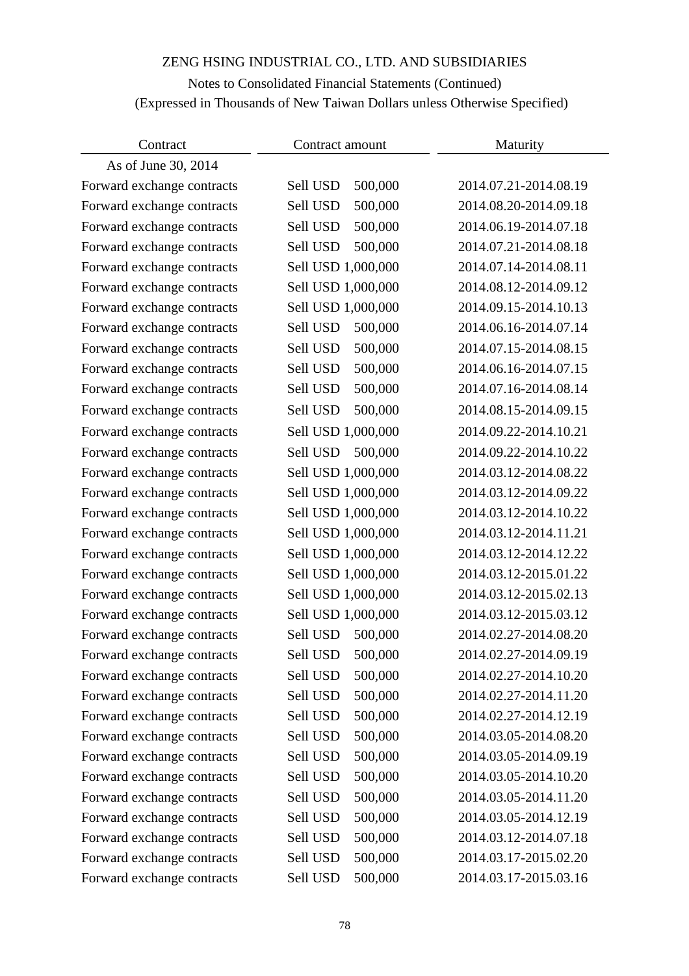# Notes to Consolidated Financial Statements (Continued) (Expressed in Thousands of New Taiwan Dollars unless Otherwise Specified)

| Contract                   | Contract amount     | Maturity              |  |
|----------------------------|---------------------|-----------------------|--|
| As of June 30, 2014        |                     |                       |  |
| Forward exchange contracts | 500,000<br>Sell USD | 2014.07.21-2014.08.19 |  |
| Forward exchange contracts | 500,000<br>Sell USD | 2014.08.20-2014.09.18 |  |
| Forward exchange contracts | 500,000<br>Sell USD | 2014.06.19-2014.07.18 |  |
| Forward exchange contracts | 500,000<br>Sell USD | 2014.07.21-2014.08.18 |  |
| Forward exchange contracts | Sell USD 1,000,000  | 2014.07.14-2014.08.11 |  |
| Forward exchange contracts | Sell USD 1,000,000  | 2014.08.12-2014.09.12 |  |
| Forward exchange contracts | Sell USD 1,000,000  | 2014.09.15-2014.10.13 |  |
| Forward exchange contracts | Sell USD<br>500,000 | 2014.06.16-2014.07.14 |  |
| Forward exchange contracts | Sell USD<br>500,000 | 2014.07.15-2014.08.15 |  |
| Forward exchange contracts | Sell USD<br>500,000 | 2014.06.16-2014.07.15 |  |
| Forward exchange contracts | Sell USD<br>500,000 | 2014.07.16-2014.08.14 |  |
| Forward exchange contracts | 500,000<br>Sell USD | 2014.08.15-2014.09.15 |  |
| Forward exchange contracts | Sell USD 1,000,000  | 2014.09.22-2014.10.21 |  |
| Forward exchange contracts | Sell USD<br>500,000 | 2014.09.22-2014.10.22 |  |
| Forward exchange contracts | Sell USD 1,000,000  | 2014.03.12-2014.08.22 |  |
| Forward exchange contracts | Sell USD 1,000,000  | 2014.03.12-2014.09.22 |  |
| Forward exchange contracts | Sell USD 1,000,000  | 2014.03.12-2014.10.22 |  |
| Forward exchange contracts | Sell USD 1,000,000  | 2014.03.12-2014.11.21 |  |
| Forward exchange contracts | Sell USD 1,000,000  | 2014.03.12-2014.12.22 |  |
| Forward exchange contracts | Sell USD 1,000,000  | 2014.03.12-2015.01.22 |  |
| Forward exchange contracts | Sell USD 1,000,000  | 2014.03.12-2015.02.13 |  |
| Forward exchange contracts | Sell USD 1,000,000  | 2014.03.12-2015.03.12 |  |
| Forward exchange contracts | Sell USD<br>500,000 | 2014.02.27-2014.08.20 |  |
| Forward exchange contracts | Sell USD 500,000    | 2014.02.27-2014.09.19 |  |
| Forward exchange contracts | Sell USD<br>500,000 | 2014.02.27-2014.10.20 |  |
| Forward exchange contracts | Sell USD<br>500,000 | 2014.02.27-2014.11.20 |  |
| Forward exchange contracts | Sell USD<br>500,000 | 2014.02.27-2014.12.19 |  |
| Forward exchange contracts | 500,000<br>Sell USD | 2014.03.05-2014.08.20 |  |
| Forward exchange contracts | 500,000<br>Sell USD | 2014.03.05-2014.09.19 |  |
| Forward exchange contracts | 500,000<br>Sell USD | 2014.03.05-2014.10.20 |  |
| Forward exchange contracts | 500,000<br>Sell USD | 2014.03.05-2014.11.20 |  |
| Forward exchange contracts | 500,000<br>Sell USD | 2014.03.05-2014.12.19 |  |
| Forward exchange contracts | 500,000<br>Sell USD | 2014.03.12-2014.07.18 |  |
| Forward exchange contracts | 500,000<br>Sell USD | 2014.03.17-2015.02.20 |  |
| Forward exchange contracts | 500,000<br>Sell USD | 2014.03.17-2015.03.16 |  |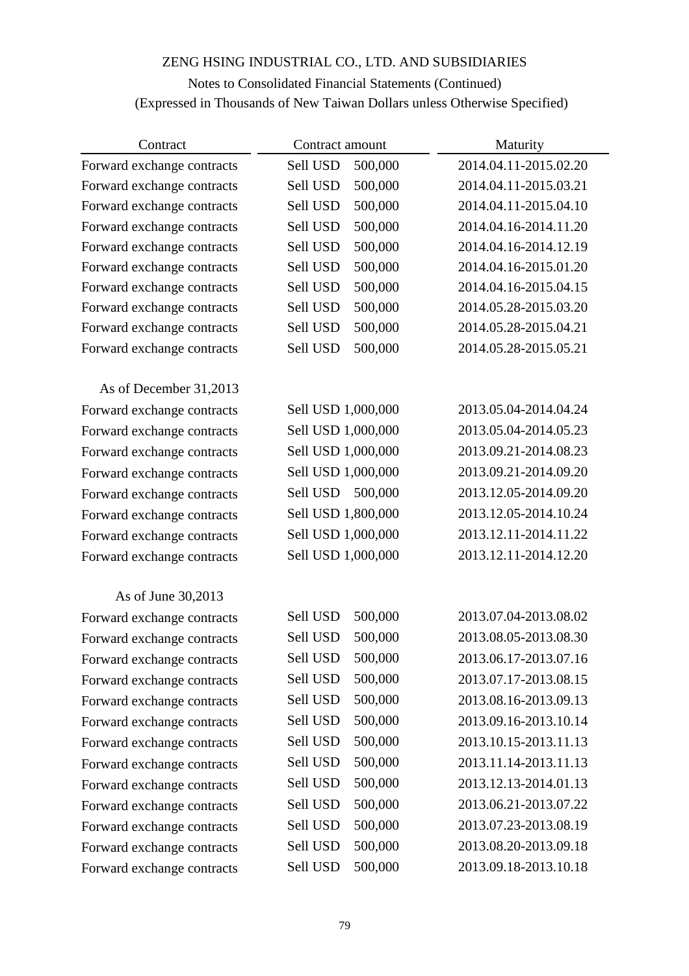# Notes to Consolidated Financial Statements (Continued) (Expressed in Thousands of New Taiwan Dollars unless Otherwise Specified)

| Contract                   | Contract amount     | Maturity              |  |
|----------------------------|---------------------|-----------------------|--|
| Forward exchange contracts | Sell USD<br>500,000 | 2014.04.11-2015.02.20 |  |
| Forward exchange contracts | Sell USD<br>500,000 | 2014.04.11-2015.03.21 |  |
| Forward exchange contracts | Sell USD<br>500,000 | 2014.04.11-2015.04.10 |  |
| Forward exchange contracts | 500,000<br>Sell USD | 2014.04.16-2014.11.20 |  |
| Forward exchange contracts | Sell USD<br>500,000 | 2014.04.16-2014.12.19 |  |
| Forward exchange contracts | Sell USD<br>500,000 | 2014.04.16-2015.01.20 |  |
| Forward exchange contracts | Sell USD<br>500,000 | 2014.04.16-2015.04.15 |  |
| Forward exchange contracts | Sell USD<br>500,000 | 2014.05.28-2015.03.20 |  |
| Forward exchange contracts | Sell USD<br>500,000 | 2014.05.28-2015.04.21 |  |
| Forward exchange contracts | 500,000<br>Sell USD | 2014.05.28-2015.05.21 |  |
| As of December 31,2013     |                     |                       |  |
| Forward exchange contracts | Sell USD 1,000,000  | 2013.05.04-2014.04.24 |  |
| Forward exchange contracts | Sell USD 1,000,000  | 2013.05.04-2014.05.23 |  |
| Forward exchange contracts | Sell USD 1,000,000  | 2013.09.21-2014.08.23 |  |
| Forward exchange contracts | Sell USD 1,000,000  | 2013.09.21-2014.09.20 |  |
| Forward exchange contracts | Sell USD<br>500,000 | 2013.12.05-2014.09.20 |  |
| Forward exchange contracts | Sell USD 1,800,000  | 2013.12.05-2014.10.24 |  |
| Forward exchange contracts | Sell USD 1,000,000  | 2013.12.11-2014.11.22 |  |
| Forward exchange contracts | Sell USD 1,000,000  | 2013.12.11-2014.12.20 |  |
| As of June 30,2013         |                     |                       |  |
| Forward exchange contracts | Sell USD<br>500,000 | 2013.07.04-2013.08.02 |  |
| Forward exchange contracts | 500,000<br>Sell USD | 2013.08.05-2013.08.30 |  |
| Forward exchange contracts | Sell USD<br>500,000 | 2013.06.17-2013.07.16 |  |
| Forward exchange contracts | 500,000<br>Sell USD | 2013.07.17-2013.08.15 |  |
| Forward exchange contracts | Sell USD<br>500,000 | 2013.08.16-2013.09.13 |  |
| Forward exchange contracts | Sell USD<br>500,000 | 2013.09.16-2013.10.14 |  |
| Forward exchange contracts | Sell USD<br>500,000 | 2013.10.15-2013.11.13 |  |
| Forward exchange contracts | 500,000<br>Sell USD | 2013.11.14-2013.11.13 |  |
| Forward exchange contracts | Sell USD<br>500,000 | 2013.12.13-2014.01.13 |  |
| Forward exchange contracts | 500,000<br>Sell USD | 2013.06.21-2013.07.22 |  |
| Forward exchange contracts | Sell USD<br>500,000 | 2013.07.23-2013.08.19 |  |
| Forward exchange contracts | 500,000<br>Sell USD | 2013.08.20-2013.09.18 |  |
| Forward exchange contracts | Sell USD<br>500,000 | 2013.09.18-2013.10.18 |  |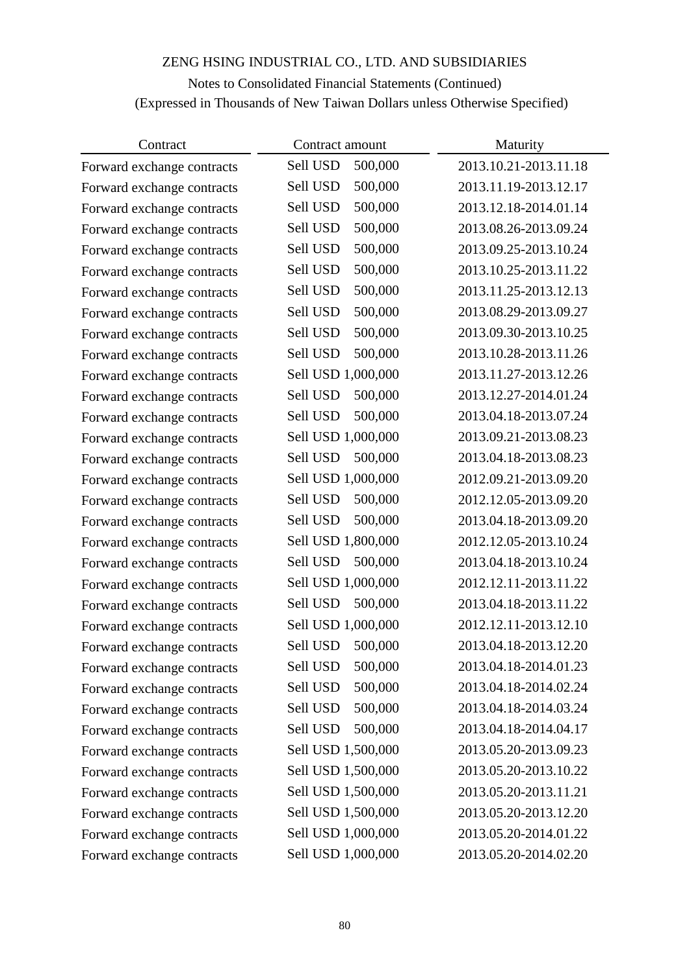# Notes to Consolidated Financial Statements (Continued) (Expressed in Thousands of New Taiwan Dollars unless Otherwise Specified)

| Contract                   | Contract amount     | Maturity              |
|----------------------------|---------------------|-----------------------|
| Forward exchange contracts | Sell USD<br>500,000 | 2013.10.21-2013.11.18 |
| Forward exchange contracts | 500,000<br>Sell USD | 2013.11.19-2013.12.17 |
| Forward exchange contracts | 500,000<br>Sell USD | 2013.12.18-2014.01.14 |
| Forward exchange contracts | 500,000<br>Sell USD | 2013.08.26-2013.09.24 |
| Forward exchange contracts | Sell USD<br>500,000 | 2013.09.25-2013.10.24 |
| Forward exchange contracts | 500,000<br>Sell USD | 2013.10.25-2013.11.22 |
| Forward exchange contracts | Sell USD<br>500,000 | 2013.11.25-2013.12.13 |
| Forward exchange contracts | 500,000<br>Sell USD | 2013.08.29-2013.09.27 |
| Forward exchange contracts | Sell USD<br>500,000 | 2013.09.30-2013.10.25 |
| Forward exchange contracts | Sell USD<br>500,000 | 2013.10.28-2013.11.26 |
| Forward exchange contracts | Sell USD 1,000,000  | 2013.11.27-2013.12.26 |
| Forward exchange contracts | Sell USD<br>500,000 | 2013.12.27-2014.01.24 |
| Forward exchange contracts | Sell USD<br>500,000 | 2013.04.18-2013.07.24 |
| Forward exchange contracts | Sell USD 1,000,000  | 2013.09.21-2013.08.23 |
| Forward exchange contracts | Sell USD<br>500,000 | 2013.04.18-2013.08.23 |
| Forward exchange contracts | Sell USD 1,000,000  | 2012.09.21-2013.09.20 |
| Forward exchange contracts | Sell USD<br>500,000 | 2012.12.05-2013.09.20 |
| Forward exchange contracts | 500,000<br>Sell USD | 2013.04.18-2013.09.20 |
| Forward exchange contracts | Sell USD 1,800,000  | 2012.12.05-2013.10.24 |
| Forward exchange contracts | Sell USD<br>500,000 | 2013.04.18-2013.10.24 |
| Forward exchange contracts | Sell USD 1,000,000  | 2012.12.11-2013.11.22 |
| Forward exchange contracts | Sell USD<br>500,000 | 2013.04.18-2013.11.22 |
| Forward exchange contracts | Sell USD 1,000,000  | 2012.12.11-2013.12.10 |
| Forward exchange contracts | 500,000<br>Sell USD | 2013.04.18-2013.12.20 |
| Forward exchange contracts | Sell USD<br>500,000 | 2013.04.18-2014.01.23 |
| Forward exchange contracts | 500,000<br>Sell USD | 2013.04.18-2014.02.24 |
| Forward exchange contracts | 500,000<br>Sell USD | 2013.04.18-2014.03.24 |
| Forward exchange contracts | 500,000<br>Sell USD | 2013.04.18-2014.04.17 |
| Forward exchange contracts | Sell USD 1,500,000  | 2013.05.20-2013.09.23 |
| Forward exchange contracts | Sell USD 1,500,000  | 2013.05.20-2013.10.22 |
| Forward exchange contracts | Sell USD 1,500,000  | 2013.05.20-2013.11.21 |
| Forward exchange contracts | Sell USD 1,500,000  | 2013.05.20-2013.12.20 |
| Forward exchange contracts | Sell USD 1,000,000  | 2013.05.20-2014.01.22 |
| Forward exchange contracts | Sell USD 1,000,000  | 2013.05.20-2014.02.20 |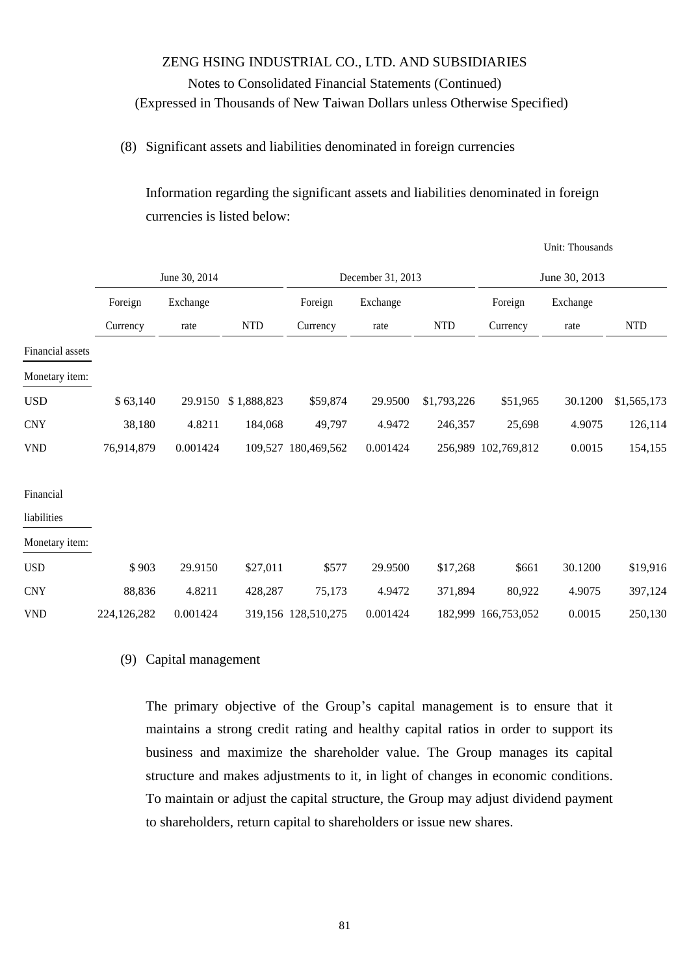### (8) Significant assets and liabilities denominated in foreign currencies

Information regarding the significant assets and liabilities denominated in foreign currencies is listed below:

|                          |             |               |             |                     |                   |             |                     | Unit: Thousands |             |
|--------------------------|-------------|---------------|-------------|---------------------|-------------------|-------------|---------------------|-----------------|-------------|
|                          |             | June 30, 2014 |             |                     | December 31, 2013 |             |                     | June 30, 2013   |             |
|                          | Foreign     | Exchange      |             | Foreign             | Exchange          |             | Foreign             | Exchange        |             |
|                          | Currency    | rate          | <b>NTD</b>  | Currency            | rate              | <b>NTD</b>  | Currency            | rate            | <b>NTD</b>  |
| Financial assets         |             |               |             |                     |                   |             |                     |                 |             |
| Monetary item:           |             |               |             |                     |                   |             |                     |                 |             |
| <b>USD</b>               | \$63,140    | 29.9150       | \$1,888,823 | \$59,874            | 29.9500           | \$1,793,226 | \$51,965            | 30.1200         | \$1,565,173 |
| <b>CNY</b>               | 38,180      | 4.8211        | 184,068     | 49,797              | 4.9472            | 246,357     | 25,698              | 4.9075          | 126,114     |
| <b>VND</b>               | 76,914,879  | 0.001424      | 109,527     | 180,469,562         | 0.001424          |             | 256,989 102,769,812 | 0.0015          | 154,155     |
| Financial<br>liabilities |             |               |             |                     |                   |             |                     |                 |             |
| Monetary item:           |             |               |             |                     |                   |             |                     |                 |             |
| <b>USD</b>               | \$903       | 29.9150       | \$27,011    | \$577               | 29.9500           | \$17,268    | \$661               | 30.1200         | \$19,916    |
| <b>CNY</b>               | 88,836      | 4.8211        | 428,287     | 75,173              | 4.9472            | 371,894     | 80,922              | 4.9075          | 397,124     |
| <b>VND</b>               | 224,126,282 | 0.001424      |             | 319,156 128,510,275 | 0.001424          |             | 182,999 166,753,052 | 0.0015          | 250,130     |

### (9) Capital management

The primary objective of the Group's capital management is to ensure that it maintains a strong credit rating and healthy capital ratios in order to support its business and maximize the shareholder value. The Group manages its capital structure and makes adjustments to it, in light of changes in economic conditions. To maintain or adjust the capital structure, the Group may adjust dividend payment to shareholders, return capital to shareholders or issue new shares.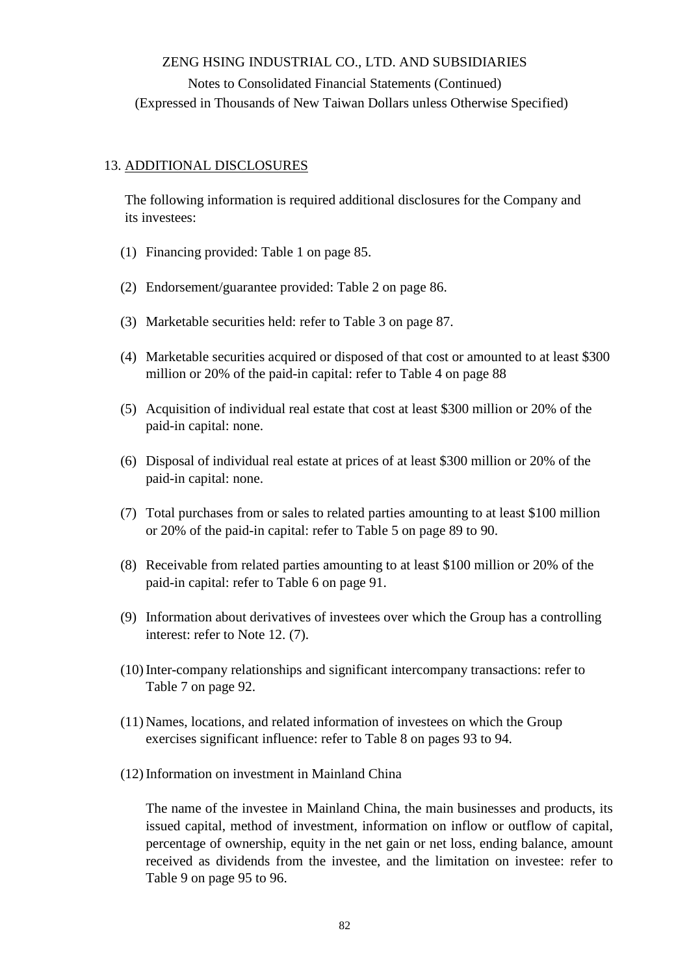### 13. ADDITIONAL DISCLOSURES

The following information is required additional disclosures for the Company and its investees:

- (1) Financing provided: Table 1 on page 85.
- (2) Endorsement/guarantee provided: Table 2 on page 86.
- (3) Marketable securities held: refer to Table 3 on page 87.
- (4) Marketable securities acquired or disposed of that cost or amounted to at least \$300 million or 20% of the paid-in capital: refer to Table 4 on page 88
- (5) Acquisition of individual real estate that cost at least \$300 million or 20% of the paid-in capital: none.
- (6) Disposal of individual real estate at prices of at least \$300 million or 20% of the paid-in capital: none.
- (7) Total purchases from or sales to related parties amounting to at least \$100 million or 20% of the paid-in capital: refer to Table 5 on page 89 to 90.
- (8) Receivable from related parties amounting to at least \$100 million or 20% of the paid-in capital: refer to Table 6 on page 91.
- (9) Information about derivatives of investees over which the Group has a controlling interest: refer to Note 12. (7).
- (10)Inter-company relationships and significant intercompany transactions: refer to Table 7 on page 92.
- (11) Names, locations, and related information of investees on which the Group exercises significant influence: refer to Table 8 on pages 93 to 94.
- (12)Information on investment in Mainland China

The name of the investee in Mainland China, the main businesses and products, its issued capital, method of investment, information on inflow or outflow of capital, percentage of ownership, equity in the net gain or net loss, ending balance, amount received as dividends from the investee, and the limitation on investee: refer to Table 9 on page 95 to 96.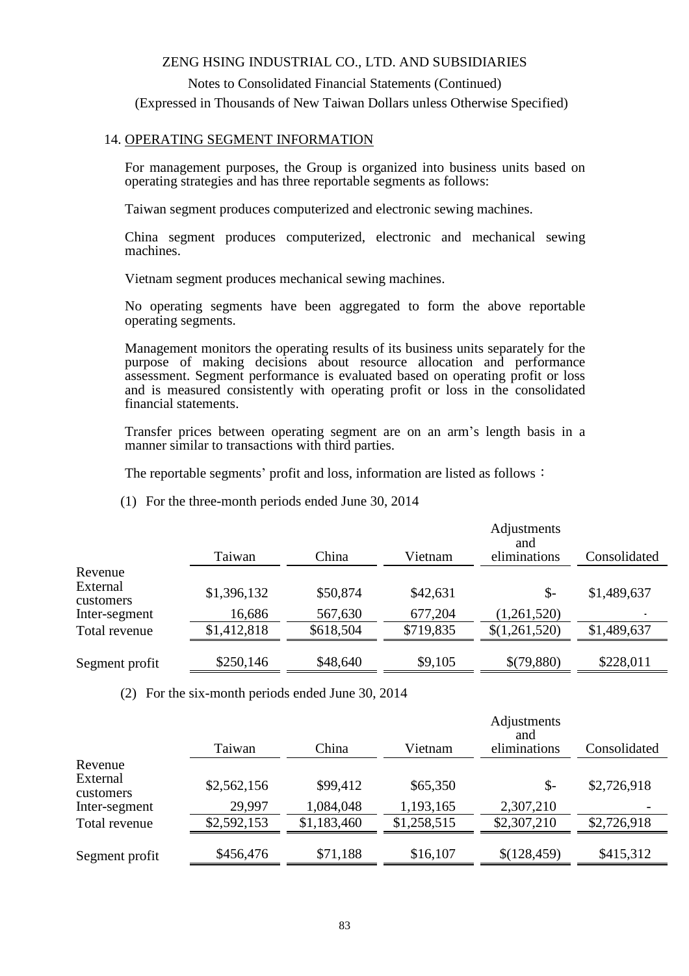Notes to Consolidated Financial Statements (Continued) (Expressed in Thousands of New Taiwan Dollars unless Otherwise Specified)

### 14. OPERATING SEGMENT INFORMATION

For management purposes, the Group is organized into business units based on operating strategies and has three reportable segments as follows:

Taiwan segment produces computerized and electronic sewing machines.

China segment produces computerized, electronic and mechanical sewing machines.

Vietnam segment produces mechanical sewing machines.

No operating segments have been aggregated to form the above reportable operating segments.

Management monitors the operating results of its business units separately for the purpose of making decisions about resource allocation and performance assessment. Segment performance is evaluated based on operating profit or loss and is measured consistently with operating profit or loss in the consolidated financial statements.

Transfer prices between operating segment are on an arm's length basis in a manner similar to transactions with third parties.

The reportable segments' profit and loss, information are listed as follows:

(1) For the three-month periods ended June 30, 2014

|                       | Taiwan      | China     | Vietnam   | Adjustments<br>and<br>eliminations | Consolidated |
|-----------------------|-------------|-----------|-----------|------------------------------------|--------------|
| Revenue               |             |           |           |                                    |              |
| External<br>customers | \$1,396,132 | \$50,874  | \$42,631  | $\mathcal{S}$ -                    | \$1,489,637  |
| Inter-segment         | 16,686      | 567,630   | 677,204   | (1,261,520)                        |              |
| Total revenue         | \$1,412,818 | \$618,504 | \$719,835 | \$(1,261,520)                      | \$1,489,637  |
|                       |             |           |           |                                    |              |
| Segment profit        | \$250,146   | \$48,640  | \$9,105   | \$(79,880)                         | \$228,011    |

(2) For the six-month periods ended June 30, 2014

|                       | Taiwan      | China       | Vietnam     | Adjustments<br>and<br>eliminations | Consolidated |
|-----------------------|-------------|-------------|-------------|------------------------------------|--------------|
| Revenue               |             |             |             |                                    |              |
| External<br>customers | \$2,562,156 | \$99,412    | \$65,350    | $\mathcal{S}$ -                    | \$2,726,918  |
| Inter-segment         | 29,997      | 1,084,048   | 1,193,165   | 2,307,210                          |              |
| Total revenue         | \$2,592,153 | \$1,183,460 | \$1,258,515 | \$2,307,210                        | \$2,726,918  |
|                       |             |             |             |                                    |              |
| Segment profit        | \$456,476   | \$71,188    | \$16,107    | \$(128,459)                        | \$415,312    |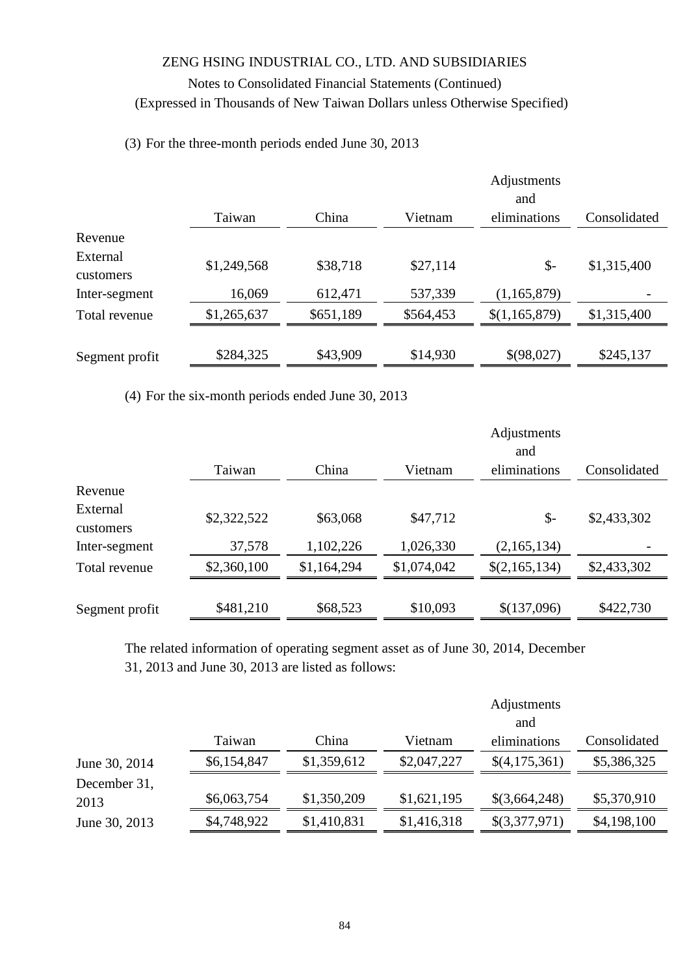### (3) For the three-month periods ended June 30, 2013

|                       | Taiwan      | China     | Vietnam   | Adjustments<br>and<br>eliminations | Consolidated |
|-----------------------|-------------|-----------|-----------|------------------------------------|--------------|
| Revenue               |             |           |           |                                    |              |
| External<br>customers | \$1,249,568 | \$38,718  | \$27,114  | $\mathcal{S}$ -                    | \$1,315,400  |
| Inter-segment         | 16,069      | 612,471   | 537,339   | (1, 165, 879)                      |              |
| Total revenue         | \$1,265,637 | \$651,189 | \$564,453 | \$(1,165,879)                      | \$1,315,400  |
| Segment profit        | \$284,325   | \$43,909  | \$14,930  | \$(98,027)                         | \$245,137    |

(4) For the six-month periods ended June 30, 2013

|                       |             |             |             | Adjustments<br>and |              |
|-----------------------|-------------|-------------|-------------|--------------------|--------------|
|                       | Taiwan      | China       | Vietnam     | eliminations       | Consolidated |
| Revenue               |             |             |             |                    |              |
| External<br>customers | \$2,322,522 | \$63,068    | \$47,712    | $\mathcal{S}$      | \$2,433,302  |
| Inter-segment         | 37,578      | 1,102,226   | 1,026,330   | (2,165,134)        |              |
| Total revenue         | \$2,360,100 | \$1,164,294 | \$1,074,042 | \$(2,165,134)      | \$2,433,302  |
| Segment profit        | \$481,210   | \$68,523    | \$10,093    | \$(137,096)        | \$422,730    |

The related information of operating segment asset as of June 30, 2014, December 31, 2013 and June 30, 2013 are listed as follows:

|               |             |             |             | Adjustments<br>and |              |
|---------------|-------------|-------------|-------------|--------------------|--------------|
|               | Taiwan      | China       | Vietnam     | eliminations       | Consolidated |
| June 30, 2014 | \$6,154,847 | \$1,359,612 | \$2,047,227 | \$(4,175,361)      | \$5,386,325  |
| December 31,  |             |             |             |                    |              |
| 2013          | \$6,063,754 | \$1,350,209 | \$1,621,195 | \$(3,664,248)      | \$5,370,910  |
| June 30, 2013 | \$4,748,922 | \$1,410,831 | \$1,416,318 | \$(3,377,971)      | \$4,198,100  |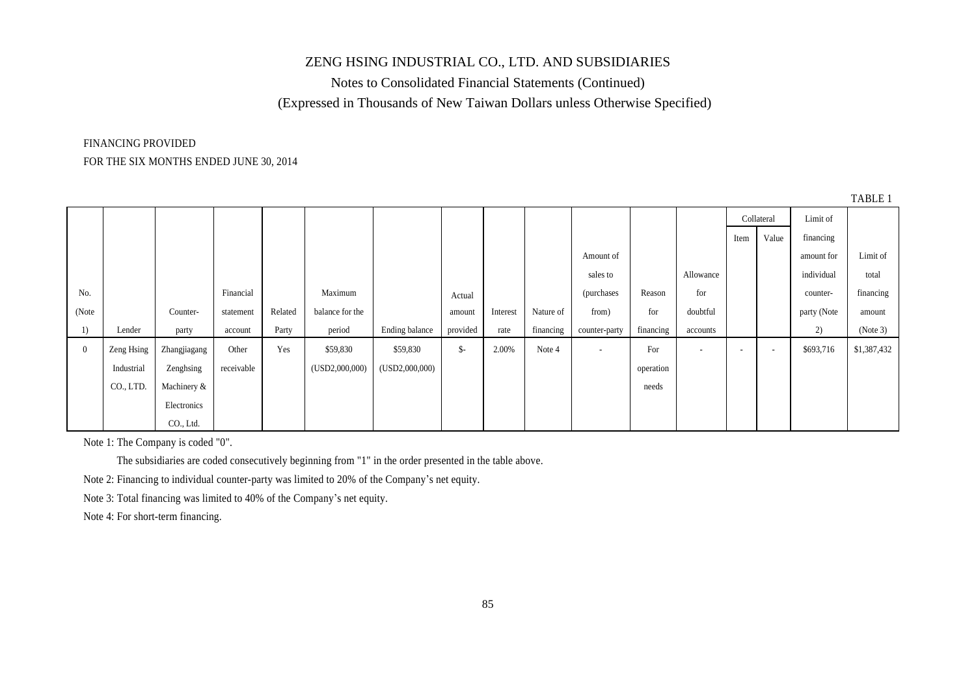Notes to Consolidated Financial Statements (Continued) (Expressed in Thousands of New Taiwan Dollars unless Otherwise Specified)

# FINANCING PROVIDED

### FOR THE SIX MONTHS ENDED JUNE 30, 2014

|                |            |              |            |         |                 |                |                |          |           |                          |           |                          |                          |                          |             | TABLE 1     |
|----------------|------------|--------------|------------|---------|-----------------|----------------|----------------|----------|-----------|--------------------------|-----------|--------------------------|--------------------------|--------------------------|-------------|-------------|
|                |            |              |            |         |                 |                |                |          |           |                          |           |                          |                          | Collateral               | Limit of    |             |
|                |            |              |            |         |                 |                |                |          |           |                          |           |                          | Item                     | Value                    | financing   |             |
|                |            |              |            |         |                 |                |                |          |           | Amount of                |           |                          |                          |                          | amount for  | Limit of    |
|                |            |              |            |         |                 |                |                |          |           | sales to                 |           | Allowance                |                          |                          | individual  | total       |
| No.            |            |              | Financial  |         | Maximum         |                | Actual         |          |           | <i>(purchases)</i>       | Reason    | for                      |                          |                          | counter-    | financing   |
| (Note          |            | Counter-     | statement  | Related | balance for the |                | amount         | Interest | Nature of | from)                    | for       | doubtful                 |                          |                          | party (Note | amount      |
| 1)             | Lender     | party        | account    | Party   | period          | Ending balance | provided       | rate     | financing | counter-party            | financing | accounts                 |                          |                          | 2)          | (Note 3)    |
| $\overline{0}$ | Zeng Hsing | Zhangjiagang | Other      | Yes     | \$59,830        | \$59,830       | $\mathsf{S}$ - | 2.00%    | Note 4    | $\overline{\phantom{a}}$ | For       | $\overline{\phantom{a}}$ | $\overline{\phantom{0}}$ | $\overline{\phantom{a}}$ | \$693,716   | \$1,387,432 |
|                | Industrial | Zenghsing    | receivable |         | (USD2,000,000)  | (USD2,000,000) |                |          |           |                          | operation |                          |                          |                          |             |             |
|                | CO., LTD.  | Machinery &  |            |         |                 |                |                |          |           |                          | needs     |                          |                          |                          |             |             |
|                |            | Electronics  |            |         |                 |                |                |          |           |                          |           |                          |                          |                          |             |             |
|                |            | CO., Ltd.    |            |         |                 |                |                |          |           |                          |           |                          |                          |                          |             |             |

Note 1: The Company is coded "0".

The subsidiaries are coded consecutively beginning from "1" in the order presented in the table above.

Note 2: Financing to individual counter-party was limited to 20% of the Company's net equity.

Note 3: Total financing was limited to 40% of the Company's net equity.

Note 4: For short-term financing.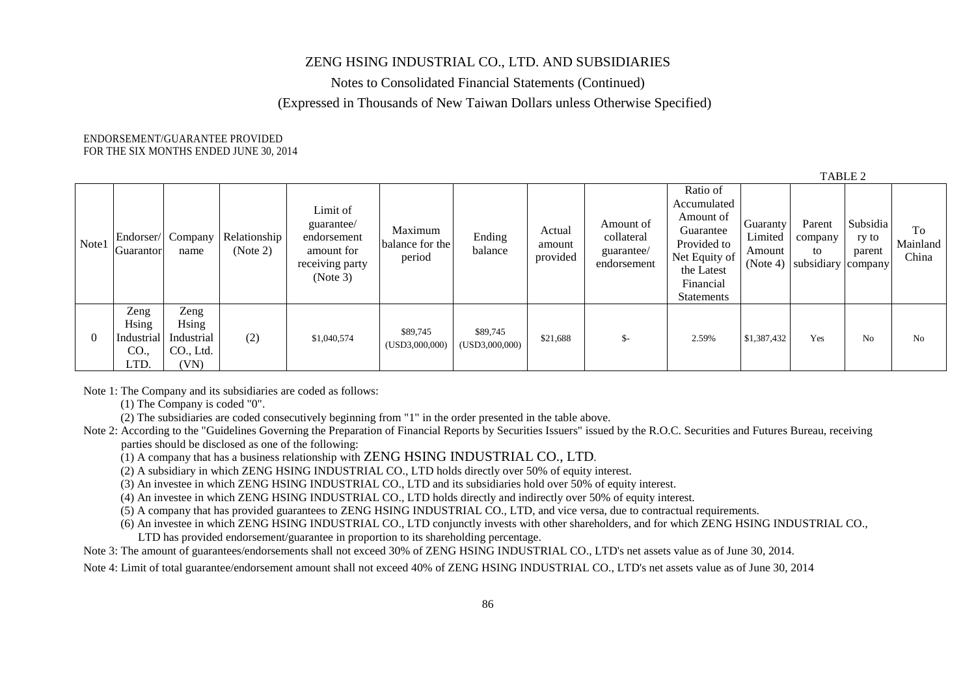Notes to Consolidated Financial Statements (Continued)

(Expressed in Thousands of New Taiwan Dollars unless Otherwise Specified)

#### ENDORSEMENT/GUARANTEE PROVIDED FOR THE SIX MONTHS ENDED JUNE 30, 2014

|          |                                             |                                                  |                          |                                                                                    |                                      |                            |                              |                                                      |                                                                                                                            |                                           | TABLE 2                                       |                             |                         |
|----------|---------------------------------------------|--------------------------------------------------|--------------------------|------------------------------------------------------------------------------------|--------------------------------------|----------------------------|------------------------------|------------------------------------------------------|----------------------------------------------------------------------------------------------------------------------------|-------------------------------------------|-----------------------------------------------|-----------------------------|-------------------------|
| Note1    | Endorser/<br>Guarantor                      | Company<br>name                                  | Relationship<br>(Note 2) | Limit of<br>guarantee/<br>endorsement<br>amount for<br>receiving party<br>(Note 3) | Maximum<br>balance for the<br>period | Ending<br>balance          | Actual<br>amount<br>provided | Amount of<br>collateral<br>guarantee/<br>endorsement | Ratio of<br>Accumulated<br>Amount of<br>Guarantee<br>Provided to<br>Net Equity of<br>the Latest<br>Financial<br>Statements | Guaranty<br>Limited<br>Amount<br>(Note 4) | Parent<br>company<br>to<br>subsidiary company | Subsidia<br>ry to<br>parent | To<br>Mainland<br>China |
| $\theta$ | Zeng<br>Hsing<br>Industrial<br>CO.,<br>LTD. | Zeng<br>Hsing<br>Industrial<br>CO., Ltd.<br>(VN) | (2)                      | \$1,040,574                                                                        | \$89,745<br>(USD3,000,000)           | \$89,745<br>(USD3,000,000) | \$21,688                     | $\mathsf{S}$ -                                       | 2.59%                                                                                                                      | \$1,387,432                               | Yes                                           | N <sub>o</sub>              | N <sub>0</sub>          |

Note 1: The Company and its subsidiaries are coded as follows:

(1) The Company is coded "0".

(2) The subsidiaries are coded consecutively beginning from "1" in the order presented in the table above.

Note 2: According to the "Guidelines Governing the Preparation of Financial Reports by Securities Issuers" issued by the R.O.C. Securities and Futures Bureau, receiving parties should be disclosed as one of the following:

(1) A company that has a business relationship with ZENG HSING INDUSTRIAL CO., LTD.

(2) A subsidiary in which ZENG HSING INDUSTRIAL CO., LTD holds directly over 50% of equity interest.

(3) An investee in which ZENG HSING INDUSTRIAL CO., LTD and its subsidiaries hold over 50% of equity interest.

(4) An investee in which ZENG HSING INDUSTRIAL CO., LTD holds directly and indirectly over 50% of equity interest.

(5) A company that has provided guarantees to ZENG HSING INDUSTRIAL CO., LTD, and vice versa, due to contractual requirements.

(6) An investee in which ZENG HSING INDUSTRIAL CO., LTD conjunctly invests with other shareholders, and for which ZENG HSING INDUSTRIAL CO.,

LTD has provided endorsement/guarantee in proportion to its shareholding percentage.

Note 3: The amount of guarantees/endorsements shall not exceed 30% of ZENG HSING INDUSTRIAL CO., LTD's net assets value as of June 30, 2014.

Note 4: Limit of total guarantee/endorsement amount shall not exceed 40% of ZENG HSING INDUSTRIAL CO., LTD's net assets value as of June 30, 2014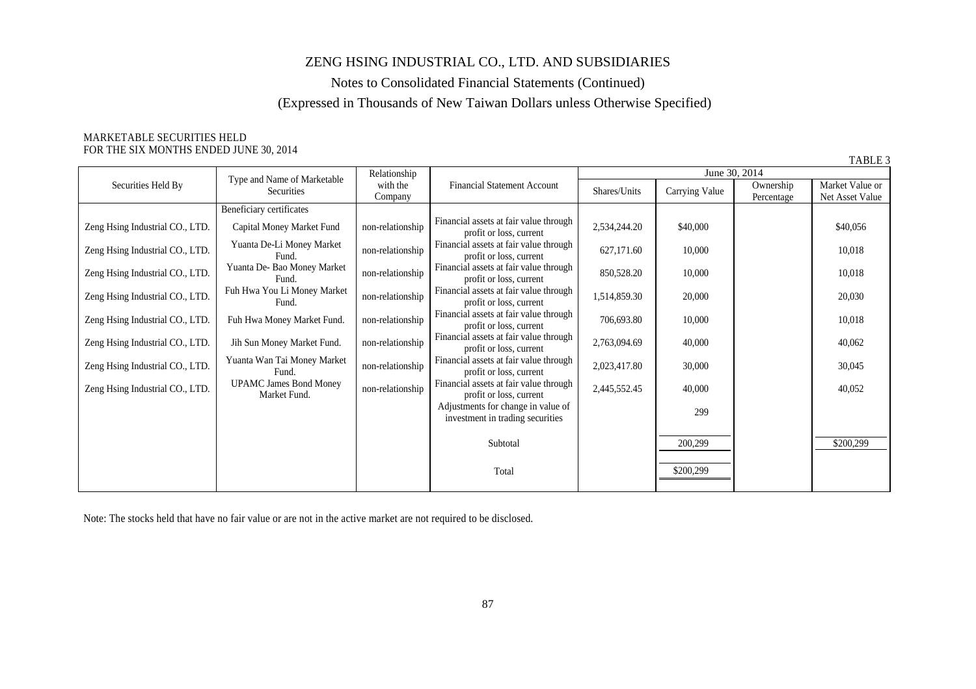Notes to Consolidated Financial Statements (Continued)

### (Expressed in Thousands of New Taiwan Dollars unless Otherwise Specified)

#### MARKETABLE SECURITIES HELD FOR THE SIX MONTHS ENDED JUNE 30, 2014

|                                 |                                               |                     |                                                                        |              |                |                         | TABLE 3                            |
|---------------------------------|-----------------------------------------------|---------------------|------------------------------------------------------------------------|--------------|----------------|-------------------------|------------------------------------|
|                                 |                                               | Relationship        |                                                                        |              |                | June 30, 2014           |                                    |
| Securities Held By              | Type and Name of Marketable<br>Securities     | with the<br>Company | <b>Financial Statement Account</b>                                     | Shares/Units | Carrying Value | Ownership<br>Percentage | Market Value or<br>Net Asset Value |
|                                 | Beneficiary certificates                      |                     |                                                                        |              |                |                         |                                    |
| Zeng Hsing Industrial CO., LTD. | Capital Money Market Fund                     | non-relationship    | Financial assets at fair value through<br>profit or loss, current      | 2,534,244.20 | \$40,000       |                         | \$40,056                           |
| Zeng Hsing Industrial CO., LTD. | Yuanta De-Li Money Market<br>Fund.            | non-relationship    | Financial assets at fair value through<br>profit or loss, current      | 627,171.60   | 10,000         |                         | 10,018                             |
| Zeng Hsing Industrial CO., LTD. | Yuanta De- Bao Money Market<br>Fund.          | non-relationship    | Financial assets at fair value through<br>profit or loss, current      | 850,528.20   | 10,000         |                         | 10,018                             |
| Zeng Hsing Industrial CO., LTD. | Fuh Hwa You Li Money Market<br>Fund.          | non-relationship    | Financial assets at fair value through<br>profit or loss, current      | 1,514,859.30 | 20,000         |                         | 20,030                             |
| Zeng Hsing Industrial CO., LTD. | Fuh Hwa Money Market Fund.                    | non-relationship    | Financial assets at fair value through<br>profit or loss, current      | 706,693.80   | 10,000         |                         | 10,018                             |
| Zeng Hsing Industrial CO., LTD. | Jih Sun Money Market Fund.                    | non-relationship    | Financial assets at fair value through<br>profit or loss, current      | 2,763,094.69 | 40,000         |                         | 40,062                             |
| Zeng Hsing Industrial CO., LTD. | Yuanta Wan Tai Money Market<br>Fund.          | non-relationship    | Financial assets at fair value through<br>profit or loss, current      | 2,023,417.80 | 30,000         |                         | 30,045                             |
| Zeng Hsing Industrial CO., LTD. | <b>UPAMC James Bond Money</b><br>Market Fund. | non-relationship    | Financial assets at fair value through<br>profit or loss, current      | 2,445,552.45 | 40,000         |                         | 40,052                             |
|                                 |                                               |                     | Adjustments for change in value of<br>investment in trading securities |              | 299            |                         |                                    |
|                                 |                                               |                     | Subtotal                                                               |              | 200,299        |                         | \$200,299                          |
|                                 |                                               |                     | Total                                                                  |              | \$200,299      |                         |                                    |

Note: The stocks held that have no fair value or are not in the active market are not required to be disclosed.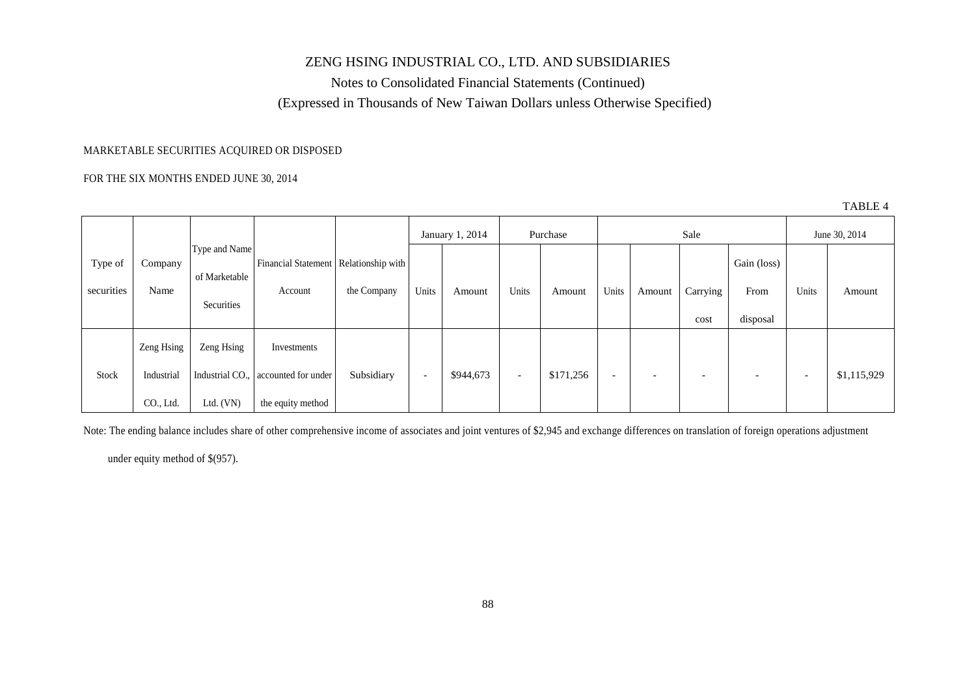Notes to Consolidated Financial Statements (Continued) (Expressed in Thousands of New Taiwan Dollars unless Otherwise Specified)

### MARKETABLE SECURITIES ACQUIRED OR DISPOSED

#### FOR THE SIX MONTHS ENDED JUNE 30, 2014

|            |                        |                                |                                         |             |                          |                 |                          |           |                          |        |                          |                          |                          | 11 P.M.       |
|------------|------------------------|--------------------------------|-----------------------------------------|-------------|--------------------------|-----------------|--------------------------|-----------|--------------------------|--------|--------------------------|--------------------------|--------------------------|---------------|
|            |                        |                                |                                         |             |                          | January 1, 2014 |                          | Purchase  |                          |        | Sale                     |                          |                          | June 30, 2014 |
| Type of    | Company                | Type and Name<br>of Marketable | Financial Statement   Relationship with |             |                          |                 |                          |           |                          |        |                          | Gain (loss)              |                          |               |
| securities | Name                   | Securities                     | Account                                 | the Company | Units                    | Amount          | Units                    | Amount    | Units                    | Amount | Carrying<br>cost         | From<br>disposal         | Units                    | Amount        |
|            | Zeng Hsing             | Zeng Hsing                     | Investments                             |             |                          |                 |                          |           |                          |        |                          |                          |                          |               |
| Stock      | Industrial             | Industrial CO.,                | accounted for under                     | Subsidiary  | $\overline{\phantom{0}}$ | \$944,673       | $\overline{\phantom{a}}$ | \$171,256 | $\overline{\phantom{0}}$ |        | $\overline{\phantom{a}}$ | $\overline{\phantom{0}}$ | $\overline{\phantom{a}}$ | \$1,115,929   |
|            | CO <sub>1</sub> , Ltd. | Ltd. $(VN)$                    | the equity method                       |             |                          |                 |                          |           |                          |        |                          |                          |                          |               |

Note: The ending balance includes share of other comprehensive income of associates and joint ventures of \$2,945 and exchange differences on translation of foreign operations adjustment

under equity method of \$(957).

TABLE 4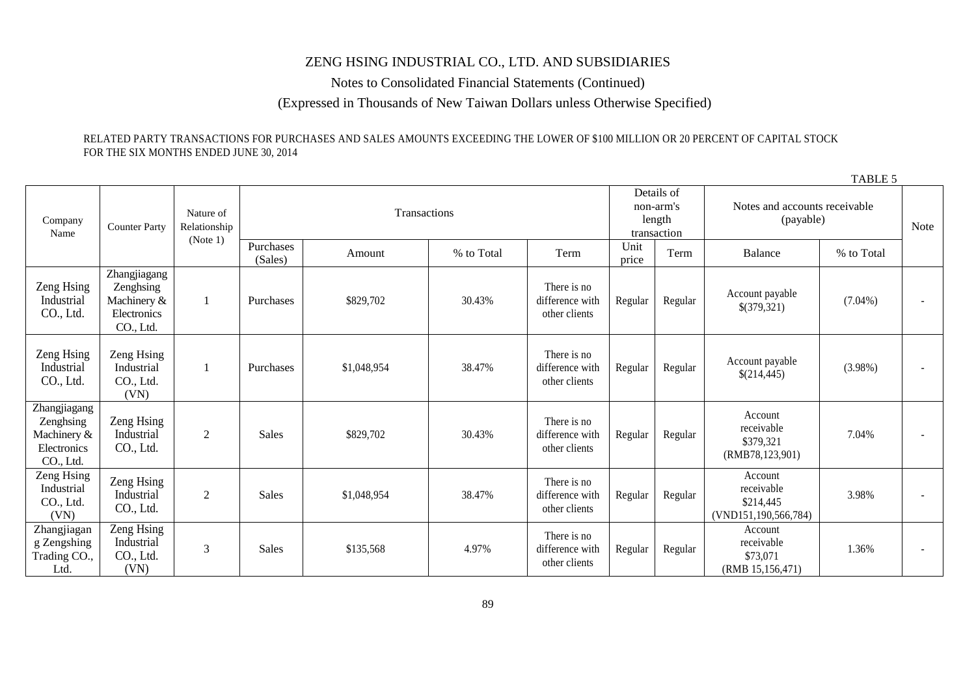Notes to Consolidated Financial Statements (Continued)

(Expressed in Thousands of New Taiwan Dollars unless Otherwise Specified)

TABLE 5

### RELATED PARTY TRANSACTIONS FOR PURCHASES AND SALES AMOUNTS EXCEEDING THE LOWER OF \$100 MILLION OR 20 PERCENT OF CAPITAL STOCK FOR THE SIX MONTHS ENDED JUNE 30, 2014

|                                                                      |                                                                      |                                       |                      |              |            |                                                  |               |                                            |                                                               | $1$ mulu $J$ |  |
|----------------------------------------------------------------------|----------------------------------------------------------------------|---------------------------------------|----------------------|--------------|------------|--------------------------------------------------|---------------|--------------------------------------------|---------------------------------------------------------------|--------------|--|
| Company<br>Name                                                      | <b>Counter Party</b>                                                 | Nature of<br>Relationship<br>(Note 1) |                      | Transactions |            | Details of<br>non-arm's<br>length<br>transaction |               | Notes and accounts receivable<br>(payable) |                                                               | Note         |  |
|                                                                      |                                                                      |                                       | Purchases<br>(Sales) | Amount       | % to Total | Term                                             | Unit<br>price | Term                                       | Balance                                                       | % to Total   |  |
| Zeng Hsing<br>Industrial<br>CO., Ltd.                                | Zhangjiagang<br>Zenghsing<br>Machinery &<br>Electronics<br>CO., Ltd. | -1                                    | Purchases            | \$829,702    | 30.43%     | There is no<br>difference with<br>other clients  | Regular       | Regular                                    | Account payable<br>\$(379,321)                                | $(7.04\%)$   |  |
| Zeng Hsing<br>Industrial<br>CO., Ltd.                                | Zeng Hsing<br>Industrial<br>CO., Ltd.<br>(VN)                        | -1                                    | Purchases            | \$1,048,954  | 38.47%     | There is no<br>difference with<br>other clients  | Regular       | Regular                                    | Account payable<br>\$(214,445)                                | $(3.98\%)$   |  |
| Zhangjiagang<br>Zenghsing<br>Machinery &<br>Electronics<br>CO., Ltd. | Zeng Hsing<br>Industrial<br>CO., Ltd.                                | $\overline{2}$                        | <b>Sales</b>         | \$829,702    | 30.43%     | There is no<br>difference with<br>other clients  | Regular       | Regular                                    | Account<br>receivable<br>\$379,321<br>(RMB78, 123, 901)       | 7.04%        |  |
| Zeng Hsing<br>Industrial<br>CO., Ltd.<br>(VN)                        | Zeng Hsing<br>Industrial<br>CO., Ltd.                                | $\mathfrak{2}$                        | <b>Sales</b>         | \$1,048,954  | 38.47%     | There is no<br>difference with<br>other clients  | Regular       | Regular                                    | Account<br>receivable<br>\$214,445<br>(VND151, 190, 566, 784) | 3.98%        |  |
| Zhangjiagan<br>g Zengshing<br>Trading CO.,<br>Ltd.                   | Zeng Hsing<br>Industrial<br>CO., Ltd.<br>(VN)                        | 3                                     | <b>Sales</b>         | \$135,568    | 4.97%      | There is no<br>difference with<br>other clients  | Regular       | Regular                                    | Account<br>receivable<br>\$73,071<br>(RMB 15, 156, 471)       | 1.36%        |  |

89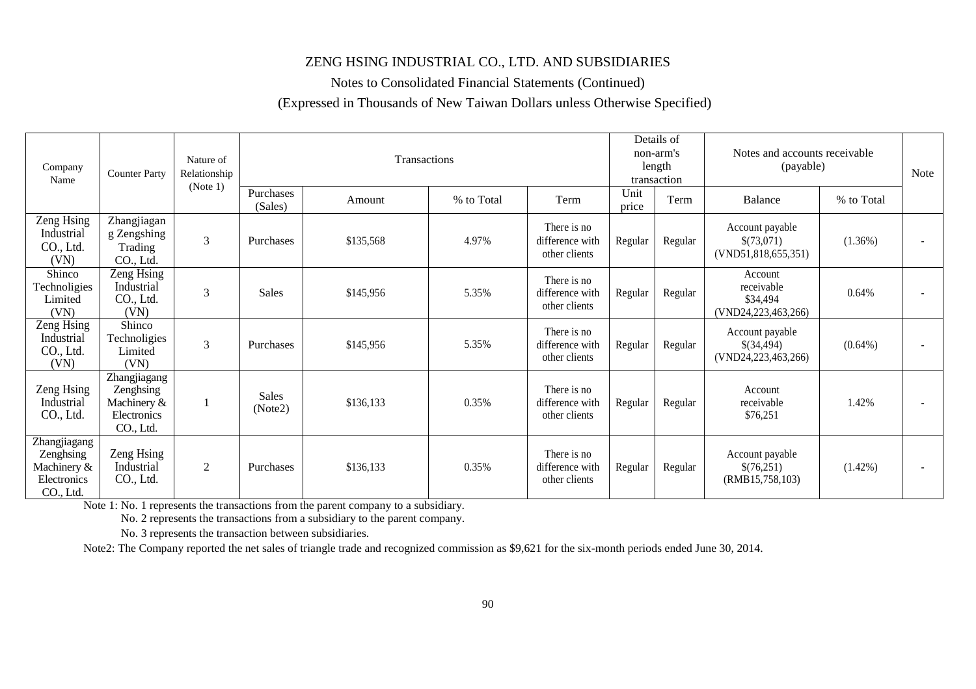Notes to Consolidated Financial Statements (Continued)

### (Expressed in Thousands of New Taiwan Dollars unless Otherwise Specified)

| Company<br><b>Counter Party</b><br>Name                              |                                                                      | Nature of<br>Relationship | Transactions<br>Purchases |           |            |                                                 |               | Details of<br>non-arm's<br>length<br>transaction | Notes and accounts receivable<br>(payable)               |            | Note |
|----------------------------------------------------------------------|----------------------------------------------------------------------|---------------------------|---------------------------|-----------|------------|-------------------------------------------------|---------------|--------------------------------------------------|----------------------------------------------------------|------------|------|
|                                                                      |                                                                      | (Note 1)                  | (Sales)                   | Amount    | % to Total | Term                                            | Unit<br>price | Term                                             | <b>Balance</b>                                           | % to Total |      |
| Zeng Hsing<br>Industrial<br>CO., Ltd.<br>(VN)                        | Zhangjiagan<br>g Zengshing<br>Trading<br>CO., Ltd.                   | 3                         | Purchases                 | \$135,568 | 4.97%      | There is no<br>difference with<br>other clients | Regular       | Regular                                          | Account payable<br>\$(73,071)<br>(VND51, 818, 655, 351)  | $(1.36\%)$ |      |
| Shinco<br>Technoligies<br>Limited<br>(VN)                            | Zeng Hsing<br>Industrial<br>CO., Ltd.<br>(VN)                        | 3                         | <b>Sales</b>              | \$145,956 | 5.35%      | There is no<br>difference with<br>other clients | Regular       | Regular                                          | Account<br>receivable<br>\$34,494<br>(VND24,223,463,266) | 0.64%      |      |
| Zeng Hsing<br>Industrial<br>CO., Ltd.<br>(VN)                        | Shinco<br>Technoligies<br>Limited<br>(VN)                            | 3                         | Purchases                 | \$145,956 | 5.35%      | There is no<br>difference with<br>other clients | Regular       | Regular                                          | Account payable<br>\$(34,494)<br>(VND24,223,463,266)     | $(0.64\%)$ |      |
| Zeng Hsing<br>Industrial<br>CO., Ltd.                                | Zhangjiagang<br>Zenghsing<br>Machinery &<br>Electronics<br>CO., Ltd. |                           | <b>Sales</b><br>(Note2)   | \$136,133 | 0.35%      | There is no<br>difference with<br>other clients | Regular       | Regular                                          | Account<br>receivable<br>\$76,251                        | 1.42%      |      |
| Zhangjiagang<br>Zenghsing<br>Machinery &<br>Electronics<br>CO., Ltd. | Zeng Hsing<br>Industrial<br>CO., Ltd.                                | 2                         | Purchases                 | \$136,133 | 0.35%      | There is no<br>difference with<br>other clients | Regular       | Regular                                          | Account payable<br>\$(76,251)<br>(RMB15,758,103)         | $(1.42\%)$ |      |

Note 1: No. 1 represents the transactions from the parent company to a subsidiary.

No. 2 represents the transactions from a subsidiary to the parent company.

No. 3 represents the transaction between subsidiaries.

Note2: The Company reported the net sales of triangle trade and recognized commission as \$9,621 for the six-month periods ended June 30, 2014.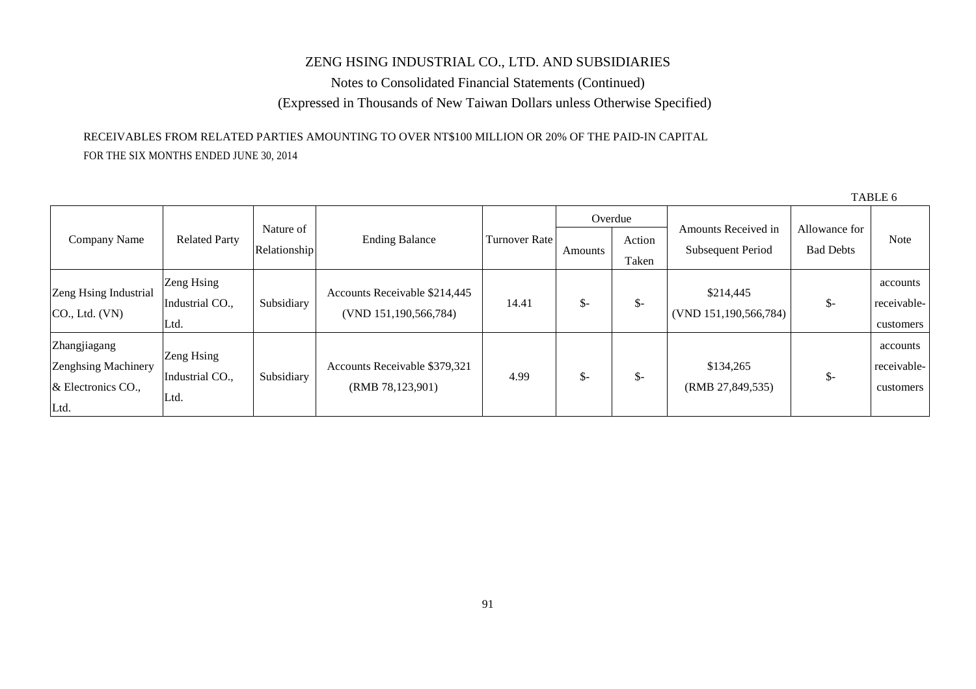Notes to Consolidated Financial Statements (Continued) (Expressed in Thousands of New Taiwan Dollars unless Otherwise Specified)

## RECEIVABLES FROM RELATED PARTIES AMOUNTING TO OVER NT\$100 MILLION OR 20% OF THE PAID-IN CAPITAL FOR THE SIX MONTHS ENDED JUNE 30, 2014

|                             |                      |              |                               |                      |                 | Overdue |                       |                                   |             |
|-----------------------------|----------------------|--------------|-------------------------------|----------------------|-----------------|---------|-----------------------|-----------------------------------|-------------|
| Company Name                | <b>Related Party</b> | Nature of    | <b>Ending Balance</b>         | <b>Turnover Rate</b> |                 | Action  | Amounts Received in   | Allowance for<br><b>Bad Debts</b> | Note        |
|                             |                      | Relationship |                               |                      | Amounts         | Taken   | Subsequent Period     |                                   |             |
|                             | Zeng Hsing           |              |                               |                      |                 |         |                       |                                   | accounts    |
| Zeng Hsing Industrial       | Industrial CO.,      | Subsidiary   | Accounts Receivable \$214,445 | 14.41                | $\mathcal{S}$ - | \$-     | \$214,445             | $\frac{1}{2}$                     | receivable- |
| CO <sub>1</sub> , Ltd. (VN) | Ltd.                 |              | (VND 151,190,566,784)         |                      |                 |         | (VND 151,190,566,784) |                                   | customers   |
| Zhangjiagang                |                      |              |                               |                      |                 |         |                       |                                   | accounts    |
| Zenghsing Machinery         | Zeng Hsing           |              | Accounts Receivable \$379,321 |                      |                 |         | \$134,265             |                                   | receivable- |
| $&$ Electronics CO.,        | Industrial CO.,      | Subsidiary   | (RMB 78,123,901)              | 4.99                 | $\mathcal{S}$ - | \$-     | (RMB 27,849,535)      | $\frac{1}{2}$                     | customers   |
| Ltd.                        | Ltd.                 |              |                               |                      |                 |         |                       |                                   |             |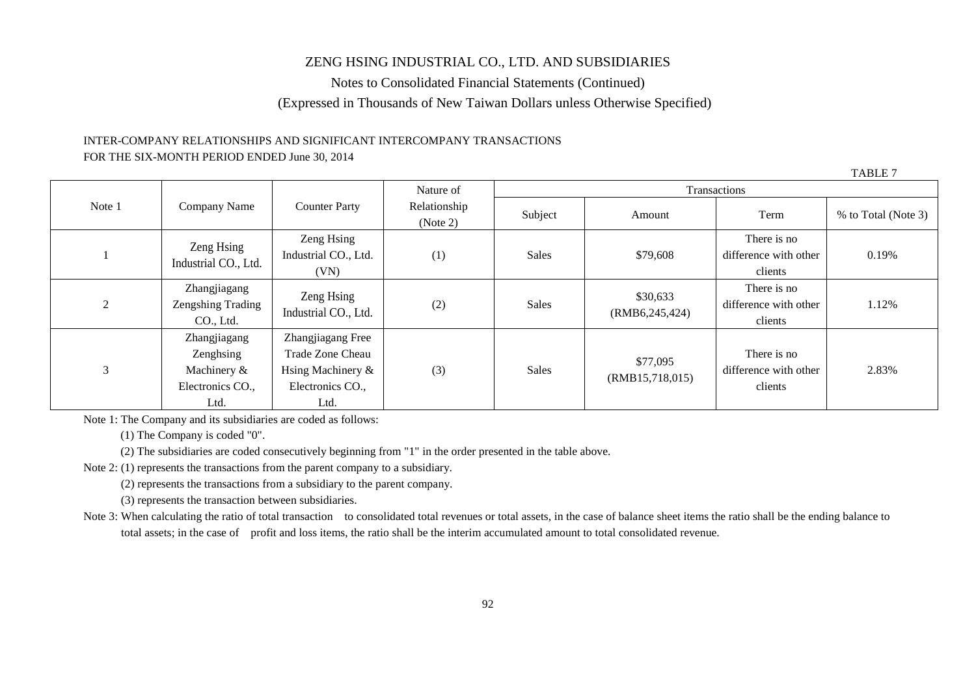Notes to Consolidated Financial Statements (Continued) (Expressed in Thousands of New Taiwan Dollars unless Otherwise Specified)

### INTER-COMPANY RELATIONSHIPS AND SIGNIFICANT INTERCOMPANY TRANSACTIONS FOR THE SIX-MONTH PERIOD ENDED June 30, 2014

TABLE 7

|        |                                                                         |                                                                                        | Nature of                |              |                              | Transactions                                    |                     |
|--------|-------------------------------------------------------------------------|----------------------------------------------------------------------------------------|--------------------------|--------------|------------------------------|-------------------------------------------------|---------------------|
| Note 1 | Company Name                                                            | <b>Counter Party</b>                                                                   | Relationship<br>(Note 2) | Subject      | Amount                       | Term                                            | % to Total (Note 3) |
|        | Zeng Hsing<br>Industrial CO., Ltd.                                      | Zeng Hsing<br>Industrial CO., Ltd.<br>(VN)                                             | (1)                      | <b>Sales</b> | \$79,608                     | There is no<br>difference with other<br>clients | 0.19%               |
| 2      | Zhangjiagang<br>Zengshing Trading<br>CO., Ltd.                          | Zeng Hsing<br>Industrial CO., Ltd.                                                     | (2)                      | <b>Sales</b> | \$30,633<br>(RMB6, 245, 424) | There is no<br>difference with other<br>clients | 1.12%               |
| 3      | Zhangjiagang<br>Zenghsing<br>Machinery $\&$<br>Electronics CO.,<br>Ltd. | Zhangjiagang Free<br>Trade Zone Cheau<br>Hsing Machinery &<br>Electronics CO.,<br>Ltd. | (3)                      | <b>Sales</b> | \$77,095<br>(RMB15,718,015)  | There is no<br>difference with other<br>clients | 2.83%               |

Note 1: The Company and its subsidiaries are coded as follows:

(1) The Company is coded "0".

(2) The subsidiaries are coded consecutively beginning from "1" in the order presented in the table above.

Note 2: (1) represents the transactions from the parent company to a subsidiary.

(2) represents the transactions from a subsidiary to the parent company.

(3) represents the transaction between subsidiaries.

Note 3: When calculating the ratio of total transaction to consolidated total revenues or total assets, in the case of balance sheet items the ratio shall be the ending balance to total assets; in the case of profit and loss items, the ratio shall be the interim accumulated amount to total consolidated revenue.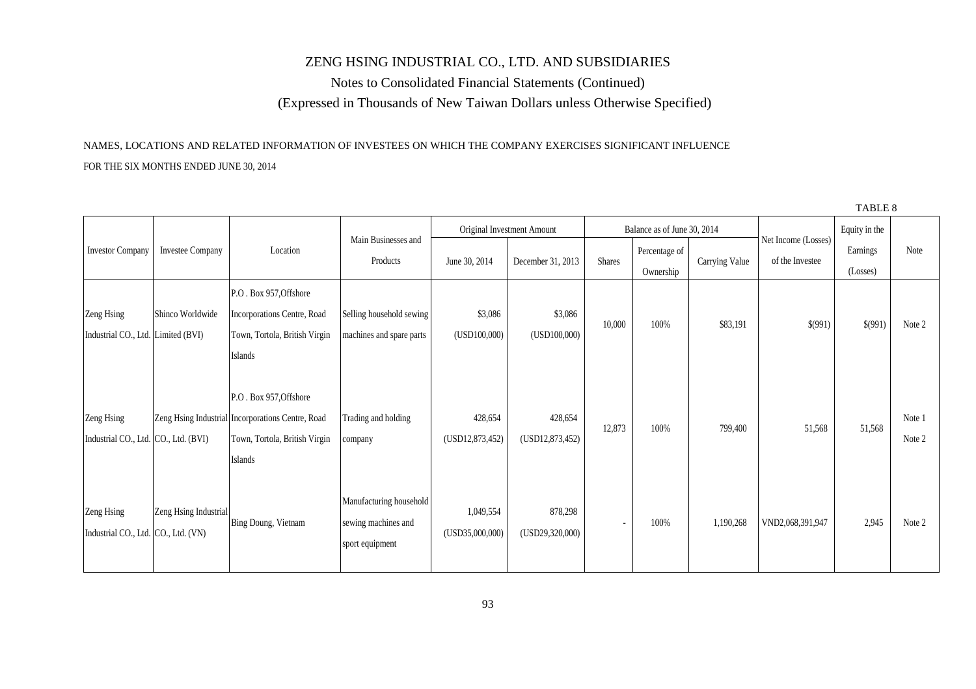Notes to Consolidated Financial Statements (Continued) (Expressed in Thousands of New Taiwan Dollars unless Otherwise Specified)

### NAMES, LOCATIONS AND RELATED INFORMATION OF INVESTEES ON WHICH THE COMPANY EXERCISES SIGNIFICANT INFLUENCE

#### FOR THE SIX MONTHS ENDED JUNE 30, 2014

|                                                    |                       |                                                                                                                         |                                                                   |                              |                              |               |                             |                |                                        | TABLE 8              |                  |
|----------------------------------------------------|-----------------------|-------------------------------------------------------------------------------------------------------------------------|-------------------------------------------------------------------|------------------------------|------------------------------|---------------|-----------------------------|----------------|----------------------------------------|----------------------|------------------|
|                                                    |                       |                                                                                                                         |                                                                   |                              | Original Investment Amount   |               | Balance as of June 30, 2014 |                |                                        | Equity in the        |                  |
| <b>Investor Company</b>                            | Investee Company      | Location                                                                                                                | Main Businesses and<br>Products                                   | June 30, 2014                | December 31, 2013            | <b>Shares</b> | Percentage of<br>Ownership  | Carrying Value | Net Income (Losses)<br>of the Investee | Earnings<br>(Losses) | Note             |
| Zeng Hsing<br>Industrial CO., Ltd. Limited (BVI)   | Shinco Worldwide      | P.O. Box 957, Offshore<br>Incorporations Centre, Road<br>Town, Tortola, British Virgin<br>Islands                       | Selling household sewing<br>machines and spare parts              | \$3,086<br>(USD100,000)      | \$3,086<br>(USD100,000)      | 10,000        | 100%                        | \$83,191       | \$(991)                                | \$(991)              | Note 2           |
| Zeng Hsing<br>Industrial CO., Ltd. CO., Ltd. (BVI) |                       | P.O. Box 957, Offshore<br>Zeng Hsing Industrial Incorporations Centre, Road<br>Town, Tortola, British Virgin<br>Islands | Trading and holding<br>company                                    | 428,654<br>(USD12, 873, 452) | 428,654<br>(USD12, 873, 452) | 12,873        | 100%                        | 799,400        | 51,568                                 | 51,568               | Note 1<br>Note 2 |
| Zeng Hsing<br>Industrial CO., Ltd. CO., Ltd. (VN)  | Zeng Hsing Industrial | Bing Doung, Vietnam                                                                                                     | Manufacturing household<br>sewing machines and<br>sport equipment | 1,049,554<br>(USD35,000,000) | 878,298<br>(USD29, 320, 000) | $\sim$        | 100%                        | 1,190,268      | VND2,068,391,947                       | 2,945                | Note 2           |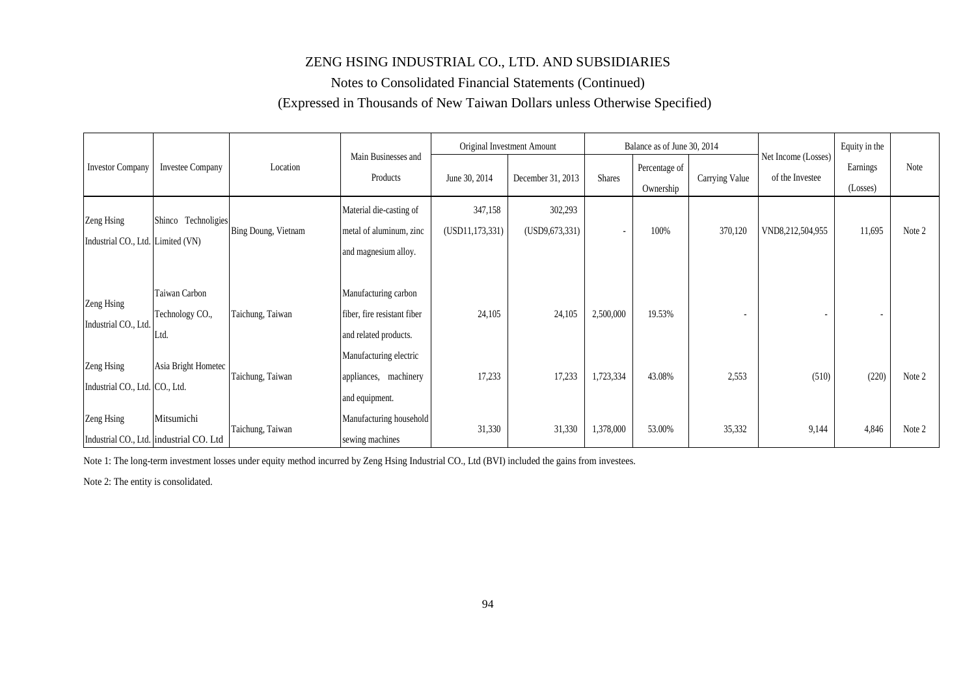## Notes to Consolidated Financial Statements (Continued) (Expressed in Thousands of New Taiwan Dollars unless Otherwise Specified)

|                                                 |                                                       |                            |                                                                              |                              | Original Investment Amount  |                          | Balance as of June 30, 2014 |                |                                        | Equity in the            |        |
|-------------------------------------------------|-------------------------------------------------------|----------------------------|------------------------------------------------------------------------------|------------------------------|-----------------------------|--------------------------|-----------------------------|----------------|----------------------------------------|--------------------------|--------|
| <b>Investor Company</b>                         | <b>Investee Company</b>                               | Location                   | Main Businesses and<br>Products                                              | June 30, 2014                | December 31, 2013           | <b>Shares</b>            | Percentage of<br>Ownership  | Carrying Value | Net Income (Losses)<br>of the Investee | Earnings<br>(Losses)     | Note   |
| Zeng Hsing<br>Industrial CO., Ltd. Limited (VN) | Shinco Technoligies                                   | <b>Bing Doung, Vietnam</b> | Material die-casting of<br>metal of aluminum, zinc<br>and magnesium alloy.   | 347,158<br>(USD11, 173, 331) | 302,293<br>(USD9, 673, 331) | $\overline{\phantom{a}}$ | 100%                        | 370,120        | VND8,212,504,955                       | 11,695                   | Note 2 |
| Zeng Hsing<br>Industrial CO., Ltd.              | Taiwan Carbon<br>Technology CO.,<br>Ltd.              | Taichung, Taiwan           | Manufacturing carbon<br>fiber, fire resistant fiber<br>and related products. | 24,105                       | 24,105                      | 2,500,000                | 19.53%                      |                |                                        | $\overline{\phantom{a}}$ |        |
| Zeng Hsing<br>Industrial CO., Ltd. CO., Ltd.    | Asia Bright Hometec                                   | Taichung, Taiwan           | Manufacturing electric<br>appliances, machinery<br>and equipment.            | 17,233                       | 17,233                      | 1,723,334                | 43.08%                      | 2,553          | (510)                                  | (220)                    | Note 2 |
| Zeng Hsing                                      | Mitsumichi<br>Industrial CO., Ltd. industrial CO. Ltd | Taichung, Taiwan           | Manufacturing household<br>sewing machines                                   | 31,330                       | 31,330                      | 1,378,000                | 53.00%                      | 35,332         | 9,144                                  | 4,846                    | Note 2 |

Note 1: The long-term investment losses under equity method incurred by Zeng Hsing Industrial CO., Ltd (BVI) included the gains from investees.

Note 2: The entity is consolidated.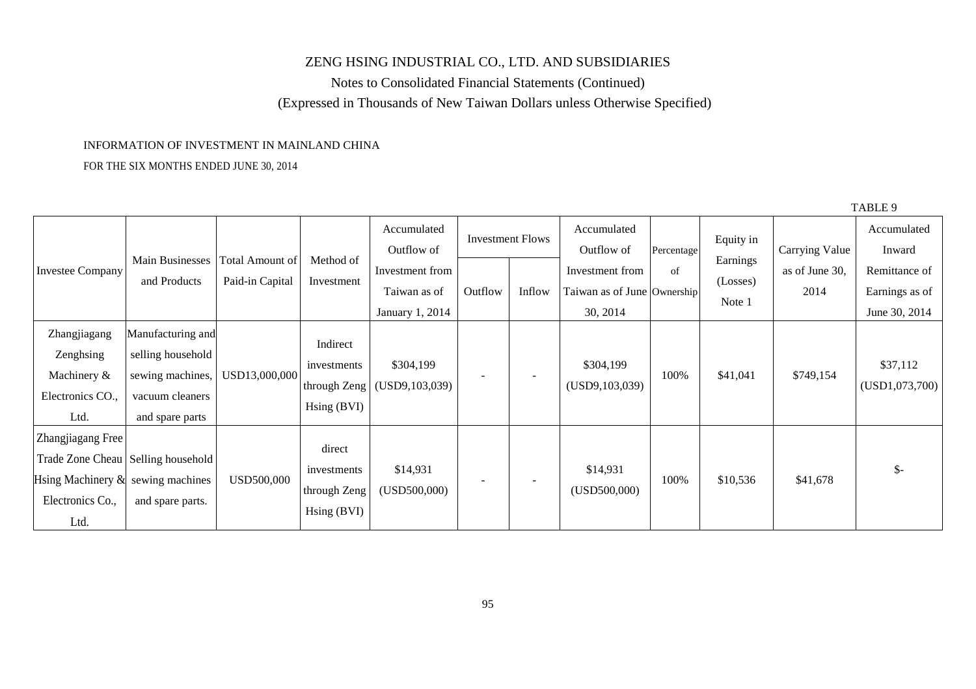Notes to Consolidated Financial Statements (Continued) (Expressed in Thousands of New Taiwan Dollars unless Otherwise Specified)

 $T = 1$ 

### INFORMATION OF INVESTMENT IN MAINLAND CHINA

### FOR THE SIX MONTHS ENDED JUNE 30, 2014

|                                      |                   |                 |                      |                           |         |                          |                             |            |           |                       | TABLE 9               |
|--------------------------------------|-------------------|-----------------|----------------------|---------------------------|---------|--------------------------|-----------------------------|------------|-----------|-----------------------|-----------------------|
|                                      |                   |                 |                      | Accumulated<br>Outflow of |         | <b>Investment Flows</b>  | Accumulated<br>Outflow of   | Percentage | Equity in | <b>Carrying Value</b> | Accumulated<br>Inward |
| <b>Investee Company</b>              | Main Businesses   | Total Amount of | Method of            | Investment from           |         |                          | Investment from             | of         | Earnings  | as of June 30,        | Remittance of         |
|                                      | and Products      | Paid-in Capital | Investment           | Taiwan as of              | Outflow | Inflow                   | Taiwan as of June Ownership |            | (Losses)  | 2014                  | Earnings as of        |
|                                      |                   |                 |                      | January 1, 2014           |         |                          | 30, 2014                    |            | Note 1    |                       | June 30, 2014         |
| Zhangjiagang                         | Manufacturing and |                 | Indirect             |                           |         |                          |                             |            |           |                       |                       |
| Zenghsing                            | selling household |                 | investments          | \$304,199                 |         |                          | \$304,199                   |            |           |                       | \$37,112              |
| Machinery &                          | sewing machines,  | USD13,000,000   | through Zeng         | (USD9, 103, 039)          |         | $\overline{\phantom{0}}$ | (USD9, 103, 039)            | 100%       | \$41,041  | \$749,154             | (USD1, 073, 700)      |
| Electronics CO.                      | vacuum cleaners   |                 | $H\text{sing}$ (BVI) |                           |         |                          |                             |            |           |                       |                       |
| Ltd.                                 | and spare parts   |                 |                      |                           |         |                          |                             |            |           |                       |                       |
| Zhangjiagang Free                    |                   |                 | direct               |                           |         |                          |                             |            |           |                       |                       |
| Trade Zone Cheau Selling household   |                   |                 | investments          | \$14,931                  |         |                          | \$14,931                    |            |           |                       | \$-                   |
| Hsing Machinery $\&$ sewing machines |                   | USD500,000      | through Zeng         | (USD500,000)              |         | -                        | (USD500,000)                | 100%       | \$10,536  | \$41,678              |                       |
| Electronics Co.,                     | and spare parts.  |                 | $H\text{sing}$ (BVI) |                           |         |                          |                             |            |           |                       |                       |
| Ltd.                                 |                   |                 |                      |                           |         |                          |                             |            |           |                       |                       |